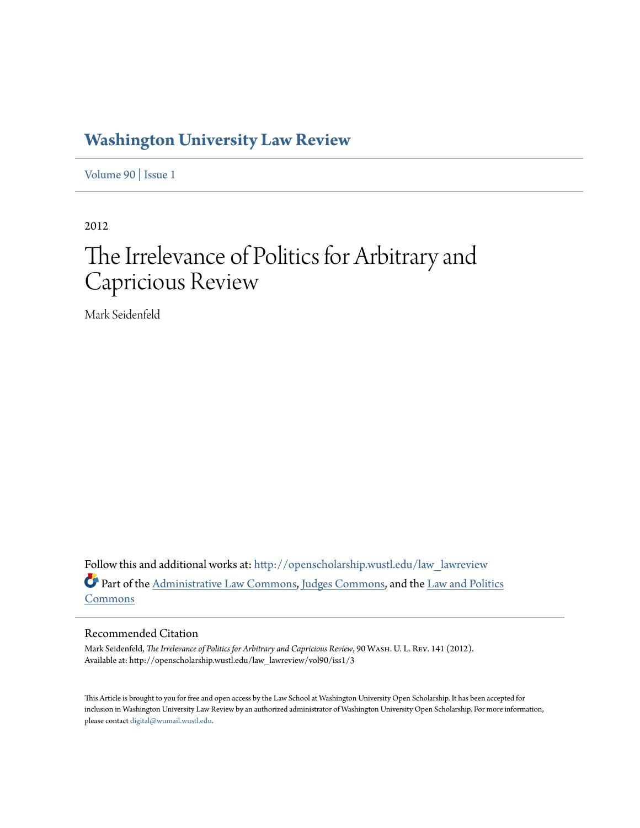## **[Washington University Law Review](http://openscholarship.wustl.edu/law_lawreview?utm_source=openscholarship.wustl.edu%2Flaw_lawreview%2Fvol90%2Fiss1%2F3&utm_medium=PDF&utm_campaign=PDFCoverPages)**

[Volume 90](http://openscholarship.wustl.edu/law_lawreview/vol90?utm_source=openscholarship.wustl.edu%2Flaw_lawreview%2Fvol90%2Fiss1%2F3&utm_medium=PDF&utm_campaign=PDFCoverPages) | [Issue 1](http://openscholarship.wustl.edu/law_lawreview/vol90/iss1?utm_source=openscholarship.wustl.edu%2Flaw_lawreview%2Fvol90%2Fiss1%2F3&utm_medium=PDF&utm_campaign=PDFCoverPages)

2012

# The Irrelevance of Politics for Arbitrary and Capricious Review

Mark Seidenfeld

Follow this and additional works at: [http://openscholarship.wustl.edu/law\\_lawreview](http://openscholarship.wustl.edu/law_lawreview?utm_source=openscholarship.wustl.edu%2Flaw_lawreview%2Fvol90%2Fiss1%2F3&utm_medium=PDF&utm_campaign=PDFCoverPages) Part of the [Administrative Law Commons,](http://network.bepress.com/hgg/discipline/579?utm_source=openscholarship.wustl.edu%2Flaw_lawreview%2Fvol90%2Fiss1%2F3&utm_medium=PDF&utm_campaign=PDFCoverPages) [Judges Commons](http://network.bepress.com/hgg/discipline/849?utm_source=openscholarship.wustl.edu%2Flaw_lawreview%2Fvol90%2Fiss1%2F3&utm_medium=PDF&utm_campaign=PDFCoverPages), and the [Law and Politics](http://network.bepress.com/hgg/discipline/867?utm_source=openscholarship.wustl.edu%2Flaw_lawreview%2Fvol90%2Fiss1%2F3&utm_medium=PDF&utm_campaign=PDFCoverPages) [Commons](http://network.bepress.com/hgg/discipline/867?utm_source=openscholarship.wustl.edu%2Flaw_lawreview%2Fvol90%2Fiss1%2F3&utm_medium=PDF&utm_campaign=PDFCoverPages)

#### Recommended Citation

Mark Seidenfeld, *The Irrelevance of Politics for Arbitrary and Capricious Review*, 90 Wash. U. L. Rev. 141 (2012). Available at: http://openscholarship.wustl.edu/law\_lawreview/vol90/iss1/3

This Article is brought to you for free and open access by the Law School at Washington University Open Scholarship. It has been accepted for inclusion in Washington University Law Review by an authorized administrator of Washington University Open Scholarship. For more information, please contact [digital@wumail.wustl.edu.](mailto:digital@wumail.wustl.edu)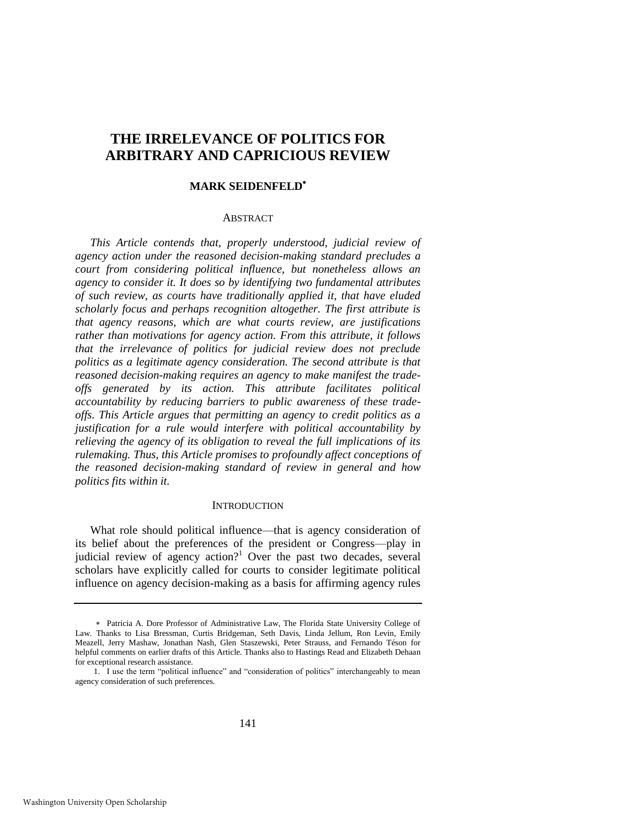### **THE IRRELEVANCE OF POLITICS FOR ARBITRARY AND CAPRICIOUS REVIEW**

#### **MARK SEIDENFELD**

#### ABSTRACT

*This Article contends that, properly understood, judicial review of agency action under the reasoned decision-making standard precludes a court from considering political influence, but nonetheless allows an agency to consider it. It does so by identifying two fundamental attributes of such review, as courts have traditionally applied it, that have eluded scholarly focus and perhaps recognition altogether. The first attribute is that agency reasons, which are what courts review, are justifications rather than motivations for agency action. From this attribute, it follows that the irrelevance of politics for judicial review does not preclude politics as a legitimate agency consideration. The second attribute is that reasoned decision-making requires an agency to make manifest the tradeoffs generated by its action. This attribute facilitates political accountability by reducing barriers to public awareness of these tradeoffs. This Article argues that permitting an agency to credit politics as a justification for a rule would interfere with political accountability by relieving the agency of its obligation to reveal the full implications of its rulemaking. Thus, this Article promises to profoundly affect conceptions of the reasoned decision-making standard of review in general and how politics fits within it.* 

#### **INTRODUCTION**

What role should political influence—that is agency consideration of its belief about the preferences of the president or Congress—play in judicial review of agency action?<sup>1</sup> Over the past two decades, several scholars have explicitly called for courts to consider legitimate political influence on agency decision-making as a basis for affirming agency rules

Patricia A. Dore Professor of Administrative Law, The Florida State University College of Law. Thanks to Lisa Bressman, Curtis Bridgeman, Seth Davis, Linda Jellum, Ron Levin, Emily Meazell, Jerry Mashaw, Jonathan Nash, Glen Staszewski, Peter Strauss, and Fernando Téson for helpful comments on earlier drafts of this Article. Thanks also to Hastings Read and Elizabeth Dehaan for exceptional research assistance.

<sup>1.</sup> I use the term "political influence" and "consideration of politics" interchangeably to mean agency consideration of such preferences.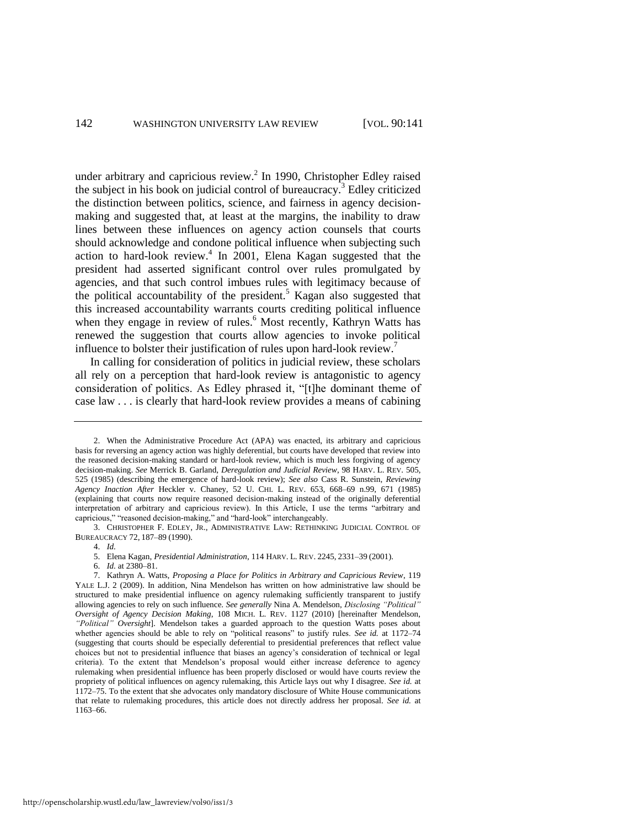<span id="page-2-0"></span>under arbitrary and capricious review.<sup>2</sup> In 1990, Christopher Edley raised the subject in his book on judicial control of bureaucracy.<sup>3</sup> Edley criticized the distinction between politics, science, and fairness in agency decisionmaking and suggested that, at least at the margins, the inability to draw lines between these influences on agency action counsels that courts should acknowledge and condone political influence when subjecting such action to hard-look review.<sup>4</sup> In 2001, Elena Kagan suggested that the president had asserted significant control over rules promulgated by agencies, and that such control imbues rules with legitimacy because of the political accountability of the president.<sup>5</sup> Kagan also suggested that this increased accountability warrants courts crediting political influence when they engage in review of rules.<sup>6</sup> Most recently, Kathryn Watts has renewed the suggestion that courts allow agencies to invoke political influence to bolster their justification of rules upon hard-look review.<sup>7</sup>

<span id="page-2-2"></span><span id="page-2-1"></span>In calling for consideration of politics in judicial review, these scholars all rely on a perception that hard-look review is antagonistic to agency consideration of politics. As Edley phrased it, "[t]he dominant theme of case law . . . is clearly that hard-look review provides a means of cabining

<sup>2.</sup> When the Administrative Procedure Act (APA) was enacted, its arbitrary and capricious basis for reversing an agency action was highly deferential, but courts have developed that review into the reasoned decision-making standard or hard-look review, which is much less forgiving of agency decision-making. *See* Merrick B. Garland, *Deregulation and Judicial Review*, 98 HARV. L. REV. 505, 525 (1985) (describing the emergence of hard-look review); *See also* Cass R. Sunstein, *Reviewing Agency Inaction After* Heckler v. Chaney, 52 U. CHI. L. REV. 653, 668–69 n.99, 671 (1985) (explaining that courts now require reasoned decision-making instead of the originally deferential interpretation of arbitrary and capricious review). In this Article, I use the terms "arbitrary and capricious," "reasoned decision-making," and "hard-look" interchangeably.

<sup>3.</sup> CHRISTOPHER F. EDLEY, JR., ADMINISTRATIVE LAW: RETHINKING JUDICIAL CONTROL OF BUREAUCRACY 72, 187–89 (1990).

<sup>4.</sup> *Id.*

<sup>5.</sup> Elena Kagan, *Presidential Administration*, 114 HARV. L. REV. 2245, 2331–39 (2001).

<sup>6.</sup> *Id.* at 2380–81.

<sup>7.</sup> Kathryn A. Watts, *Proposing a Place for Politics in Arbitrary and Capricious Review*, 119 YALE L.J. 2 (2009). In addition, Nina Mendelson has written on how administrative law should be structured to make presidential influence on agency rulemaking sufficiently transparent to justify allowing agencies to rely on such influence. See generally Nina A. Mendelson, *Disclosing "Political" Oversight of Agency Decision Making*, 108 MICH. L. REV. 1127 (2010) [hereinafter Mendelson, *―Political‖ Oversight*]. Mendelson takes a guarded approach to the question Watts poses about whether agencies should be able to rely on "political reasons" to justify rules. *See id.* at 1172–74 (suggesting that courts should be especially deferential to presidential preferences that reflect value choices but not to presidential influence that biases an agency's consideration of technical or legal criteria). To the extent that Mendelson's proposal would either increase deference to agency rulemaking when presidential influence has been properly disclosed or would have courts review the propriety of political influences on agency rulemaking, this Article lays out why I disagree. *See id.* at 1172–75. To the extent that she advocates only mandatory disclosure of White House communications that relate to rulemaking procedures, this article does not directly address her proposal. *See id.* at 1163–66.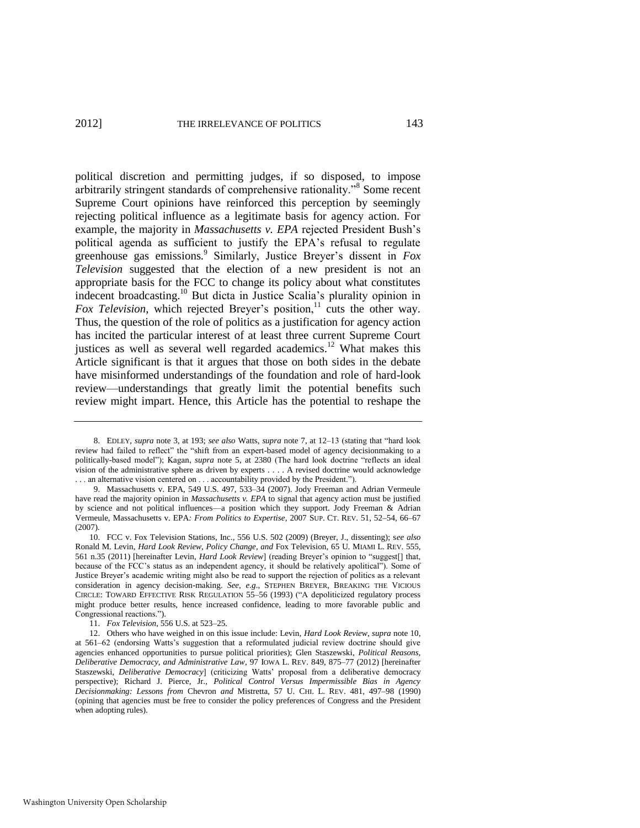<span id="page-3-2"></span><span id="page-3-0"></span>political discretion and permitting judges, if so disposed, to impose arbitrarily stringent standards of comprehensive rationality."<sup>8</sup> Some recent Supreme Court opinions have reinforced this perception by seemingly rejecting political influence as a legitimate basis for agency action. For example, the majority in *Massachusetts v. EPA* rejected President Bush's political agenda as sufficient to justify the EPA's refusal to regulate greenhouse gas emissions.<sup>9</sup> Similarly, Justice Breyer's dissent in *Fox Television* suggested that the election of a new president is not an appropriate basis for the FCC to change its policy about what constitutes indecent broadcasting.<sup>10</sup> But dicta in Justice Scalia's plurality opinion in *Fox Television*, which rejected Breyer's position,<sup>11</sup> cuts the other way. Thus, the question of the role of politics as a justification for agency action has incited the particular interest of at least three current Supreme Court justices as well as several well regarded academics.<sup>12</sup> What makes this Article significant is that it argues that those on both sides in the debate have misinformed understandings of the foundation and role of hard-look review—understandings that greatly limit the potential benefits such review might impart. Hence, this Article has the potential to reshape the

<span id="page-3-1"></span><sup>8.</sup> EDLEY, *supra* note [3,](#page-2-0) at 193; *see also* Watts, *supra* note [7,](#page-2-1) at 12-13 (stating that "hard look review had failed to reflect" the "shift from an expert-based model of agency decisionmaking to a politically-based model"); Kagan, *supra* note [5,](#page-2-2) at 2380 (The hard look doctrine "reflects an ideal vision of the administrative sphere as driven by experts . . . . A revised doctrine would acknowledge ... an alternative vision centered on ... accountability provided by the President.").

<sup>9.</sup> Massachusetts v. EPA, 549 U.S. 497, 533–34 (2007). Jody Freeman and Adrian Vermeule have read the majority opinion in *Massachusetts v. EPA* to signal that agency action must be justified by science and not political influences—a position which they support. Jody Freeman & Adrian Vermeule, Massachusetts v. EPA*: From Politics to Expertise*, 2007 SUP. CT. REV. 51, 52–54, 66–67 (2007).

<sup>10.</sup> FCC v. Fox Television Stations, Inc., 556 U.S. 502 (2009) (Breyer, J., dissenting); s*ee also* Ronald M. Levin, *Hard Look Review, Policy Change, and* Fox Television, 65 U. MIAMI L. REV. 555, 561 n.35 (2011) [hereinafter Levin, *Hard Look Review*] (reading Breyer's opinion to "suggest[] that, because of the FCC's status as an independent agency, it should be relatively apolitical"). Some of Justice Breyer's academic writing might also be read to support the rejection of politics as a relevant consideration in agency decision-making. *See, e.g*., STEPHEN BREYER, BREAKING THE VICIOUS CIRCLE: TOWARD EFFECTIVE RISK REGULATION 55-56 (1993) ("A depoliticized regulatory process might produce better results, hence increased confidence, leading to more favorable public and Congressional reactions.").

<sup>11.</sup> *Fox Television*, 556 U.S. at 523–25.

<sup>12.</sup> Others who have weighed in on this issue include: Levin, *Hard Look Review*, *supra* not[e 10,](#page-3-0)  at 561–62 (endorsing Watts's suggestion that a reformulated judicial review doctrine should give agencies enhanced opportunities to pursue political priorities); Glen Staszewski, *Political Reasons, Deliberative Democracy, and Administrative Law*, 97 IOWA L. REV. 849, 875–77 (2012) [hereinafter Staszewski, *Deliberative Democracy*] (criticizing Watts' proposal from a deliberative democracy perspective); Richard J. Pierce, Jr., *Political Control Versus Impermissible Bias in Agency Decisionmaking: Lessons from* Chevron *and* Mistretta, 57 U. CHI. L. REV. 481, 497–98 (1990) (opining that agencies must be free to consider the policy preferences of Congress and the President when adopting rules).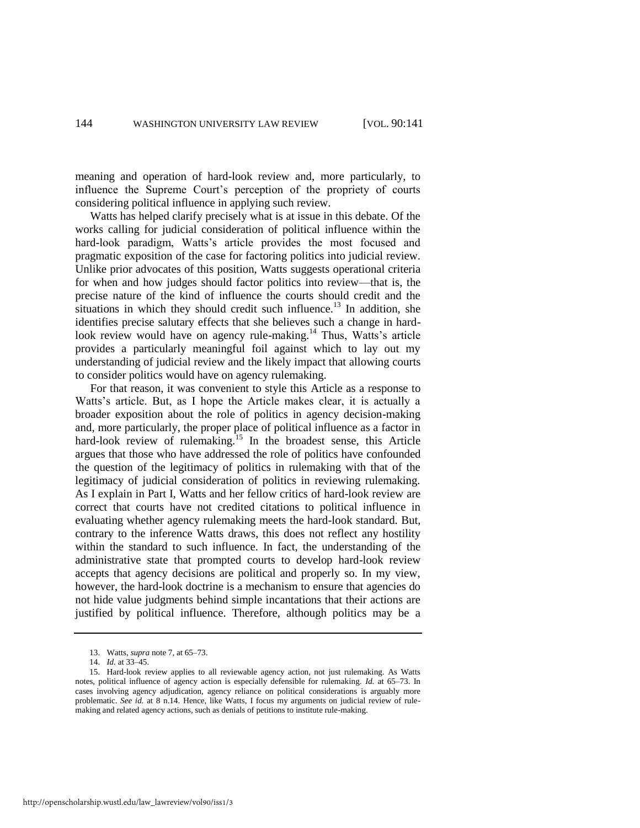meaning and operation of hard-look review and, more particularly, to influence the Supreme Court's perception of the propriety of courts considering political influence in applying such review.

Watts has helped clarify precisely what is at issue in this debate. Of the works calling for judicial consideration of political influence within the hard-look paradigm, Watts's article provides the most focused and pragmatic exposition of the case for factoring politics into judicial review. Unlike prior advocates of this position, Watts suggests operational criteria for when and how judges should factor politics into review—that is, the precise nature of the kind of influence the courts should credit and the situations in which they should credit such influence.<sup>13</sup> In addition, she identifies precise salutary effects that she believes such a change in hardlook review would have on agency rule-making.<sup>14</sup> Thus, Watts's article provides a particularly meaningful foil against which to lay out my understanding of judicial review and the likely impact that allowing courts to consider politics would have on agency rulemaking.

For that reason, it was convenient to style this Article as a response to Watts's article. But, as I hope the Article makes clear, it is actually a broader exposition about the role of politics in agency decision-making and, more particularly, the proper place of political influence as a factor in hard-look review of rulemaking.<sup>15</sup> In the broadest sense, this Article argues that those who have addressed the role of politics have confounded the question of the legitimacy of politics in rulemaking with that of the legitimacy of judicial consideration of politics in reviewing rulemaking. As I explain in Part I, Watts and her fellow critics of hard-look review are correct that courts have not credited citations to political influence in evaluating whether agency rulemaking meets the hard-look standard. But, contrary to the inference Watts draws, this does not reflect any hostility within the standard to such influence. In fact, the understanding of the administrative state that prompted courts to develop hard-look review accepts that agency decisions are political and properly so. In my view, however, the hard-look doctrine is a mechanism to ensure that agencies do not hide value judgments behind simple incantations that their actions are justified by political influence. Therefore, although politics may be a

<sup>13.</sup> Watts, *supra* not[e 7,](#page-2-1) at 65–73.

<sup>14.</sup> *Id.* at 33–45.

<sup>15.</sup> Hard-look review applies to all reviewable agency action, not just rulemaking. As Watts notes, political influence of agency action is especially defensible for rulemaking. *Id.* at 65–73. In cases involving agency adjudication, agency reliance on political considerations is arguably more problematic. *See id.* at 8 n.14. Hence, like Watts, I focus my arguments on judicial review of rulemaking and related agency actions, such as denials of petitions to institute rule-making.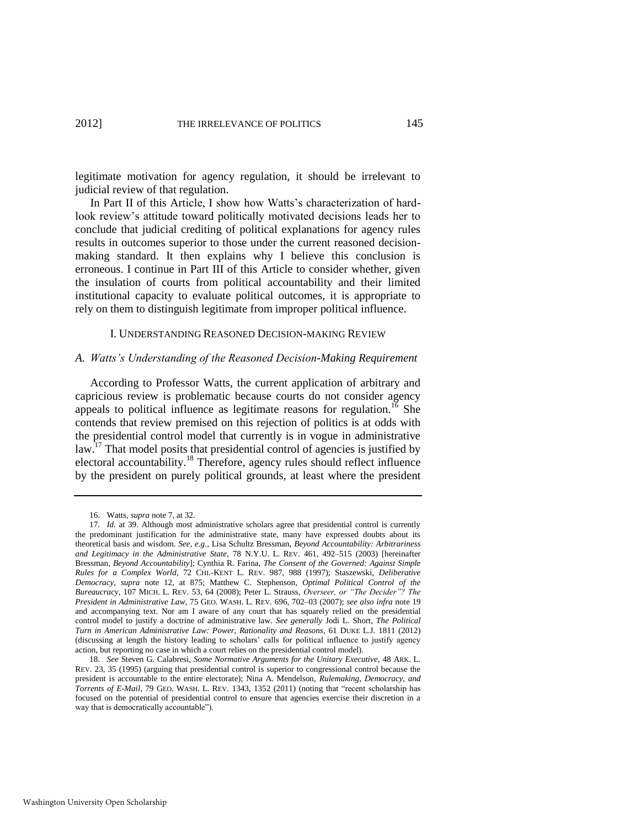legitimate motivation for agency regulation, it should be irrelevant to judicial review of that regulation.

In Part II of this Article, I show how Watts's characterization of hardlook review's attitude toward politically motivated decisions leads her to conclude that judicial crediting of political explanations for agency rules results in outcomes superior to those under the current reasoned decisionmaking standard. It then explains why I believe this conclusion is erroneous. I continue in Part III of this Article to consider whether, given the insulation of courts from political accountability and their limited institutional capacity to evaluate political outcomes, it is appropriate to rely on them to distinguish legitimate from improper political influence.

#### I. UNDERSTANDING REASONED DECISION-MAKING REVIEW

#### *A. Watts's Understanding of the Reasoned Decision-Making Requirement*

<span id="page-5-0"></span>According to Professor Watts, the current application of arbitrary and capricious review is problematic because courts do not consider agency appeals to political influence as legitimate reasons for regulation.<sup>16</sup> She contends that review premised on this rejection of politics is at odds with the presidential control model that currently is in vogue in administrative law.<sup>17</sup> That model posits that presidential control of agencies is justified by electoral accountability.<sup>18</sup> Therefore, agency rules should reflect influence by the president on purely political grounds, at least where the president

<span id="page-5-1"></span><sup>16.</sup> Watts, *supra* not[e 7,](#page-2-1) at 32.

<sup>17</sup>*. Id.* at 39. Although most administrative scholars agree that presidential control is currently the predominant justification for the administrative state, many have expressed doubts about its theoretical basis and wisdom. *See, e.g*., Lisa Schultz Bressman, *Beyond Accountability: Arbitrariness and Legitimacy in the Administrative State*, 78 N.Y.U. L. REV. 461, 492–515 (2003) [hereinafter Bressman, *Beyond Accountability*]; Cynthia R. Farina, *The Consent of the Governed: Against Simple Rules for a Complex World*, 72 CHI.-KENT L. REV. 987, 988 (1997); Staszewski, *Deliberative Democracy*, *supra* note [12,](#page-3-1) at 875; Matthew C. Stephenson, *Optimal Political Control of the Bureaucracy*, 107 MICH. L. REV. 53, 64 (2008); Peter L. Strauss, *Overseer, or ―The Decider‖? The President in Administrative Law*, 75 GEO. WASH. L. REV. 696, 702–03 (2007); *see also infra* not[e 19](#page-6-0) and accompanying text. Nor am I aware of any court that has squarely relied on the presidential control model to justify a doctrine of administrative law. *See generally* Jodi L. Short, *The Political Turn in American Administrative Law: Power, Rationality and Reasons*, 61 DUKE L.J. 1811 (2012) (discussing at length the history leading to scholars' calls for political influence to justify agency action, but reporting no case in which a court relies on the presidential control model).

<sup>18.</sup> *See* Steven G. Calabresi, *Some Normative Arguments for the Unitary Executive*, 48 ARK. L. REV. 23, 35 (1995) (arguing that presidential control is superior to congressional control because the president is accountable to the entire electorate); Nina A. Mendelson, *Rulemaking, Democracy, and Torrents of E-Mail*, 79 GEO. WASH. L. REV. 1343, 1352 (2011) (noting that "recent scholarship has focused on the potential of presidential control to ensure that agencies exercise their discretion in a way that is democratically accountable").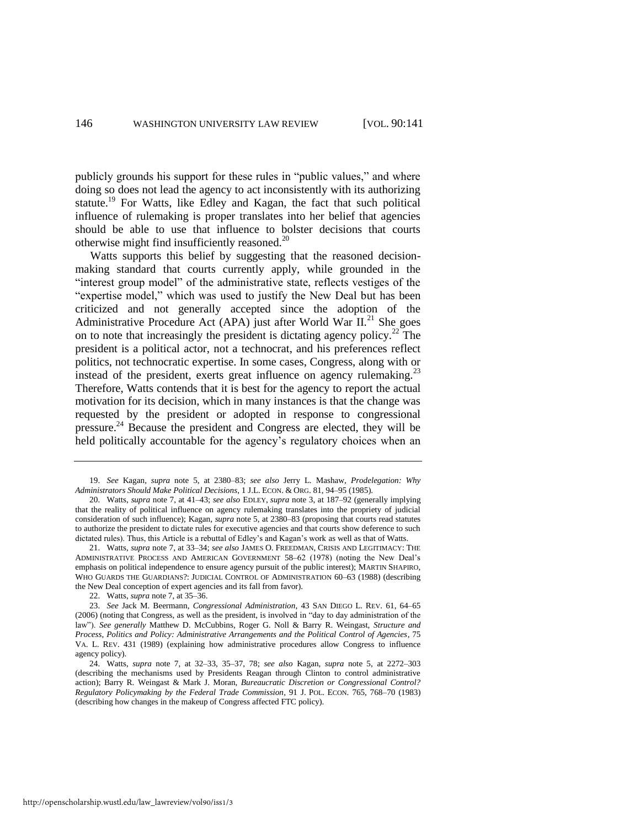<span id="page-6-0"></span>publicly grounds his support for these rules in "public values," and where doing so does not lead the agency to act inconsistently with its authorizing statute.<sup>19</sup> For Watts, like Edley and Kagan, the fact that such political influence of rulemaking is proper translates into her belief that agencies should be able to use that influence to bolster decisions that courts otherwise might find insufficiently reasoned. $^{20}$ 

<span id="page-6-1"></span>Watts supports this belief by suggesting that the reasoned decisionmaking standard that courts currently apply, while grounded in the "interest group model" of the administrative state, reflects vestiges of the "expertise model," which was used to justify the New Deal but has been criticized and not generally accepted since the adoption of the Administrative Procedure Act (APA) just after World War  $II^{21}$ . She goes on to note that increasingly the president is dictating agency policy.<sup>22</sup> The president is a political actor, not a technocrat, and his preferences reflect politics, not technocratic expertise. In some cases, Congress, along with or instead of the president, exerts great influence on agency rulemaking. $^{23}$ Therefore, Watts contends that it is best for the agency to report the actual motivation for its decision, which in many instances is that the change was requested by the president or adopted in response to congressional pressure.<sup>24</sup> Because the president and Congress are elected, they will be held politically accountable for the agency's regulatory choices when an

22. Watts, *supra* not[e 7,](#page-2-1) at 35–36.

http://openscholarship.wustl.edu/law\_lawreview/vol90/iss1/3

<sup>19.</sup> *See* Kagan, *supra* note [5,](#page-2-2) at 2380–83; *see also* Jerry L. Mashaw, *Prodelegation: Why Administrators Should Make Political Decisions*, 1 J.L. ECON. & ORG. 81, 94–95 (1985).

<sup>20.</sup> Watts, *supra* not[e 7,](#page-2-1) at 41–43; *see also* EDLEY, *supra* not[e 3,](#page-2-0) at 187–92 (generally implying that the reality of political influence on agency rulemaking translates into the propriety of judicial consideration of such influence); Kagan, *supra* not[e 5,](#page-2-2) at 2380–83 (proposing that courts read statutes to authorize the president to dictate rules for executive agencies and that courts show deference to such dictated rules). Thus, this Article is a rebuttal of Edley's and Kagan's work as well as that of Watts.

<sup>21.</sup> Watts, *supra* note [7,](#page-2-1) at 33–34; *see also* JAMES O. FREEDMAN, CRISIS AND LEGITIMACY: THE ADMINISTRATIVE PROCESS AND AMERICAN GOVERNMENT 58–62 (1978) (noting the New Deal's emphasis on political independence to ensure agency pursuit of the public interest); MARTIN SHAPIRO, WHO GUARDS THE GUARDIANS?: JUDICIAL CONTROL OF ADMINISTRATION 60–63 (1988) (describing the New Deal conception of expert agencies and its fall from favor).

<sup>23.</sup> *See* Jack M. Beermann, *Congressional Administration*, 43 SAN DIEGO L. REV. 61, 64–65 (2006) (noting that Congress, as well as the president, is involved in "day to day administration of the law"). See generally Matthew D. McCubbins, Roger G. Noll & Barry R. Weingast, *Structure and Process, Politics and Policy: Administrative Arrangements and the Political Control of Agencies*, 75 VA. L. REV. 431 (1989) (explaining how administrative procedures allow Congress to influence agency policy).

<sup>24.</sup> Watts, *supra* note [7,](#page-2-1) at 32–33, 35–37, 78; *see also* Kagan, *supra* note [5,](#page-2-2) at 2272–303 (describing the mechanisms used by Presidents Reagan through Clinton to control administrative action); Barry R. Weingast & Mark J. Moran, *Bureaucratic Discretion or Congressional Control? Regulatory Policymaking by the Federal Trade Commission*, 91 J. POL. ECON. 765, 768–70 (1983) (describing how changes in the makeup of Congress affected FTC policy).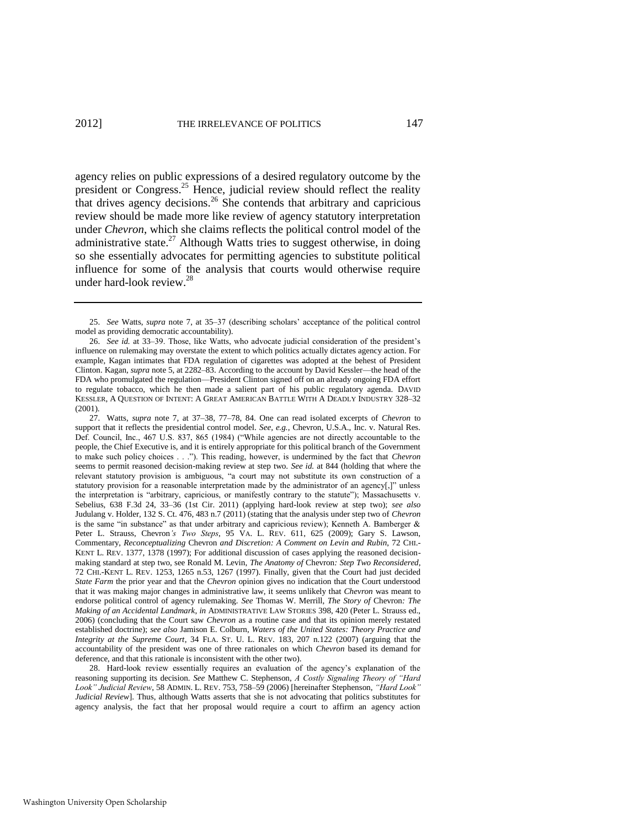agency relies on public expressions of a desired regulatory outcome by the president or Congress.<sup>25</sup> Hence, judicial review should reflect the reality that drives agency decisions.<sup>26</sup> She contends that arbitrary and capricious review should be made more like review of agency statutory interpretation under *Chevron*, which she claims reflects the political control model of the administrative state.<sup>27</sup> Although Watts tries to suggest otherwise, in doing so she essentially advocates for permitting agencies to substitute political influence for some of the analysis that courts would otherwise require under hard-look review.<sup>28</sup>

27. Watts, *supra* note [7,](#page-2-1) at 37–38, 77–78, 84. One can read isolated excerpts of *Chevron* to support that it reflects the presidential control model. *See, e.g.*, Chevron, U.S.A., Inc. v. Natural Res. Def. Council, Inc., 467 U.S. 837, 865 (1984) ("While agencies are not directly accountable to the people, the Chief Executive is, and it is entirely appropriate for this political branch of the Government to make such policy choices . . .‖). This reading, however, is undermined by the fact that *Chevron* seems to permit reasoned decision-making review at step two. *See id.* at 844 (holding that where the relevant statutory provision is ambiguous, "a court may not substitute its own construction of a statutory provision for a reasonable interpretation made by the administrator of an agency $[j]$ " unless the interpretation is "arbitrary, capricious, or manifestly contrary to the statute"); Massachusetts v. Sebelius, 638 F.3d 24, 33–36 (1st Cir. 2011) (applying hard-look review at step two); *see also* Judulang v. Holder, 132 S. Ct. 476, 483 n.7 (2011) (stating that the analysis under step two of *Chevron* is the same "in substance" as that under arbitrary and capricious review); Kenneth A. Bamberger  $\&$ Peter L. Strauss, Chevron*'s Two Steps*, 95 VA. L. REV. 611, 625 (2009); Gary S. Lawson, Commentary, *Reconceptualizing* Chevron *and Discretion: A Comment on Levin and Rubin*, 72 CHI.- KENT L. REV. 1377, 1378 (1997); For additional discussion of cases applying the reasoned decisionmaking standard at step two, see Ronald M. Levin, *The Anatomy of* Chevron*: Step Two Reconsidered*, 72 CHI.-KENT L. REV. 1253, 1265 n.53, 1267 (1997). Finally, given that the Court had just decided *State Farm* the prior year and that the *Chevron* opinion gives no indication that the Court understood that it was making major changes in administrative law, it seems unlikely that *Chevron* was meant to endorse political control of agency rulemaking. *See* Thomas W. Merrill, *The Story of* Chevron*: The Making of an Accidental Landmark*, *in* ADMINISTRATIVE LAW STORIES 398, 420 (Peter L. Strauss ed., 2006) (concluding that the Court saw *Chevron* as a routine case and that its opinion merely restated established doctrine); *see also* Jamison E. Colburn, *Waters of the United States: Theory Practice and Integrity at the Supreme Court*, 34 FLA. ST. U. L. REV. 183, 207 n.122 (2007) (arguing that the accountability of the president was one of three rationales on which *Chevron* based its demand for deference, and that this rationale is inconsistent with the other two).

28. Hard-look review essentially requires an evaluation of the agency's explanation of the reasoning supporting its decision. See Matthew C. Stephenson, *A Costly Signaling Theory of "Hard* Look" Judicial Review, 58 ADMIN. L. REV. 753, 758–59 (2006) [hereinafter Stephenson, *"Hard Look" Judicial Review*]. Thus, although Watts asserts that she is not advocating that politics substitutes for agency analysis, the fact that her proposal would require a court to affirm an agency action

<span id="page-7-0"></span><sup>25.</sup> *See* Watts, *supra* note [7,](#page-2-1) at 35–37 (describing scholars' acceptance of the political control model as providing democratic accountability).

<sup>26.</sup> *See id.* at 33–39. Those, like Watts, who advocate judicial consideration of the president's influence on rulemaking may overstate the extent to which politics actually dictates agency action. For example, Kagan intimates that FDA regulation of cigarettes was adopted at the behest of President Clinton. Kagan, *supra* not[e 5,](#page-2-2) at 2282–83. According to the account by David Kessler—the head of the FDA who promulgated the regulation—President Clinton signed off on an already ongoing FDA effort to regulate tobacco, which he then made a salient part of his public regulatory agenda. DAVID KESSLER, A QUESTION OF INTENT: A GREAT AMERICAN BATTLE WITH A DEADLY INDUSTRY 328–32 (2001).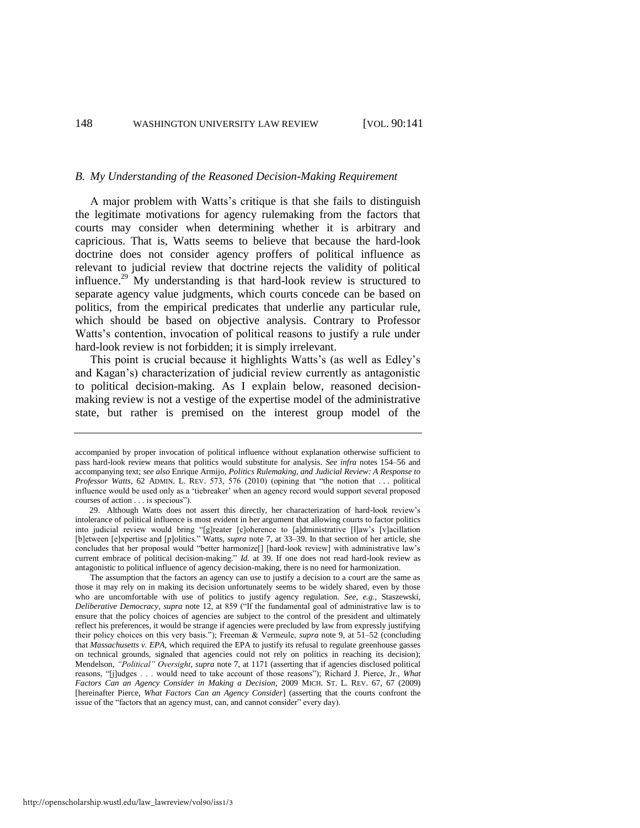#### *B. My Understanding of the Reasoned Decision-Making Requirement*

<span id="page-8-0"></span>A major problem with Watts's critique is that she fails to distinguish the legitimate motivations for agency rulemaking from the factors that courts may consider when determining whether it is arbitrary and capricious. That is, Watts seems to believe that because the hard-look doctrine does not consider agency proffers of political influence as relevant to judicial review that doctrine rejects the validity of political influence.<sup>29</sup> My understanding is that hard-look review is structured to separate agency value judgments, which courts concede can be based on politics, from the empirical predicates that underlie any particular rule, which should be based on objective analysis. Contrary to Professor Watts's contention, invocation of political reasons to justify a rule under hard-look review is not forbidden; it is simply irrelevant.

This point is crucial because it highlights Watts's (as well as Edley's and Kagan's) characterization of judicial review currently as antagonistic to political decision-making. As I explain below, reasoned decisionmaking review is not a vestige of the expertise model of the administrative state, but rather is premised on the interest group model of the

http://openscholarship.wustl.edu/law\_lawreview/vol90/iss1/3

accompanied by proper invocation of political influence without explanation otherwise sufficient to pass hard-look review means that politics would substitute for analysis. *See infra* notes [154–](#page-31-0)56 and accompanying text; *see also* Enrique Armijo, *Politics Rulemaking, and Judicial Review: A Response to Professor Watts*, 62 ADMIN. L. REV. 573, 576 (2010) (opining that "the notion that . . . political influence would be used only as a 'tiebreaker' when an agency record would support several proposed courses of action . . . is specious").

<sup>29.</sup> Although Watts does not assert this directly, her characterization of hard-look review's intolerance of political influence is most evident in her argument that allowing courts to factor politics into judicial review would bring "[g]reater [c]oherence to [a]dministrative [I]aw's [v]acillation [b]etween [e]xpertise and [p]olitics." Watts, *supra* note [7,](#page-2-1) at 33–39. In that section of her article, she concludes that her proposal would "better harmonize[] [hard-look review] with administrative law's current embrace of political decision-making." *Id.* at 39. If one does not read hard-look review as antagonistic to political influence of agency decision-making, there is no need for harmonization.

The assumption that the factors an agency can use to justify a decision to a court are the same as those it may rely on in making its decision unfortunately seems to be widely shared, even by those who are uncomfortable with use of politics to justify agency regulation. *See, e.g.*, Staszewski, *Deliberative Democracy, supra* note [12,](#page-3-1) at 859 ("If the fundamental goal of administrative law is to ensure that the policy choices of agencies are subject to the control of the president and ultimately reflect his preferences, it would be strange if agencies were precluded by law from expressly justifying their policy choices on this very basis.‖); Freeman & Vermeule, *supra* note [9,](#page-3-2) at 51–52 (concluding that *Massachusetts v. EPA*, which required the EPA to justify its refusal to regulate greenhouse gasses on technical grounds, signaled that agencies could not rely on politics in reaching its decision); Mendelson, *"Political" Oversight, supra* not[e 7,](#page-2-1) at 1171 (asserting that if agencies disclosed political reasons, "[j]udges . . . would need to take account of those reasons"); Richard J. Pierce, Jr., What *Factors Can an Agency Consider in Making a Decision*, 2009 MICH. ST. L. REV. 67, 67 (2009) [hereinafter Pierce, *What Factors Can an Agency Consider*] (asserting that the courts confront the issue of the "factors that an agency must, can, and cannot consider" every day).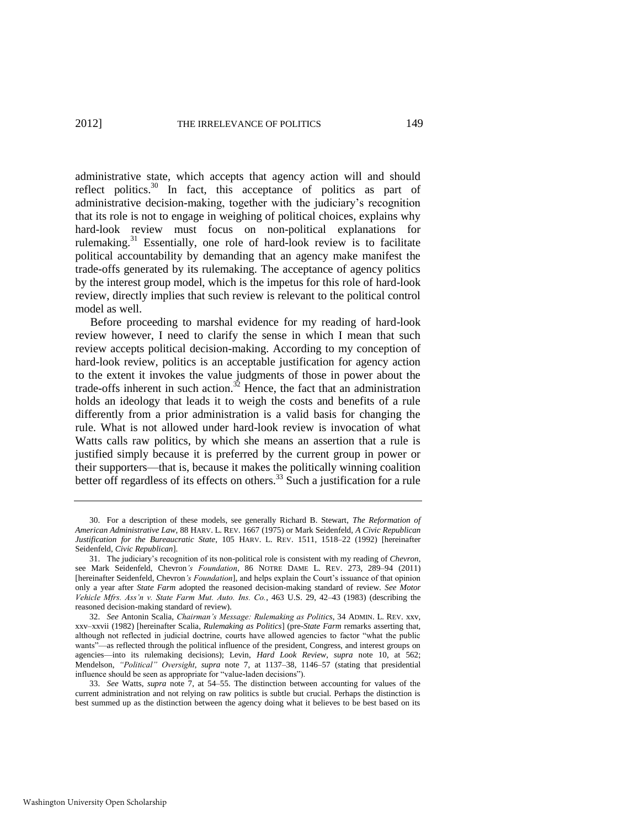<span id="page-9-1"></span><span id="page-9-0"></span>administrative state, which accepts that agency action will and should reflect politics. $30$  In fact, this acceptance of politics as part of administrative decision-making, together with the judiciary's recognition that its role is not to engage in weighing of political choices, explains why hard-look review must focus on non-political explanations for rulemaking.<sup>31</sup> Essentially, one role of hard-look review is to facilitate political accountability by demanding that an agency make manifest the trade-offs generated by its rulemaking. The acceptance of agency politics by the interest group model, which is the impetus for this role of hard-look review, directly implies that such review is relevant to the political control model as well.

<span id="page-9-2"></span>Before proceeding to marshal evidence for my reading of hard-look review however, I need to clarify the sense in which I mean that such review accepts political decision-making. According to my conception of hard-look review, politics is an acceptable justification for agency action to the extent it invokes the value judgments of those in power about the trade-offs inherent in such action.<sup>32</sup> Hence, the fact that an administration holds an ideology that leads it to weigh the costs and benefits of a rule differently from a prior administration is a valid basis for changing the rule. What is not allowed under hard-look review is invocation of what Watts calls raw politics, by which she means an assertion that a rule is justified simply because it is preferred by the current group in power or their supporters—that is, because it makes the politically winning coalition better off regardless of its effects on others.<sup>33</sup> Such a justification for a rule

<sup>30.</sup> For a description of these models, see generally Richard B. Stewart, *The Reformation of American Administrative Law*, 88 HARV. L. REV. 1667 (1975) or Mark Seidenfeld, *A Civic Republican Justification for the Bureaucratic State*, 105 HARV. L. REV. 1511, 1518–22 (1992) [hereinafter Seidenfeld, *Civic Republican*].

<sup>31.</sup> The judiciary's recognition of its non-political role is consistent with my reading of *Chevron*, see Mark Seidenfeld, Chevron*'s Foundation*, 86 NOTRE DAME L. REV. 273*,* 289–94 (2011) [hereinafter Seidenfeld, Chevron*'s Foundation*], and helps explain the Court's issuance of that opinion only a year after *State Farm* adopted the reasoned decision-making standard of review. *See Motor Vehicle Mfrs. Ass'n v. State Farm Mut. Auto. Ins. Co.*, 463 U.S. 29, 42–43 (1983) (describing the reasoned decision-making standard of review).

<sup>32.</sup> *See* Antonin Scalia, *Chairman's Message: Rulemaking as Politics*, 34 ADMIN. L. REV. xxv, xxv–xxvii (1982) [hereinafter Scalia, *Rulemaking as Politics*] (pre-*State Farm* remarks asserting that, although not reflected in judicial doctrine, courts have allowed agencies to factor "what the public wants"—as reflected through the political influence of the president, Congress, and interest groups on agencies—into its rulemaking decisions); Levin, *Hard Look Review*, *supra* note [10,](#page-3-0) at 562; Mendelson, "Political" Oversight, *supra* note [7,](#page-2-1) at 1137–38, 1146–57 (stating that presidential influence should be seen as appropriate for "value-laden decisions").

<sup>33.</sup> *See* Watts, *supra* note [7,](#page-2-1) at 54–55. The distinction between accounting for values of the current administration and not relying on raw politics is subtle but crucial. Perhaps the distinction is best summed up as the distinction between the agency doing what it believes to be best based on its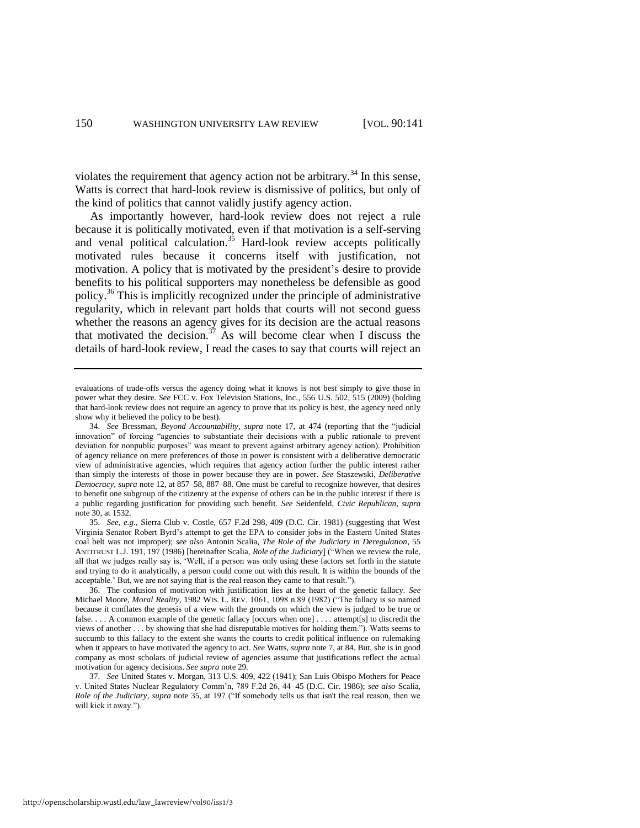violates the requirement that agency action not be arbitrary.<sup>34</sup> In this sense, Watts is correct that hard-look review is dismissive of politics, but only of the kind of politics that cannot validly justify agency action.

<span id="page-10-0"></span>As importantly however, hard-look review does not reject a rule because it is politically motivated, even if that motivation is a self-serving and venal political calculation.<sup>35</sup> Hard-look review accepts politically motivated rules because it concerns itself with justification, not motivation. A policy that is motivated by the president's desire to provide benefits to his political supporters may nonetheless be defensible as good policy.<sup>36</sup> This is implicitly recognized under the principle of administrative regularity, which in relevant part holds that courts will not second guess whether the reasons an agency gives for its decision are the actual reasons that motivated the decision.<sup>37</sup> As will become clear when I discuss the details of hard-look review, I read the cases to say that courts will reject an

<span id="page-10-1"></span>evaluations of trade-offs versus the agency doing what it knows is not best simply to give those in power what they desire. *See* FCC v. Fox Television Stations, Inc., 556 U.S. 502, 515 (2009) (holding that hard-look review does not require an agency to prove that its policy is best, the agency need only show why it believed the policy to be best).

<sup>34.</sup> *See* Bressman, *Beyond Accountability, supra* note [17,](#page-5-0) at 474 (reporting that the "judicial innovation" of forcing "agencies to substantiate their decisions with a public rationale to prevent deviation for nonpublic purposes" was meant to prevent against arbitrary agency action). Prohibition of agency reliance on mere preferences of those in power is consistent with a deliberative democratic view of administrative agencies, which requires that agency action further the public interest rather than simply the interests of those in power because they are in power. *See* Staszewski, *Deliberative Democracy*, *supra* not[e 12,](#page-3-1) at 857–58, 887–88. One must be careful to recognize however, that desires to benefit one subgroup of the citizenry at the expense of others can be in the public interest if there is a public regarding justification for providing such benefit. *See* Seidenfeld, *Civic Republican*, *supra* note [30,](#page-9-0) at 1532.

<sup>35.</sup> *See, e.g.*, Sierra Club v. Costle, 657 F.2d 298, 409 (D.C. Cir. 1981) (suggesting that West Virginia Senator Robert Byrd's attempt to get the EPA to consider jobs in the Eastern United States coal belt was not improper); *see also* Antonin Scalia, *The Role of the Judiciary in Deregulation*, 55 ANTITRUST L.J. 191, 197 (1986) [hereinafter Scalia, *Role of the Judiciary*] ("When we review the rule, all that we judges really say is, ‗Well, if a person was only using these factors set forth in the statute and trying to do it analytically, a person could come out with this result. It is within the bounds of the acceptable.' But, we are not saying that is the real reason they came to that result.").

<sup>36.</sup> The confusion of motivation with justification lies at the heart of the genetic fallacy. *See* Michael Moore, *Moral Reality*, 1982 WIS. L. REV. 1061, 1098 n.89 (1982) ("The fallacy is so named because it conflates the genesis of a view with the grounds on which the view is judged to be true or false. . . . A common example of the genetic fallacy [occurs when one] . . . . attempt[s] to discredit the views of another . . . by showing that she had disreputable motives for holding them.‖). Watts seems to succumb to this fallacy to the extent she wants the courts to credit political influence on rulemaking when it appears to have motivated the agency to act. *See* Watts, *supra* not[e 7,](#page-2-1) at 84. But, she is in good company as most scholars of judicial review of agencies assume that justifications reflect the actual motivation for agency decisions. *See supra* not[e 29.](#page-8-0) 

<sup>37.</sup> *See* United States v. Morgan, 313 U.S. 409, 422 (1941); San Luis Obispo Mothers for Peace v. United States Nuclear Regulatory Comm'n, 789 F.2d 26, 44–45 (D.C. Cir. 1986); *see also* Scalia, *Role of the Judiciary, supra* not[e 35,](#page-10-0) at 197 ("If somebody tells us that isn't the real reason, then we will kick it away.").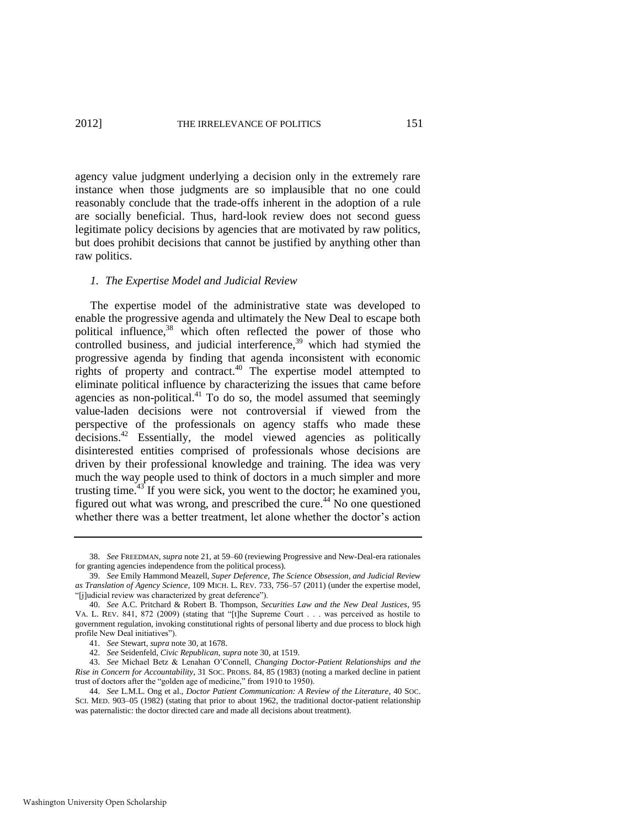agency value judgment underlying a decision only in the extremely rare instance when those judgments are so implausible that no one could reasonably conclude that the trade-offs inherent in the adoption of a rule are socially beneficial. Thus, hard-look review does not second guess legitimate policy decisions by agencies that are motivated by raw politics, but does prohibit decisions that cannot be justified by anything other than raw politics.

#### <span id="page-11-2"></span><span id="page-11-1"></span>*1. The Expertise Model and Judicial Review*

The expertise model of the administrative state was developed to enable the progressive agenda and ultimately the New Deal to escape both political influence,<sup>38</sup> which often reflected the power of those who controlled business, and judicial interference, $39$  which had stymied the progressive agenda by finding that agenda inconsistent with economic rights of property and contract.<sup>40</sup> The expertise model attempted to eliminate political influence by characterizing the issues that came before agencies as non-political. $41$  To do so, the model assumed that seemingly value-laden decisions were not controversial if viewed from the perspective of the professionals on agency staffs who made these decisions.<sup>42</sup> Essentially, the model viewed agencies as politically disinterested entities comprised of professionals whose decisions are driven by their professional knowledge and training. The idea was very much the way people used to think of doctors in a much simpler and more trusting time.<sup>43</sup> If you were sick, you went to the doctor; he examined you, figured out what was wrong, and prescribed the cure.<sup>44</sup> No one questioned whether there was a better treatment, let alone whether the doctor's action

<span id="page-11-0"></span><sup>38.</sup> *See* FREEDMAN, *supra* not[e 21,](#page-6-1) at 59–60 (reviewing Progressive and New-Deal-era rationales for granting agencies independence from the political process).

<sup>39.</sup> *See* Emily Hammond Meazell, *Super Deference, The Science Obsession, and Judicial Review as Translation of Agency Science*, 109 MICH. L. REV. 733, 756–57 (2011) (under the expertise model, "[j]udicial review was characterized by great deference").

<sup>40.</sup> *See* A.C. Pritchard & Robert B. Thompson, *Securities Law and the New Deal Justices*, 95 VA. L. REV. 841, 872 (2009) (stating that "[t]he Supreme Court . . . was perceived as hostile to government regulation, invoking constitutional rights of personal liberty and due process to block high profile New Deal initiatives").

<sup>41.</sup> *See* Stewart, *supra* note [30,](#page-9-0) at 1678.

<sup>42.</sup> *See* Seidenfeld, *Civic Republican*, *supra* not[e 30,](#page-9-0) at 1519.

<sup>43.</sup> *See* Michael Betz & Lenahan O'Connell, *Changing Doctor-Patient Relationships and the Rise in Concern for Accountability*, 31 SOC. PROBS. 84, 85 (1983) (noting a marked decline in patient trust of doctors after the "golden age of medicine," from 1910 to 1950).

<sup>44.</sup> *See* L.M.L. Ong et al., *Doctor Patient Communication: A Review of the Literature*, 40 SOC. SCI. MED. 903-05 (1982) (stating that prior to about 1962, the traditional doctor-patient relationship was paternalistic: the doctor directed care and made all decisions about treatment).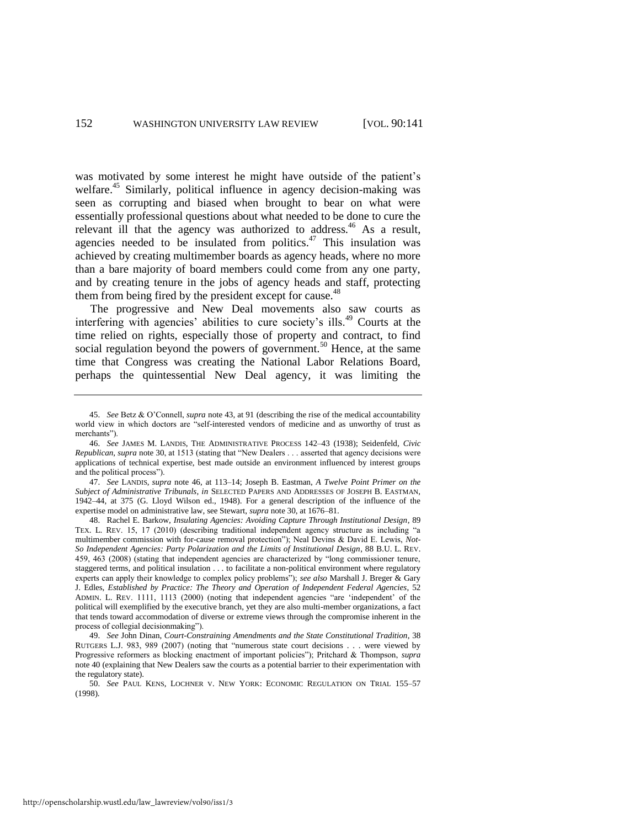<span id="page-12-0"></span>was motivated by some interest he might have outside of the patient's welfare.<sup>45</sup> Similarly, political influence in agency decision-making was seen as corrupting and biased when brought to bear on what were essentially professional questions about what needed to be done to cure the relevant ill that the agency was authorized to address.<sup>46</sup> As a result, agencies needed to be insulated from politics.<sup>47</sup> This insulation was achieved by creating multimember boards as agency heads, where no more than a bare majority of board members could come from any one party, and by creating tenure in the jobs of agency heads and staff, protecting them from being fired by the president except for cause.<sup>48</sup>

The progressive and New Deal movements also saw courts as interfering with agencies' abilities to cure society's ills.<sup>49</sup> Courts at the time relied on rights, especially those of property and contract, to find social regulation beyond the powers of government.<sup>50</sup> Hence, at the same time that Congress was creating the National Labor Relations Board, perhaps the quintessential New Deal agency, it was limiting the

47. *See* LANDIS, *supra* note [46,](#page-12-0) at 113–14; Joseph B. Eastman, *A Twelve Point Primer on the Subject of Administrative Tribunals*, *in* SELECTED PAPERS AND ADDRESSES OF JOSEPH B. EASTMAN, 1942–44, at 375 (G. Lloyd Wilson ed., 1948). For a general description of the influence of the expertise model on administrative law, see Stewart, *supra* not[e 30,](#page-9-0) at 1676–81.

<sup>45.</sup> *See* Betz & O'Connell, *supra* note [43,](#page-11-0) at 91 (describing the rise of the medical accountability world view in which doctors are "self-interested vendors of medicine and as unworthy of trust as merchants").

<sup>46.</sup> *See* JAMES M. LANDIS, THE ADMINISTRATIVE PROCESS 142–43 (1938); Seidenfeld, *Civic Republican, supra* note [30,](#page-9-0) at 1513 (stating that "New Dealers . . . asserted that agency decisions were applications of technical expertise, best made outside an environment influenced by interest groups and the political process").

<sup>48.</sup> Rachel E. Barkow, *Insulating Agencies: Avoiding Capture Through Institutional Design*, 89 TEX. L. REV. 15, 17 (2010) (describing traditional independent agency structure as including "a multimember commission with for-cause removal protection"); Neal Devins & David E. Lewis, Not-*So Independent Agencies: Party Polarization and the Limits of Institutional Design*, 88 B.U. L. REV. 459, 463 (2008) (stating that independent agencies are characterized by "long commissioner tenure, staggered terms, and political insulation . . . to facilitate a non-political environment where regulatory experts can apply their knowledge to complex policy problems‖); *see also* Marshall J. Breger & Gary J. Edles, *Established by Practice: The Theory and Operation of Independent Federal Agencies*, 52 ADMIN. L. REV. 1111, 1113 (2000) (noting that independent agencies "are 'independent' of the political will exemplified by the executive branch, yet they are also multi-member organizations, a fact that tends toward accommodation of diverse or extreme views through the compromise inherent in the process of collegial decisionmaking").

<sup>49.</sup> *See* John Dinan, *Court-Constraining Amendments and the State Constitutional Tradition*, 38 RUTGERS L.J. 983, 989 (2007) (noting that "numerous state court decisions . . . were viewed by Progressive reformers as blocking enactment of important policies"); Pritchard & Thompson, *supra* note [40 \(](#page-11-1)explaining that New Dealers saw the courts as a potential barrier to their experimentation with the regulatory state).

<sup>50.</sup> *See* PAUL KENS, LOCHNER V. NEW YORK: ECONOMIC REGULATION ON TRIAL 155–57 (1998).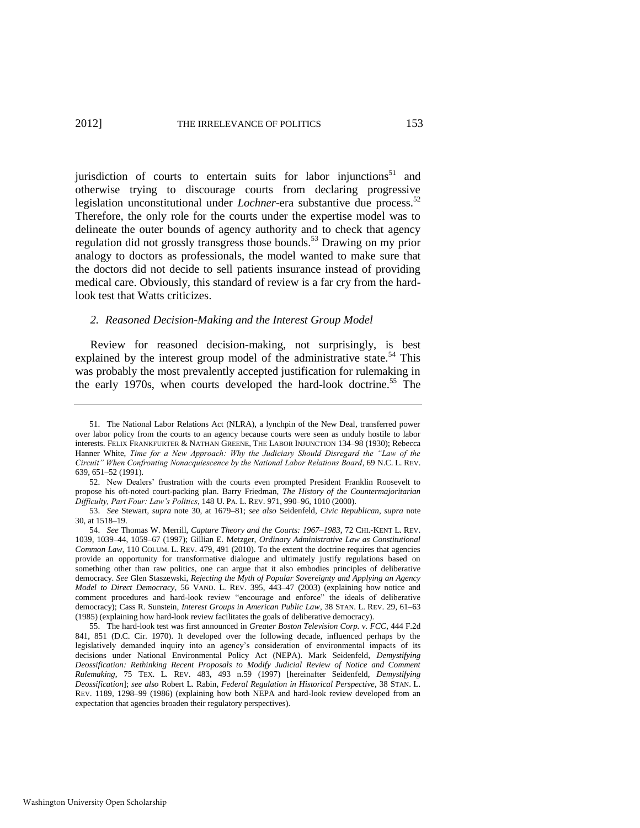jurisdiction of courts to entertain suits for labor injunctions $51$  and otherwise trying to discourage courts from declaring progressive legislation unconstitutional under *Lochner*-era substantive due process.<sup>52</sup> Therefore, the only role for the courts under the expertise model was to delineate the outer bounds of agency authority and to check that agency regulation did not grossly transgress those bounds.<sup>53</sup> Drawing on my prior analogy to doctors as professionals, the model wanted to make sure that the doctors did not decide to sell patients insurance instead of providing medical care. Obviously, this standard of review is a far cry from the hardlook test that Watts criticizes.

#### <span id="page-13-0"></span>*2. Reasoned Decision-Making and the Interest Group Model*

Review for reasoned decision-making, not surprisingly, is best explained by the interest group model of the administrative state.<sup>54</sup> This was probably the most prevalently accepted justification for rulemaking in the early 1970s, when courts developed the hard-look doctrine.<sup>55</sup> The

<sup>51.</sup> The National Labor Relations Act (NLRA), a lynchpin of the New Deal, transferred power over labor policy from the courts to an agency because courts were seen as unduly hostile to labor interests. FELIX FRANKFURTER & NATHAN GREENE, THE LABOR INJUNCTION 134–98 (1930); Rebecca Hanner White, *Time for a New Approach: Why the Judiciary Should Disregard the "Law of the Circuit‖ When Confronting Nonacquiescence by the National Labor Relations Board*, 69 N.C. L. REV. 639, 651–52 (1991).

<sup>52.</sup> New Dealers' frustration with the courts even prompted President Franklin Roosevelt to propose his oft-noted court-packing plan. Barry Friedman, *The History of the Countermajoritarian Difficulty, Part Four: Law's Politics*, 148 U. PA. L. REV. 971, 990–96, 1010 (2000).

<sup>53.</sup> *See* Stewart, *supra* note [30,](#page-9-0) at 1679–81; *see also* Seidenfeld, *Civic Republican*, *supra* note [30,](#page-9-0) at 1518–19.

<sup>54.</sup> *See* Thomas W. Merrill, *Capture Theory and the Courts: 1967–1983*, 72 CHI.-KENT L. REV. 1039, 1039–44, 1059–67 (1997); Gillian E. Metzger, *Ordinary Administrative Law as Constitutional Common Law*, 110 COLUM. L. REV. 479, 491 (2010). To the extent the doctrine requires that agencies provide an opportunity for transformative dialogue and ultimately justify regulations based on something other than raw politics, one can argue that it also embodies principles of deliberative democracy. *See* Glen Staszewski, *Rejecting the Myth of Popular Sovereignty and Applying an Agency Model to Direct Democracy*, 56 VAND. L. REV. 395, 443–47 (2003) (explaining how notice and comment procedures and hard-look review "encourage and enforce" the ideals of deliberative democracy); Cass R. Sunstein, *Interest Groups in American Public Law*, 38 STAN. L. REV. 29, 61–63 (1985) (explaining how hard-look review facilitates the goals of deliberative democracy).

<sup>55.</sup> The hard-look test was first announced in *Greater Boston Television Corp. v. FCC*, 444 F.2d 841, 851 (D.C. Cir. 1970). It developed over the following decade, influenced perhaps by the legislatively demanded inquiry into an agency's consideration of environmental impacts of its decisions under National Environmental Policy Act (NEPA). Mark Seidenfeld, *Demystifying Deossification: Rethinking Recent Proposals to Modify Judicial Review of Notice and Comment Rulemaking*, 75 TEX. L. REV. 483, 493 n.59 (1997) [hereinafter Seidenfeld, *Demystifying Deossification*]; *see also* Robert L. Rabin, *Federal Regulation in Historical Perspective*, 38 STAN. L. REV. 1189, 1298–99 (1986) (explaining how both NEPA and hard-look review developed from an expectation that agencies broaden their regulatory perspectives).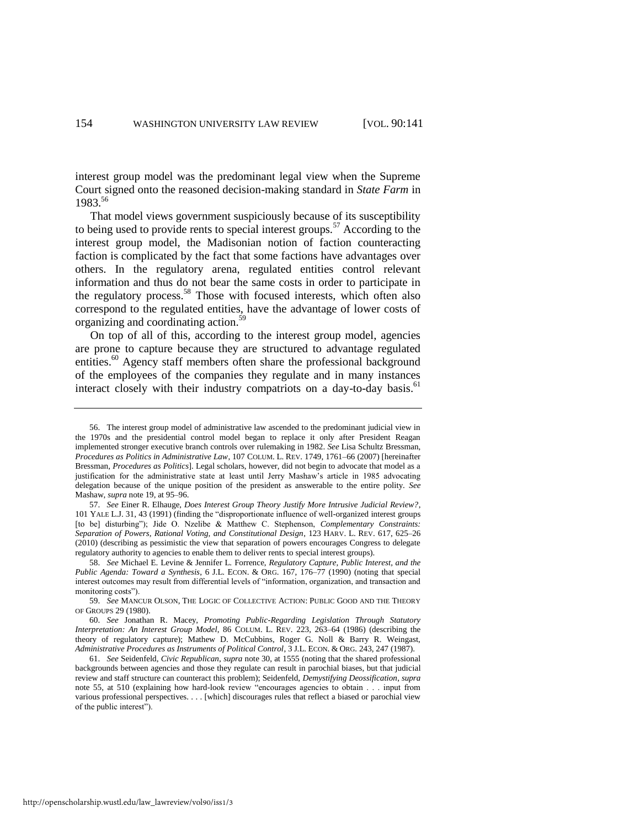interest group model was the predominant legal view when the Supreme Court signed onto the reasoned decision-making standard in *State Farm* in 1983.56

<span id="page-14-0"></span>That model views government suspiciously because of its susceptibility to being used to provide rents to special interest groups.<sup>57</sup> According to the interest group model, the Madisonian notion of faction counteracting faction is complicated by the fact that some factions have advantages over others. In the regulatory arena, regulated entities control relevant information and thus do not bear the same costs in order to participate in the regulatory process.<sup>58</sup> Those with focused interests, which often also correspond to the regulated entities, have the advantage of lower costs of organizing and coordinating action.<sup>59</sup>

On top of all of this, according to the interest group model, agencies are prone to capture because they are structured to advantage regulated entities.<sup>60</sup> Agency staff members often share the professional background of the employees of the companies they regulate and in many instances interact closely with their industry compatriots on a day-to-day basis.<sup>61</sup>

<sup>56.</sup> The interest group model of administrative law ascended to the predominant judicial view in the 1970s and the presidential control model began to replace it only after President Reagan implemented stronger executive branch controls over rulemaking in 1982. *See* Lisa Schultz Bressman, *Procedures as Politics in Administrative Law*, 107 COLUM. L. REV. 1749, 1761–66 (2007) [hereinafter Bressman, *Procedures as Politics*]. Legal scholars, however, did not begin to advocate that model as a justification for the administrative state at least until Jerry Mashaw's article in 1985 advocating delegation because of the unique position of the president as answerable to the entire polity. *See* Mashaw, *supra* not[e 19,](#page-6-0) at 95–96.

<sup>57.</sup> *See* Einer R. Elhauge, *Does Interest Group Theory Justify More Intrusive Judicial Review?*, 101 YALE L.J. 31, 43 (1991) (finding the "disproportionate influence of well-organized interest groups [to be] disturbing"); Jide O. Nzelibe & Matthew C. Stephenson, *Complementary Constraints: Separation of Powers, Rational Voting, and Constitutional Design*, 123 HARV. L. REV. 617, 625–26 (2010) (describing as pessimistic the view that separation of powers encourages Congress to delegate regulatory authority to agencies to enable them to deliver rents to special interest groups).

<sup>58.</sup> *See* Michael E. Levine & Jennifer L. Forrence, *Regulatory Capture, Public Interest, and the Public Agenda: Toward a Synthesis*, 6 J.L. ECON. & ORG. 167, 176–77 (1990) (noting that special interest outcomes may result from differential levels of "information, organization, and transaction and monitoring costs").

<sup>59.</sup> *See* MANCUR OLSON, THE LOGIC OF COLLECTIVE ACTION: PUBLIC GOOD AND THE THEORY OF GROUPS 29 (1980).

<sup>60.</sup> *See* Jonathan R. Macey, *Promoting Public-Regarding Legislation Through Statutory Interpretation: An Interest Group Model*, 86 COLUM. L. REV. 223, 263–64 (1986) (describing the theory of regulatory capture); Mathew D. McCubbins, Roger G. Noll & Barry R. Weingast, *Administrative Procedures as Instruments of Political Control*, 3 J.L. ECON. & ORG. 243, 247 (1987).

<sup>61.</sup> *See* Seidenfeld, *Civic Republican*, *supra* not[e 30,](#page-9-0) at 1555 (noting that the shared professional backgrounds between agencies and those they regulate can result in parochial biases, but that judicial review and staff structure can counteract this problem); Seidenfeld, *Demystifying Deossification*, *supra* note [55,](#page-13-0) at 510 (explaining how hard-look review "encourages agencies to obtain . . . input from various professional perspectives. . . . [which] discourages rules that reflect a biased or parochial view of the public interest").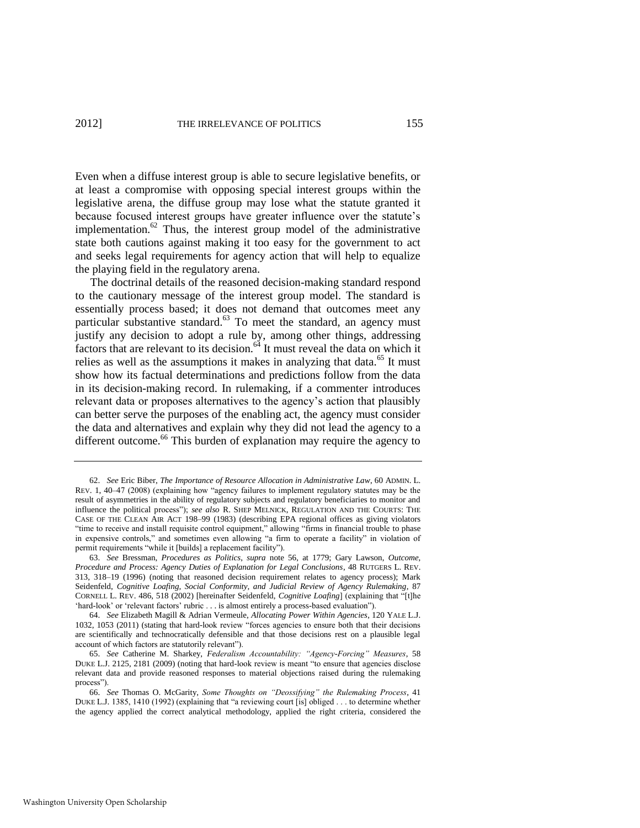Even when a diffuse interest group is able to secure legislative benefits, or at least a compromise with opposing special interest groups within the legislative arena, the diffuse group may lose what the statute granted it because focused interest groups have greater influence over the statute's implementation.<sup>62</sup> Thus, the interest group model of the administrative state both cautions against making it too easy for the government to act and seeks legal requirements for agency action that will help to equalize the playing field in the regulatory arena.

<span id="page-15-2"></span><span id="page-15-1"></span>The doctrinal details of the reasoned decision-making standard respond to the cautionary message of the interest group model. The standard is essentially process based; it does not demand that outcomes meet any particular substantive standard.<sup>63</sup> To meet the standard, an agency must justify any decision to adopt a rule by, among other things, addressing factors that are relevant to its decision.<sup>64</sup> It must reveal the data on which it relies as well as the assumptions it makes in analyzing that data.<sup>65</sup> It must show how its factual determinations and predictions follow from the data in its decision-making record. In rulemaking, if a commenter introduces relevant data or proposes alternatives to the agency's action that plausibly can better serve the purposes of the enabling act, the agency must consider the data and alternatives and explain why they did not lead the agency to a different outcome.<sup>66</sup> This burden of explanation may require the agency to

<span id="page-15-0"></span><sup>62.</sup> *See* Eric Biber, *The Importance of Resource Allocation in Administrative Law*, 60 ADMIN. L. REV. 1, 40–47 (2008) (explaining how "agency failures to implement regulatory statutes may be the result of asymmetries in the ability of regulatory subjects and regulatory beneficiaries to monitor and influence the political process"); *see also* R. SHEP MELNICK, REGULATION AND THE COURTS: THE CASE OF THE CLEAN AIR ACT 198–99 (1983) (describing EPA regional offices as giving violators "time to receive and install requisite control equipment," allowing "firms in financial trouble to phase in expensive controls," and sometimes even allowing "a firm to operate a facility" in violation of permit requirements "while it [builds] a replacement facility").

<sup>63.</sup> *See* Bressman, *Procedures as Politics*, *supra* note [56,](#page-14-0) at 1779; Gary Lawson, *Outcome, Procedure and Process: Agency Duties of Explanation for Legal Conclusions*, 48 RUTGERS L. REV. 313, 318–19 (1996) (noting that reasoned decision requirement relates to agency process); Mark Seidenfeld, *Cognitive Loafing, Social Conformity, and Judicial Review of Agency Rulemaking*, 87 CORNELL L. REV. 486, 518 (2002) [hereinafter Seidenfeld, *Cognitive Loafing*] (explaining that "[t]he 'hard-look' or 'relevant factors' rubric . . . is almost entirely a process-based evaluation").

<sup>64.</sup> *See* Elizabeth Magill & Adrian Vermeule, *Allocating Power Within Agencies*, 120 YALE L.J. 1032, 1053 (2011) (stating that hard-look review "forces agencies to ensure both that their decisions are scientifically and technocratically defensible and that those decisions rest on a plausible legal account of which factors are statutorily relevant").

<sup>65.</sup> See Catherine M. Sharkey, *Federalism Accountability: "Agency-Forcing" Measures*, 58 DUKE L.J. 2125, 2181 (2009) (noting that hard-look review is meant "to ensure that agencies disclose relevant data and provide reasoned responses to material objections raised during the rulemaking process").

<sup>66.</sup> *See* Thomas O. McGarity, *Some Thoughts on "Deossifying" the Rulemaking Process*, 41 DUKE L.J. 1385, 1410 (1992) (explaining that "a reviewing court [is] obliged . . . to determine whether the agency applied the correct analytical methodology, applied the right criteria, considered the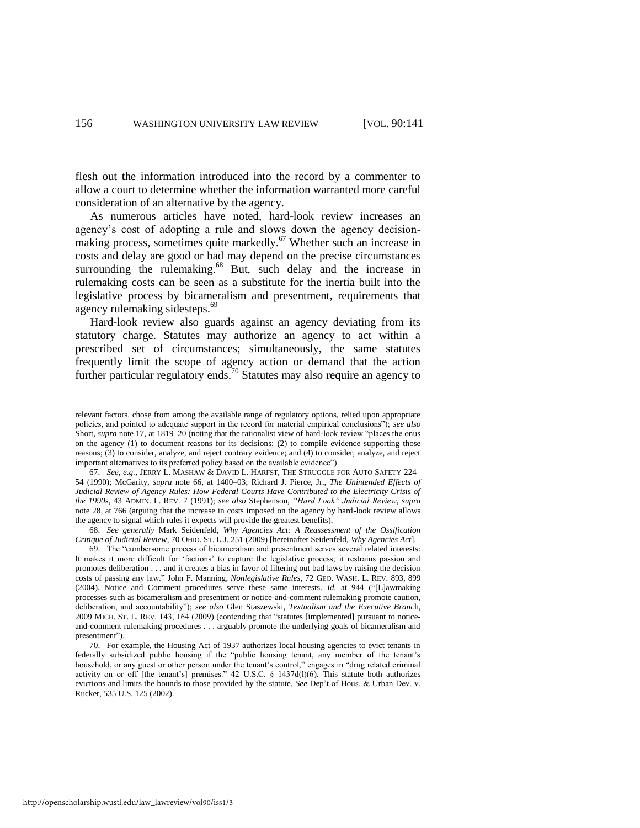flesh out the information introduced into the record by a commenter to allow a court to determine whether the information warranted more careful consideration of an alternative by the agency.

<span id="page-16-0"></span>As numerous articles have noted, hard-look review increases an agency's cost of adopting a rule and slows down the agency decisionmaking process, sometimes quite markedly.<sup>67</sup> Whether such an increase in costs and delay are good or bad may depend on the precise circumstances surrounding the rulemaking.<sup>68</sup> But, such delay and the increase in rulemaking costs can be seen as a substitute for the inertia built into the legislative process by bicameralism and presentment, requirements that agency rulemaking sidesteps.<sup>69</sup>

Hard-look review also guards against an agency deviating from its statutory charge. Statutes may authorize an agency to act within a prescribed set of circumstances; simultaneously, the same statutes frequently limit the scope of agency action or demand that the action further particular regulatory ends.<sup>70</sup> Statutes may also require an agency to

68. *See generally* Mark Seidenfeld, *Why Agencies Act: A Reassessment of the Ossification Critique of Judicial Review*, 70 OHIO. ST. L.J. 251 (2009) [hereinafter Seidenfeld, *Why Agencies Act*].

relevant factors, chose from among the available range of regulatory options, relied upon appropriate policies, and pointed to adequate support in the record for material empirical conclusions"); see also Short, *supra* note [17,](#page-5-0) at 1819–20 (noting that the rationalist view of hard-look review "places the onus on the agency (1) to document reasons for its decisions; (2) to compile evidence supporting those reasons; (3) to consider, analyze, and reject contrary evidence; and (4) to consider, analyze, and reject important alternatives to its preferred policy based on the available evidence").

<sup>67.</sup> *See, e.g.*, JERRY L. MASHAW & DAVID L. HARFST, THE STRUGGLE FOR AUTO SAFETY 224– 54 (1990); McGarity, *supra* note [66,](#page-15-0) at 1400–03; Richard J. Pierce, Jr., *The Unintended Effects of Judicial Review of Agency Rules: How Federal Courts Have Contributed to the Electricity Crisis of the 1990s*, 43 ADMIN. L. REV. 7 (1991); *see also* Stephenson, *―Hard Look‖ Judicial Review*, *supra* note [28,](#page-7-0) at 766 (arguing that the increase in costs imposed on the agency by hard-look review allows the agency to signal which rules it expects will provide the greatest benefits).

<sup>69.</sup> The "cumbersome process of bicameralism and presentment serves several related interests: It makes it more difficult for 'factions' to capture the legislative process; it restrains passion and promotes deliberation . . . and it creates a bias in favor of filtering out bad laws by raising the decision costs of passing any law.‖ John F. Manning*, Nonlegislative Rules*, 72 GEO. WASH. L. REV. 893, 899 (2004). Notice and Comment procedures serve these same interests. *Id.* at 944 ("[L]awmaking processes such as bicameralism and presentment or notice-and-comment rulemaking promote caution, deliberation, and accountability‖); *see also* Glen Staszewski, *Textualism and the Executive Branc*h, 2009 MICH. ST. L. REV. 143, 164 (2009) (contending that "statutes [implemented] pursuant to noticeand-comment rulemaking procedures . . . arguably promote the underlying goals of bicameralism and presentment").

<sup>70.</sup> For example, the Housing Act of 1937 authorizes local housing agencies to evict tenants in federally subsidized public housing if the "public housing tenant, any member of the tenant's household, or any guest or other person under the tenant's control," engages in "drug related criminal activity on or off [the tenant's] premises." 42 U.S.C. § 1437d(l)(6). This statute both authorizes evictions and limits the bounds to those provided by the statute. *See* Dep't of Hous. & Urban Dev. v. Rucker, 535 U.S. 125 (2002).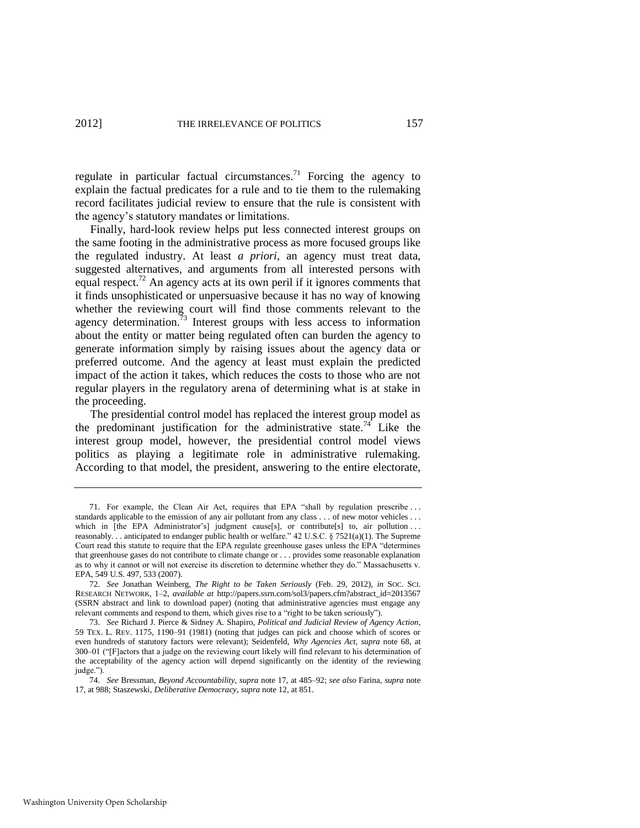regulate in particular factual circumstances.<sup>71</sup> Forcing the agency to explain the factual predicates for a rule and to tie them to the rulemaking record facilitates judicial review to ensure that the rule is consistent with the agency's statutory mandates or limitations.

Finally, hard-look review helps put less connected interest groups on the same footing in the administrative process as more focused groups like the regulated industry. At least *a priori*, an agency must treat data, suggested alternatives, and arguments from all interested persons with equal respect.<sup>72</sup> An agency acts at its own peril if it ignores comments that it finds unsophisticated or unpersuasive because it has no way of knowing whether the reviewing court will find those comments relevant to the agency determination.<sup>73</sup> Interest groups with less access to information about the entity or matter being regulated often can burden the agency to generate information simply by raising issues about the agency data or preferred outcome. And the agency at least must explain the predicted impact of the action it takes, which reduces the costs to those who are not regular players in the regulatory arena of determining what is at stake in the proceeding.

<span id="page-17-0"></span>The presidential control model has replaced the interest group model as the predominant justification for the administrative state.<sup>74</sup> Like the interest group model, however, the presidential control model views politics as playing a legitimate role in administrative rulemaking. According to that model, the president, answering to the entire electorate,

<sup>71.</sup> For example, the Clean Air Act, requires that EPA "shall by regulation prescribe ... standards applicable to the emission of any air pollutant from any class . . . of new motor vehicles . . . which in [the EPA Administrator's] judgment cause[s], or contribute[s] to, air pollution ... reasonably. . . anticipated to endanger public health or welfare." 42 U.S.C. § 7521(a)(1). The Supreme Court read this statute to require that the EPA regulate greenhouse gases unless the EPA "determines" that greenhouse gases do not contribute to climate change or . . . provides some reasonable explanation as to why it cannot or will not exercise its discretion to determine whether they do." Massachusetts v. EPA, 549 U.S. 497, 533 (2007).

<sup>72.</sup> *See* Jonathan Weinberg, *The Right to be Taken Seriously* (Feb. 29, 2012), *in* SOC. SCI. RESEARCH NETWORK, 1–2, *available at* http://papers.ssrn.com/sol3/papers.cfm?abstract\_id=2013567 (SSRN abstract and link to download paper) (noting that administrative agencies must engage any relevant comments and respond to them, which gives rise to a "right to be taken seriously").

<sup>73.</sup> *See* Richard J. Pierce & Sidney A. Shapiro, *Political and Judicial Review of Agency Action*, 59 TEX. L. REV. 1175, 1190–91 (1981) (noting that judges can pick and choose which of scores or even hundreds of statutory factors were relevant); Seidenfeld, *Why Agencies Act*, *supra* note [68,](#page-16-0) at 300–01 ("[F]actors that a judge on the reviewing court likely will find relevant to his determination of the acceptability of the agency action will depend significantly on the identity of the reviewing judge.").

<sup>74.</sup> *See* Bressman, *Beyond Accountability*, *supra* note [17,](#page-5-0) at 485–92; *see also* Farina, *supra* note [17,](#page-5-0) at 988; Staszewski, *Deliberative Democracy*, *supra* not[e 12,](#page-3-1) at 851.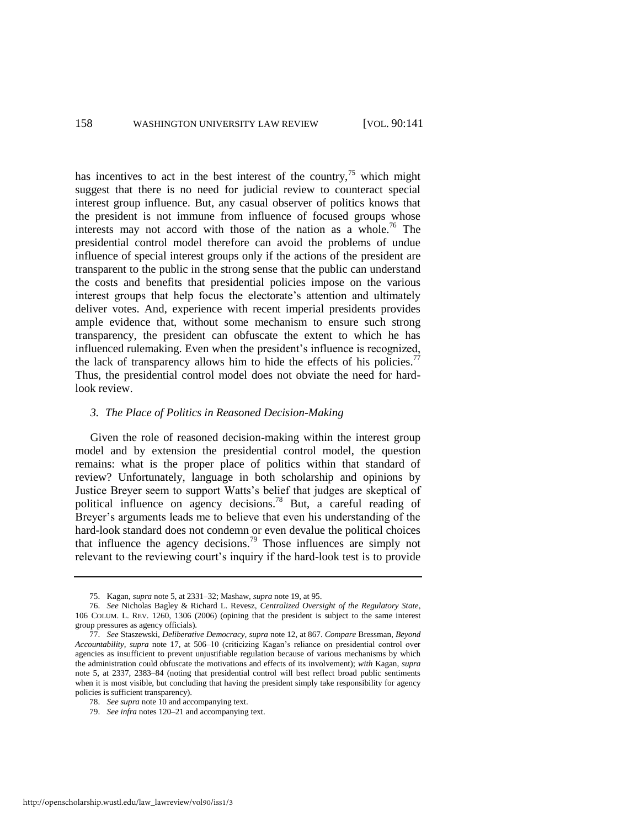has incentives to act in the best interest of the country,<sup>75</sup> which might suggest that there is no need for judicial review to counteract special interest group influence. But, any casual observer of politics knows that the president is not immune from influence of focused groups whose interests may not accord with those of the nation as a whole.<sup>76</sup> The presidential control model therefore can avoid the problems of undue influence of special interest groups only if the actions of the president are transparent to the public in the strong sense that the public can understand the costs and benefits that presidential policies impose on the various interest groups that help focus the electorate's attention and ultimately deliver votes. And, experience with recent imperial presidents provides ample evidence that, without some mechanism to ensure such strong transparency, the president can obfuscate the extent to which he has influenced rulemaking. Even when the president's influence is recognized, the lack of transparency allows him to hide the effects of his policies.<sup>77</sup> Thus, the presidential control model does not obviate the need for hardlook review.

#### <span id="page-18-0"></span>*3. The Place of Politics in Reasoned Decision-Making*

Given the role of reasoned decision-making within the interest group model and by extension the presidential control model, the question remains: what is the proper place of politics within that standard of review? Unfortunately, language in both scholarship and opinions by Justice Breyer seem to support Watts's belief that judges are skeptical of political influence on agency decisions.<sup>78</sup> But, a careful reading of Breyer's arguments leads me to believe that even his understanding of the hard-look standard does not condemn or even devalue the political choices that influence the agency decisions.<sup>79</sup> Those influences are simply not relevant to the reviewing court's inquiry if the hard-look test is to provide

<sup>75.</sup> Kagan, *supra* not[e 5,](#page-2-2) at 2331–32; Mashaw, *supra* not[e 19,](#page-6-0) at 95.

<sup>76.</sup> *See* Nicholas Bagley & Richard L. Revesz, *Centralized Oversight of the Regulatory State*, 106 COLUM. L. REV. 1260, 1306 (2006) (opining that the president is subject to the same interest group pressures as agency officials).

<sup>77.</sup> *See* Staszewski, *Deliberative Democracy*, *supra* not[e 12,](#page-3-1) at 867. *Compare* Bressman, *Beyond Accountability*, *supra* note [17,](#page-5-0) at 506–10 (criticizing Kagan's reliance on presidential control over agencies as insufficient to prevent unjustifiable regulation because of various mechanisms by which the administration could obfuscate the motivations and effects of its involvement); *with* Kagan, *supra* note [5,](#page-2-2) at 2337, 2383–84 (noting that presidential control will best reflect broad public sentiments when it is most visible, but concluding that having the president simply take responsibility for agency policies is sufficient transparency).

<sup>78.</sup> *See supra* not[e 10 a](#page-3-0)nd accompanying text.

<sup>79.</sup> *See infra* notes [120–](#page-26-0)21 and accompanying text.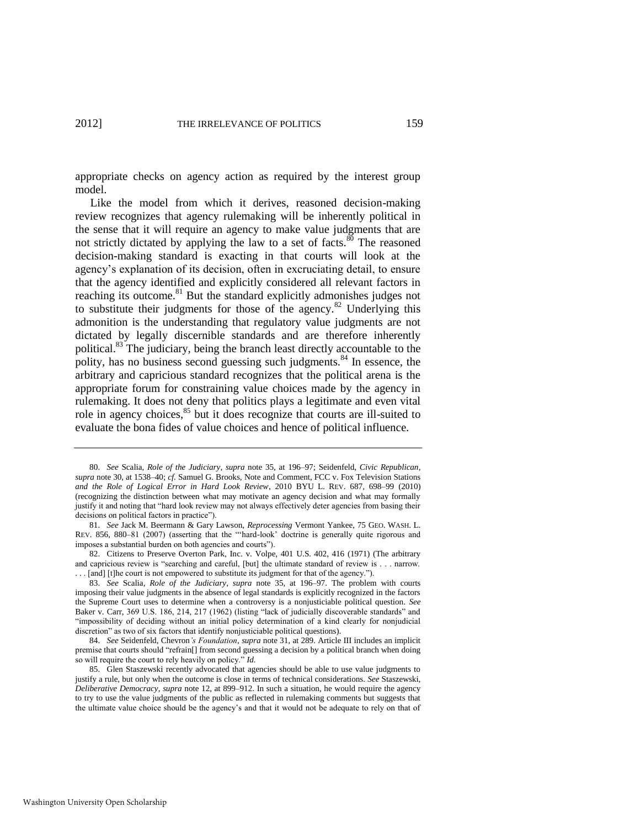appropriate checks on agency action as required by the interest group model.

<span id="page-19-1"></span>Like the model from which it derives, reasoned decision-making review recognizes that agency rulemaking will be inherently political in the sense that it will require an agency to make value judgments that are not strictly dictated by applying the law to a set of facts.<sup>80</sup> The reasoned decision-making standard is exacting in that courts will look at the agency's explanation of its decision, often in excruciating detail, to ensure that the agency identified and explicitly considered all relevant factors in reaching its outcome.<sup>81</sup> But the standard explicitly admonishes judges not to substitute their judgments for those of the agency.<sup>82</sup> Underlying this admonition is the understanding that regulatory value judgments are not dictated by legally discernible standards and are therefore inherently political.<sup>83</sup> The judiciary, being the branch least directly accountable to the polity, has no business second guessing such judgments.<sup>84</sup> In essence, the arbitrary and capricious standard recognizes that the political arena is the appropriate forum for constraining value choices made by the agency in rulemaking. It does not deny that politics plays a legitimate and even vital role in agency choices,<sup>85</sup> but it does recognize that courts are ill-suited to evaluate the bona fides of value choices and hence of political influence.

<span id="page-19-0"></span><sup>80.</sup> *See* Scalia, *Role of the Judiciary*, *supra* note [35,](#page-10-0) at 196–97; Seidenfeld, *Civic Republican*, *supra* not[e 30,](#page-9-0) at 1538–40; *cf.* Samuel G. Brooks, Note and Comment, FCC v. Fox Television Stations *and the Role of Logical Error in Hard Look Review*, 2010 BYU L. REV. 687, 698–99 (2010) (recognizing the distinction between what may motivate an agency decision and what may formally justify it and noting that "hard look review may not always effectively deter agencies from basing their decisions on political factors in practice").

<sup>81.</sup> *See* Jack M. Beermann & Gary Lawson, *Reprocessing* Vermont Yankee, 75 GEO. WASH. L. REV. 856, 880-81 (2007) (asserting that the "'hard-look' doctrine is generally quite rigorous and imposes a substantial burden on both agencies and courts").

<sup>82.</sup> Citizens to Preserve Overton Park, Inc. v. Volpe, 401 U.S. 402, 416 (1971) (The arbitrary and capricious review is "searching and careful, [but] the ultimate standard of review is . . . narrow. ... [and] [t]he court is not empowered to substitute its judgment for that of the agency.").

<sup>83.</sup> *See* Scalia, *Role of the Judiciary*, *supra* note [35,](#page-10-0) at 196–97. The problem with courts imposing their value judgments in the absence of legal standards is explicitly recognized in the factors the Supreme Court uses to determine when a controversy is a nonjusticiable political question. *See* Baker v. Carr, 369 U.S. 186, 214, 217 (1962) (listing "lack of judicially discoverable standards" and ―impossibility of deciding without an initial policy determination of a kind clearly for nonjudicial discretion" as two of six factors that identify nonjusticiable political questions).

<sup>84.</sup> *See* Seidenfeld, Chevron*'s Foundation*, *supra* not[e 31,](#page-9-1) at 289. Article III includes an implicit premise that courts should "refrain[] from second guessing a decision by a political branch when doing so will require the court to rely heavily on policy." *Id.* 

<sup>85.</sup> Glen Staszewski recently advocated that agencies should be able to use value judgments to justify a rule, but only when the outcome is close in terms of technical considerations. *See* Staszewski, *Deliberative Democracy*, *supra* not[e 12,](#page-3-1) at 899–912. In such a situation, he would require the agency to try to use the value judgments of the public as reflected in rulemaking comments but suggests that the ultimate value choice should be the agency's and that it would not be adequate to rely on that of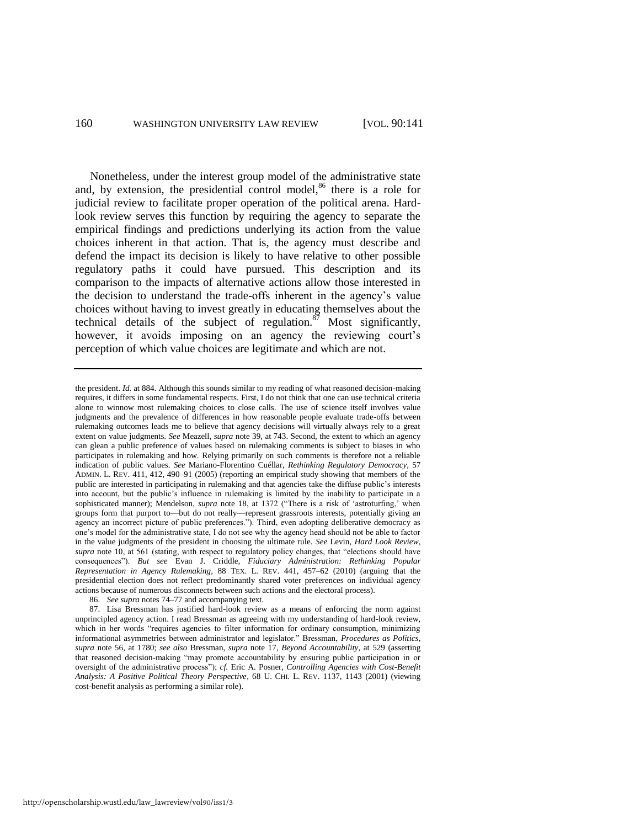Nonetheless, under the interest group model of the administrative state and, by extension, the presidential control model, $86$  there is a role for judicial review to facilitate proper operation of the political arena. Hardlook review serves this function by requiring the agency to separate the empirical findings and predictions underlying its action from the value choices inherent in that action. That is, the agency must describe and defend the impact its decision is likely to have relative to other possible regulatory paths it could have pursued. This description and its comparison to the impacts of alternative actions allow those interested in the decision to understand the trade-offs inherent in the agency's value choices without having to invest greatly in educating themselves about the technical details of the subject of regulation. $87$  Most significantly, however, it avoids imposing on an agency the reviewing court's perception of which value choices are legitimate and which are not.

86. *See supra* note[s 74](#page-17-0)[–77 a](#page-18-0)nd accompanying text.

<span id="page-20-0"></span>the president. *Id.* at 884. Although this sounds similar to my reading of what reasoned decision-making requires, it differs in some fundamental respects. First, I do not think that one can use technical criteria alone to winnow most rulemaking choices to close calls. The use of science itself involves value judgments and the prevalence of differences in how reasonable people evaluate trade-offs between rulemaking outcomes leads me to believe that agency decisions will virtually always rely to a great extent on value judgments. *See* Meazell, *supra* not[e 39,](#page-11-2) at 743. Second, the extent to which an agency can glean a public preference of values based on rulemaking comments is subject to biases in who participates in rulemaking and how. Relying primarily on such comments is therefore not a reliable indication of public values. *See* Mariano-Florentino Cuéllar, *Rethinking Regulatory Democracy*, 57 ADMIN. L. REV. 411, 412, 490–91 (2005) (reporting an empirical study showing that members of the public are interested in participating in rulemaking and that agencies take the diffuse public's interests into account, but the public's influence in rulemaking is limited by the inability to participate in a sophisticated manner); Mendelson, *supra* note [18,](#page-5-1) at 1372 ("There is a risk of 'astroturfing,' when groups form that purport to—but do not really—represent grassroots interests, potentially giving an agency an incorrect picture of public preferences."). Third, even adopting deliberative democracy as one's model for the administrative state, I do not see why the agency head should not be able to factor in the value judgments of the president in choosing the ultimate rule. *See* Levin, *Hard Look Review*, supra note [10,](#page-3-0) at 561 (stating, with respect to regulatory policy changes, that "elections should have consequences‖). *But see* Evan J. Criddle, *Fiduciary Administration: Rethinking Popular Representation in Agency Rulemaking*, 88 TEX. L. REV. 441, 457–62 (2010) (arguing that the presidential election does not reflect predominantly shared voter preferences on individual agency actions because of numerous disconnects between such actions and the electoral process).

<sup>87.</sup> Lisa Bressman has justified hard-look review as a means of enforcing the norm against unprincipled agency action. I read Bressman as agreeing with my understanding of hard-look review, which in her words "requires agencies to filter information for ordinary consumption, minimizing informational asymmetries between administrator and legislator.‖ Bressman, *Procedures as Politics*, *supra* note [56,](#page-14-0) at 1780; *see also* Bressman, *supra* note [17,](#page-5-0) *Beyond Accountability*, at 529 (asserting that reasoned decision-making "may promote accountability by ensuring public participation in or oversight of the administrative process"); *cf.* Eric A. Posner, *Controlling Agencies with Cost-Benefit Analysis: A Positive Political Theory Perspective*, 68 U. CHI. L. REV. 1137, 1143 (2001) (viewing cost-benefit analysis as performing a similar role).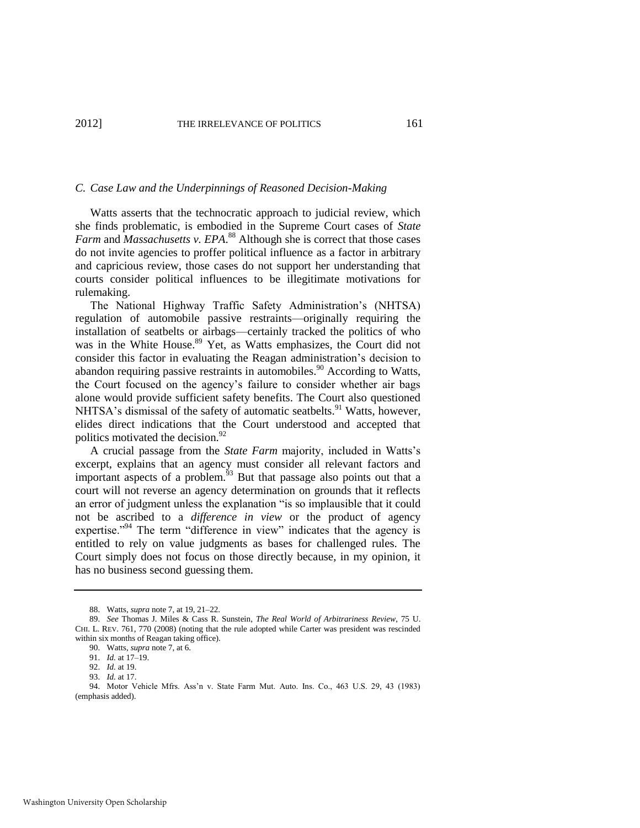#### *C. Case Law and the Underpinnings of Reasoned Decision-Making*

Watts asserts that the technocratic approach to judicial review, which she finds problematic, is embodied in the Supreme Court cases of *State Farm* and *Massachusetts v. EPA*. <sup>88</sup> Although she is correct that those cases do not invite agencies to proffer political influence as a factor in arbitrary and capricious review, those cases do not support her understanding that courts consider political influences to be illegitimate motivations for rulemaking.

<span id="page-21-0"></span>The National Highway Traffic Safety Administration's (NHTSA) regulation of automobile passive restraints—originally requiring the installation of seatbelts or airbags—certainly tracked the politics of who was in the White House.<sup>89</sup> Yet, as Watts emphasizes, the Court did not consider this factor in evaluating the Reagan administration's decision to abandon requiring passive restraints in automobiles.<sup>90</sup> According to Watts, the Court focused on the agency's failure to consider whether air bags alone would provide sufficient safety benefits. The Court also questioned NHTSA's dismissal of the safety of automatic seatbelts.<sup>91</sup> Watts, however, elides direct indications that the Court understood and accepted that politics motivated the decision.<sup>92</sup>

A crucial passage from the *State Farm* majority, included in Watts's excerpt, explains that an agency must consider all relevant factors and important aspects of a problem. $93$  But that passage also points out that a court will not reverse an agency determination on grounds that it reflects an error of judgment unless the explanation "is so implausible that it could not be ascribed to a *difference in view* or the product of agency expertise."<sup>94</sup> The term "difference in view" indicates that the agency is entitled to rely on value judgments as bases for challenged rules. The Court simply does not focus on those directly because, in my opinion, it has no business second guessing them.

<sup>88.</sup> Watts, *supra* not[e 7,](#page-2-1) at 19, 21–22.

<sup>89.</sup> *See* Thomas J. Miles & Cass R. Sunstein, *The Real World of Arbitrariness Review*, 75 U. CHI. L. REV. 761, 770 (2008) (noting that the rule adopted while Carter was president was rescinded within six months of Reagan taking office).

<sup>90.</sup> Watts, *supra* not[e 7,](#page-2-1) at 6.

<sup>91.</sup> *Id.* at 17–19.

<sup>92.</sup> *Id.* at 19.

<sup>93.</sup> *Id.* at 17.

<sup>94.</sup> Motor Vehicle Mfrs. Ass'n v. State Farm Mut. Auto. Ins. Co., 463 U.S. 29, 43 (1983) (emphasis added).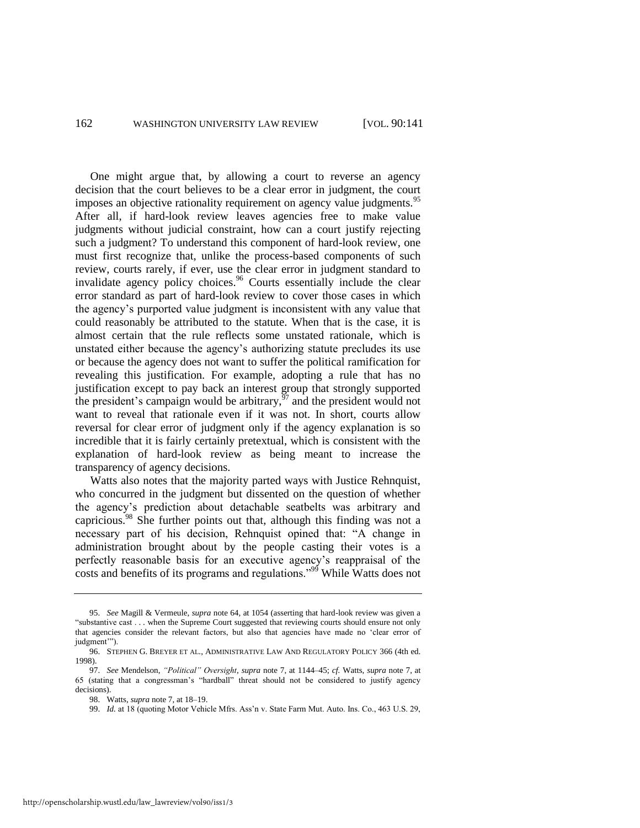<span id="page-22-0"></span>One might argue that, by allowing a court to reverse an agency decision that the court believes to be a clear error in judgment, the court imposes an objective rationality requirement on agency value judgments.<sup>95</sup> After all, if hard-look review leaves agencies free to make value judgments without judicial constraint, how can a court justify rejecting such a judgment? To understand this component of hard-look review, one must first recognize that, unlike the process-based components of such review, courts rarely, if ever, use the clear error in judgment standard to invalidate agency policy choices.  $\frac{96}{6}$  Courts essentially include the clear error standard as part of hard-look review to cover those cases in which the agency's purported value judgment is inconsistent with any value that could reasonably be attributed to the statute. When that is the case, it is almost certain that the rule reflects some unstated rationale, which is unstated either because the agency's authorizing statute precludes its use or because the agency does not want to suffer the political ramification for revealing this justification. For example, adopting a rule that has no justification except to pay back an interest group that strongly supported the president's campaign would be arbitrary, $97$  and the president would not want to reveal that rationale even if it was not. In short, courts allow reversal for clear error of judgment only if the agency explanation is so incredible that it is fairly certainly pretextual, which is consistent with the explanation of hard-look review as being meant to increase the transparency of agency decisions.

Watts also notes that the majority parted ways with Justice Rehnquist, who concurred in the judgment but dissented on the question of whether the agency's prediction about detachable seatbelts was arbitrary and capricious.<sup>98</sup> She further points out that, although this finding was not a necessary part of his decision, Rehnquist opined that: "A change in administration brought about by the people casting their votes is a perfectly reasonable basis for an executive agency's reappraisal of the costs and benefits of its programs and regulations.<sup>999</sup> While Watts does not

<sup>95.</sup> *See* Magill & Vermeule, *supra* not[e 64,](#page-15-1) at 1054 (asserting that hard-look review was given a "substantive cast . . . when the Supreme Court suggested that reviewing courts should ensure not only that agencies consider the relevant factors, but also that agencies have made no 'clear error of judgment"').

<sup>96.</sup> STEPHEN G. BREYER ET AL., ADMINISTRATIVE LAW AND REGULATORY POLICY 366 (4th ed. 1998).

<sup>97.</sup> *See* Mendelson, *―Political‖ Oversight*, *supra* note [7,](#page-2-1) at 1144–45; *cf.* Watts, *supra* note [7,](#page-2-1) at 65 (stating that a congressman's "hardball" threat should not be considered to justify agency decisions).

<sup>98.</sup> Watts, *supra* not[e 7,](#page-2-1) at 18–19.

<sup>99.</sup> *Id.* at 18 (quoting Motor Vehicle Mfrs. Ass'n v. State Farm Mut. Auto. Ins. Co., 463 U.S. 29,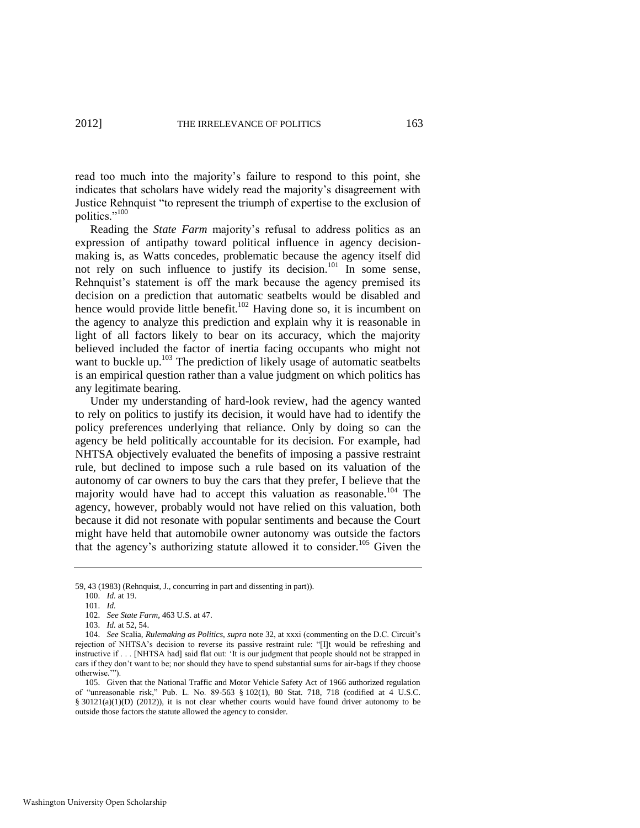read too much into the majority's failure to respond to this point, she indicates that scholars have widely read the majority's disagreement with Justice Rehnquist "to represent the triumph of expertise to the exclusion of politics."<sup>100</sup>

Reading the *State Farm* majority's refusal to address politics as an expression of antipathy toward political influence in agency decisionmaking is, as Watts concedes, problematic because the agency itself did not rely on such influence to justify its decision.<sup>101</sup> In some sense, Rehnquist's statement is off the mark because the agency premised its decision on a prediction that automatic seatbelts would be disabled and hence would provide little benefit.<sup>102</sup> Having done so, it is incumbent on the agency to analyze this prediction and explain why it is reasonable in light of all factors likely to bear on its accuracy, which the majority believed included the factor of inertia facing occupants who might not want to buckle up. $103$  The prediction of likely usage of automatic seatbelts is an empirical question rather than a value judgment on which politics has any legitimate bearing.

Under my understanding of hard-look review, had the agency wanted to rely on politics to justify its decision, it would have had to identify the policy preferences underlying that reliance. Only by doing so can the agency be held politically accountable for its decision. For example, had NHTSA objectively evaluated the benefits of imposing a passive restraint rule, but declined to impose such a rule based on its valuation of the autonomy of car owners to buy the cars that they prefer, I believe that the majority would have had to accept this valuation as reasonable.<sup>104</sup> The agency, however, probably would not have relied on this valuation, both because it did not resonate with popular sentiments and because the Court might have held that automobile owner autonomy was outside the factors that the agency's authorizing statute allowed it to consider.<sup>105</sup> Given the

<sup>59, 43 (1983) (</sup>Rehnquist, J., concurring in part and dissenting in part)).

<sup>100.</sup> *Id.* at 19.

<sup>101.</sup> *Id.*

<sup>102.</sup> *See State Farm*, 463 U.S. at 47.

<sup>103.</sup> *Id.* at 52, 54.

<sup>104.</sup> *See* Scalia, *Rulemaking as Politics*, *supra* note [32,](#page-9-2) at xxxi (commenting on the D.C. Circuit's rejection of NHTSA's decision to reverse its passive restraint rule: "[I]t would be refreshing and instructive if . . . [NHTSA had] said flat out: 'It is our judgment that people should not be strapped in cars if they don't want to be; nor should they have to spend substantial sums for air-bags if they choose otherwise."").

<sup>105.</sup> Given that the National Traffic and Motor Vehicle Safety Act of 1966 authorized regulation of "unreasonable risk," Pub. L. No. 89-563  $\S$  102(1), 80 Stat. 718, 718 (codified at 4 U.S.C. § 30121(a)(1)(D) (2012)), it is not clear whether courts would have found driver autonomy to be outside those factors the statute allowed the agency to consider.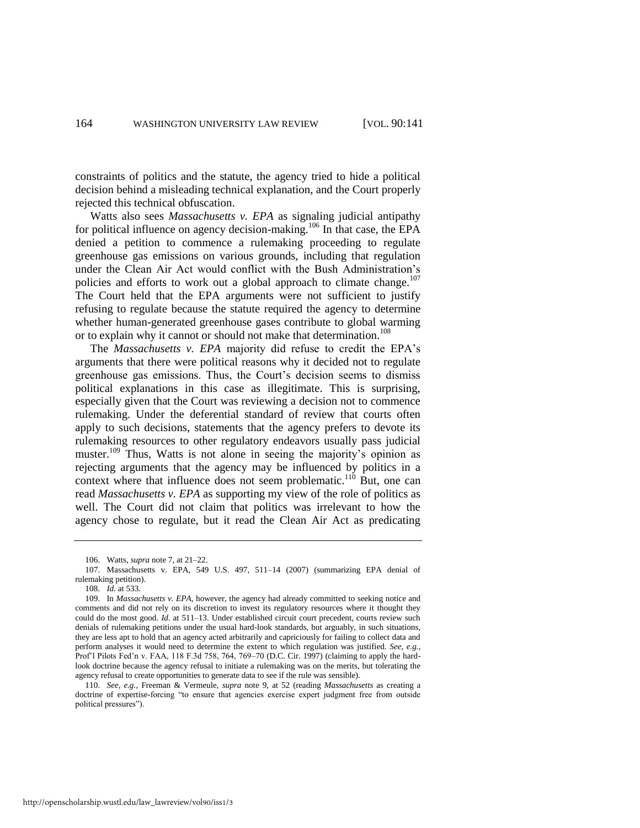constraints of politics and the statute, the agency tried to hide a political decision behind a misleading technical explanation, and the Court properly rejected this technical obfuscation.

Watts also sees *Massachusetts v. EPA* as signaling judicial antipathy for political influence on agency decision-making.<sup>106</sup> In that case, the EPA denied a petition to commence a rulemaking proceeding to regulate greenhouse gas emissions on various grounds, including that regulation under the Clean Air Act would conflict with the Bush Administration's policies and efforts to work out a global approach to climate change.<sup>107</sup> The Court held that the EPA arguments were not sufficient to justify refusing to regulate because the statute required the agency to determine whether human-generated greenhouse gases contribute to global warming or to explain why it cannot or should not make that determination.<sup>108</sup>

The *Massachusetts v. EPA* majority did refuse to credit the EPA's arguments that there were political reasons why it decided not to regulate greenhouse gas emissions. Thus, the Court's decision seems to dismiss political explanations in this case as illegitimate. This is surprising, especially given that the Court was reviewing a decision not to commence rulemaking. Under the deferential standard of review that courts often apply to such decisions, statements that the agency prefers to devote its rulemaking resources to other regulatory endeavors usually pass judicial muster.<sup>109</sup> Thus, Watts is not alone in seeing the majority's opinion as rejecting arguments that the agency may be influenced by politics in a context where that influence does not seem problematic.<sup>110</sup> But, one can read *Massachusetts v. EPA* as supporting my view of the role of politics as well. The Court did not claim that politics was irrelevant to how the agency chose to regulate, but it read the Clean Air Act as predicating

<sup>106.</sup> Watts, *supra* not[e 7,](#page-2-1) at 21–22.

<sup>107.</sup> Massachusetts v. EPA, 549 U.S. 497, 511–14 (2007) (summarizing EPA denial of rulemaking petition).

<sup>108.</sup> *Id.* at 533.

<sup>109.</sup> In *Massachusetts v. EPA*, however, the agency had already committed to seeking notice and comments and did not rely on its discretion to invest its regulatory resources where it thought they could do the most good. *Id.* at 511–13. Under established circuit court precedent, courts review such denials of rulemaking petitions under the usual hard-look standards, but arguably, in such situations, they are less apt to hold that an agency acted arbitrarily and capriciously for failing to collect data and perform analyses it would need to determine the extent to which regulation was justified. *See, e.g.*, Prof'l Pilots Fed'n v. FAA, 118 F.3d 758, 764, 769–70 (D.C. Cir. 1997) (claiming to apply the hardlook doctrine because the agency refusal to initiate a rulemaking was on the merits, but tolerating the agency refusal to create opportunities to generate data to see if the rule was sensible).

<sup>110.</sup> *See, e.g.*, Freeman & Vermeule, *supra* note [9,](#page-3-2) at 52 (reading *Massachusetts* as creating a doctrine of expertise-forcing "to ensure that agencies exercise expert judgment free from outside political pressures").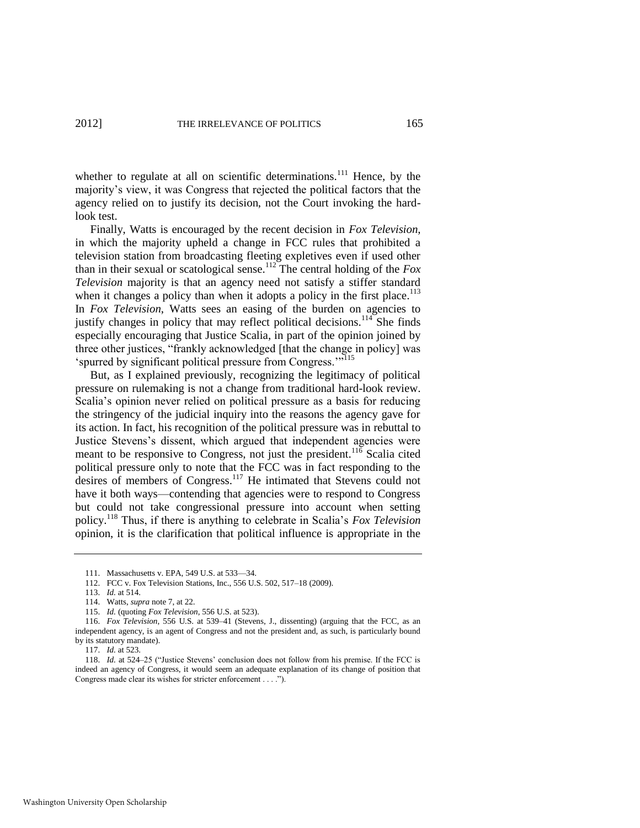whether to regulate at all on scientific determinations.<sup>111</sup> Hence, by the majority's view, it was Congress that rejected the political factors that the agency relied on to justify its decision, not the Court invoking the hardlook test.

Finally, Watts is encouraged by the recent decision in *Fox Television*, in which the majority upheld a change in FCC rules that prohibited a television station from broadcasting fleeting expletives even if used other than in their sexual or scatological sense.<sup>112</sup> The central holding of the  $Fox$ *Television* majority is that an agency need not satisfy a stiffer standard when it changes a policy than when it adopts a policy in the first place.<sup>113</sup> In *Fox Television*, Watts sees an easing of the burden on agencies to justify changes in policy that may reflect political decisions.<sup>114</sup> She finds especially encouraging that Justice Scalia, in part of the opinion joined by three other justices, "frankly acknowledged [that the change in policy] was 'spurred by significant political pressure from Congress.'"<sup>115</sup>

But, as I explained previously, recognizing the legitimacy of political pressure on rulemaking is not a change from traditional hard-look review. Scalia's opinion never relied on political pressure as a basis for reducing the stringency of the judicial inquiry into the reasons the agency gave for its action. In fact, his recognition of the political pressure was in rebuttal to Justice Stevens's dissent, which argued that independent agencies were meant to be responsive to Congress, not just the president.<sup>116</sup> Scalia cited political pressure only to note that the FCC was in fact responding to the desires of members of Congress.<sup>117</sup> He intimated that Stevens could not have it both ways—contending that agencies were to respond to Congress but could not take congressional pressure into account when setting policy.<sup>118</sup> Thus, if there is anything to celebrate in Scalia's *Fox Television* opinion, it is the clarification that political influence is appropriate in the

115. *Id.* (quoting *Fox Television*, 556 U.S. at 523).

<sup>111.</sup> Massachusetts v. EPA, 549 U.S. at 533—34.

<sup>112.</sup> FCC v. Fox Television Stations, Inc., 556 U.S. 502, 517–18 (2009).

<sup>113.</sup> *Id.* at 514.

<sup>114.</sup> Watts, *supra* not[e 7,](#page-2-1) at 22.

<sup>116.</sup> *Fox Television*, 556 U.S. at 539–41 (Stevens, J., dissenting) (arguing that the FCC, as an independent agency, is an agent of Congress and not the president and, as such, is particularly bound by its statutory mandate).

<sup>117.</sup> *Id.* at 523.

<sup>118.</sup> *Id.* at 524–25 ("Justice Stevens' conclusion does not follow from his premise. If the FCC is indeed an agency of Congress, it would seem an adequate explanation of its change of position that Congress made clear its wishes for stricter enforcement . . . .").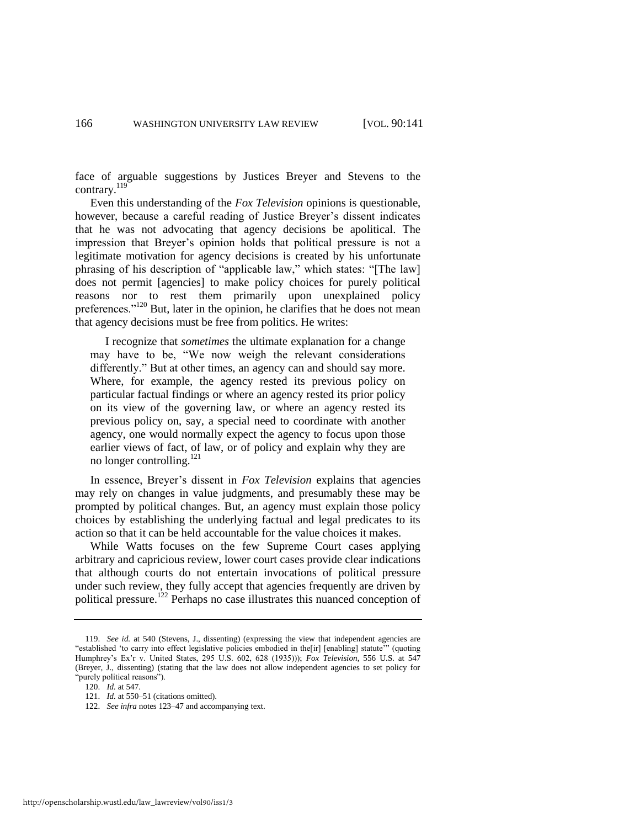face of arguable suggestions by Justices Breyer and Stevens to the contrary.<sup>119</sup>

Even this understanding of the *Fox Television* opinions is questionable, however, because a careful reading of Justice Breyer's dissent indicates that he was not advocating that agency decisions be apolitical. The impression that Breyer's opinion holds that political pressure is not a legitimate motivation for agency decisions is created by his unfortunate phrasing of his description of "applicable law," which states: "[The law] does not permit [agencies] to make policy choices for purely political reasons nor to rest them primarily upon unexplained policy preferences."<sup>120</sup> But, later in the opinion, he clarifies that he does not mean that agency decisions must be free from politics. He writes:

<span id="page-26-0"></span> I recognize that *sometimes* the ultimate explanation for a change may have to be, "We now weigh the relevant considerations differently." But at other times, an agency can and should say more. Where, for example, the agency rested its previous policy on particular factual findings or where an agency rested its prior policy on its view of the governing law, or where an agency rested its previous policy on, say, a special need to coordinate with another agency, one would normally expect the agency to focus upon those earlier views of fact, of law, or of policy and explain why they are no longer controlling. $^{121}$ 

In essence, Breyer's dissent in *Fox Television* explains that agencies may rely on changes in value judgments, and presumably these may be prompted by political changes. But, an agency must explain those policy choices by establishing the underlying factual and legal predicates to its action so that it can be held accountable for the value choices it makes.

While Watts focuses on the few Supreme Court cases applying arbitrary and capricious review, lower court cases provide clear indications that although courts do not entertain invocations of political pressure under such review, they fully accept that agencies frequently are driven by political pressure.<sup>122</sup> Perhaps no case illustrates this nuanced conception of

<sup>119.</sup> *See id.* at 540 (Stevens, J., dissenting) (expressing the view that independent agencies are "established 'to carry into effect legislative policies embodied in the[ir] [enabling] statute" (quoting Humphrey's Ex'r v. United States, 295 U.S. 602, 628 (1935))); *Fox Television*, 556 U.S. at 547 (Breyer, J., dissenting) (stating that the law does not allow independent agencies to set policy for "purely political reasons").

<sup>120.</sup> *Id.* at 547.

<sup>121.</sup> *Id.* at 550–51 (citations omitted).

<sup>122.</sup> *See infra* notes [123–](#page-27-0)47 and accompanying text.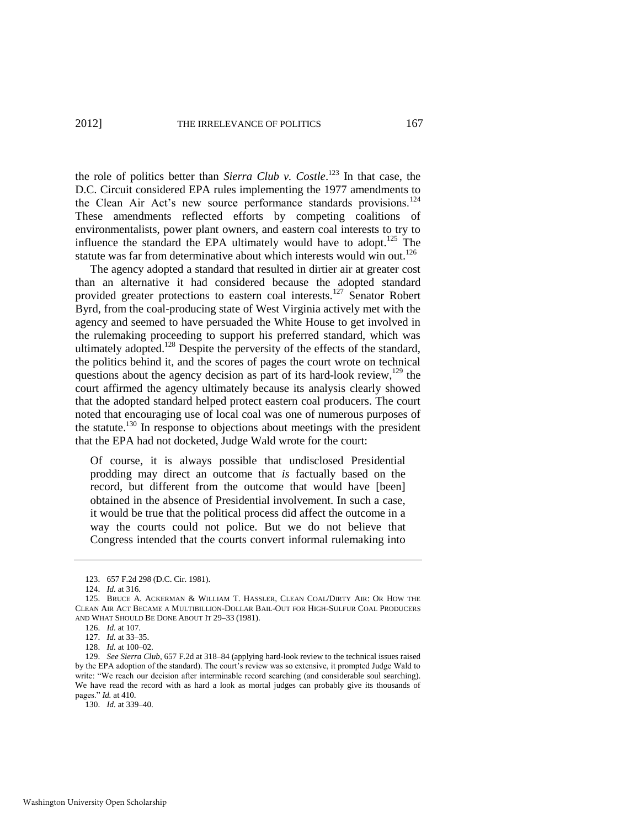<span id="page-27-0"></span>the role of politics better than *Sierra Club v. Costle*. <sup>123</sup> In that case, the D.C. Circuit considered EPA rules implementing the 1977 amendments to the Clean Air Act's new source performance standards provisions.<sup>124</sup> These amendments reflected efforts by competing coalitions of environmentalists, power plant owners, and eastern coal interests to try to influence the standard the EPA ultimately would have to adopt.<sup>125</sup> The statute was far from determinative about which interests would win out.<sup>126</sup>

The agency adopted a standard that resulted in dirtier air at greater cost than an alternative it had considered because the adopted standard provided greater protections to eastern coal interests.<sup>127</sup> Senator Robert Byrd, from the coal-producing state of West Virginia actively met with the agency and seemed to have persuaded the White House to get involved in the rulemaking proceeding to support his preferred standard, which was ultimately adopted.<sup>128</sup> Despite the perversity of the effects of the standard, the politics behind it, and the scores of pages the court wrote on technical questions about the agency decision as part of its hard-look review,  $129$  the court affirmed the agency ultimately because its analysis clearly showed that the adopted standard helped protect eastern coal producers. The court noted that encouraging use of local coal was one of numerous purposes of the statute.<sup>130</sup> In response to objections about meetings with the president that the EPA had not docketed, Judge Wald wrote for the court:

Of course, it is always possible that undisclosed Presidential prodding may direct an outcome that *is* factually based on the record, but different from the outcome that would have [been] obtained in the absence of Presidential involvement. In such a case, it would be true that the political process did affect the outcome in a way the courts could not police. But we do not believe that Congress intended that the courts convert informal rulemaking into

130. *Id.* at 339–40.

<sup>123. 657</sup> F.2d 298 (D.C. Cir. 1981).

<sup>124.</sup> *Id.* at 316.

<sup>125.</sup> BRUCE A. ACKERMAN & WILLIAM T. HASSLER, CLEAN COAL/DIRTY AIR: OR HOW THE CLEAN AIR ACT BECAME A MULTIBILLION-DOLLAR BAIL-OUT FOR HIGH-SULFUR COAL PRODUCERS AND WHAT SHOULD BE DONE ABOUT IT 29–33 (1981).

<sup>126.</sup> *Id.* at 107.

<sup>127.</sup> *Id.* at 33–35.

<sup>128.</sup> *Id.* at 100–02.

<sup>129.</sup> *See Sierra Club*, 657 F.2d at 318–84 (applying hard-look review to the technical issues raised by the EPA adoption of the standard). The court's review was so extensive, it prompted Judge Wald to write: "We reach our decision after interminable record searching (and considerable soul searching). We have read the record with as hard a look as mortal judges can probably give its thousands of pages." *Id.* at 410.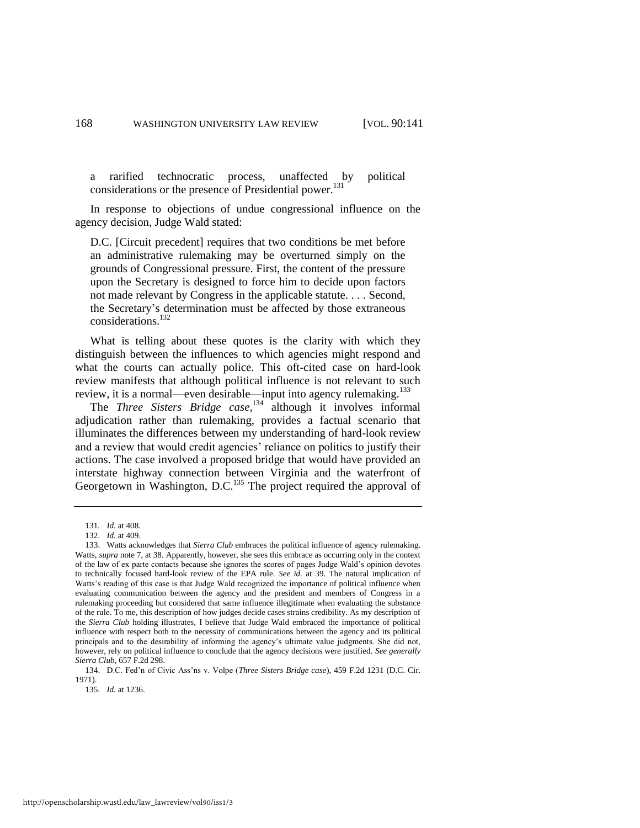a rarified technocratic process, unaffected by political considerations or the presence of Presidential power.<sup>131</sup>

In response to objections of undue congressional influence on the agency decision, Judge Wald stated:

D.C. [Circuit precedent] requires that two conditions be met before an administrative rulemaking may be overturned simply on the grounds of Congressional pressure. First, the content of the pressure upon the Secretary is designed to force him to decide upon factors not made relevant by Congress in the applicable statute. . . . Second, the Secretary's determination must be affected by those extraneous considerations.<sup>132</sup>

What is telling about these quotes is the clarity with which they distinguish between the influences to which agencies might respond and what the courts can actually police. This oft-cited case on hard-look review manifests that although political influence is not relevant to such review, it is a normal—even desirable—input into agency rulemaking.<sup>133</sup>

The *Three Sisters Bridge case*, <sup>134</sup> although it involves informal adjudication rather than rulemaking, provides a factual scenario that illuminates the differences between my understanding of hard-look review and a review that would credit agencies' reliance on politics to justify their actions. The case involved a proposed bridge that would have provided an interstate highway connection between Virginia and the waterfront of Georgetown in Washington, D.C.<sup>135</sup> The project required the approval of

<sup>131</sup>*. Id.* at 408.

<sup>132.</sup> *Id.* at 409.

<sup>133.</sup> Watts acknowledges that *Sierra Club* embraces the political influence of agency rulemaking. Watts, *supra* note [7,](#page-2-1) at 38. Apparently, however, she sees this embrace as occurring only in the context of the law of ex parte contacts because she ignores the scores of pages Judge Wald's opinion devotes to technically focused hard-look review of the EPA rule. *See id.* at 39. The natural implication of Watts's reading of this case is that Judge Wald recognized the importance of political influence when evaluating communication between the agency and the president and members of Congress in a rulemaking proceeding but considered that same influence illegitimate when evaluating the substance of the rule. To me, this description of how judges decide cases strains credibility. As my description of the *Sierra Club* holding illustrates, I believe that Judge Wald embraced the importance of political influence with respect both to the necessity of communications between the agency and its political principals and to the desirability of informing the agency's ultimate value judgments. She did not, however, rely on political influence to conclude that the agency decisions were justified. *See generally Sierra Club*, 657 F.2d 298.

<sup>134.</sup> D.C. Fed'n of Civic Ass'ns v. Volpe (*Three Sisters Bridge case*), 459 F.2d 1231 (D.C. Cir. 1971).

<sup>135.</sup> *Id.* at 1236.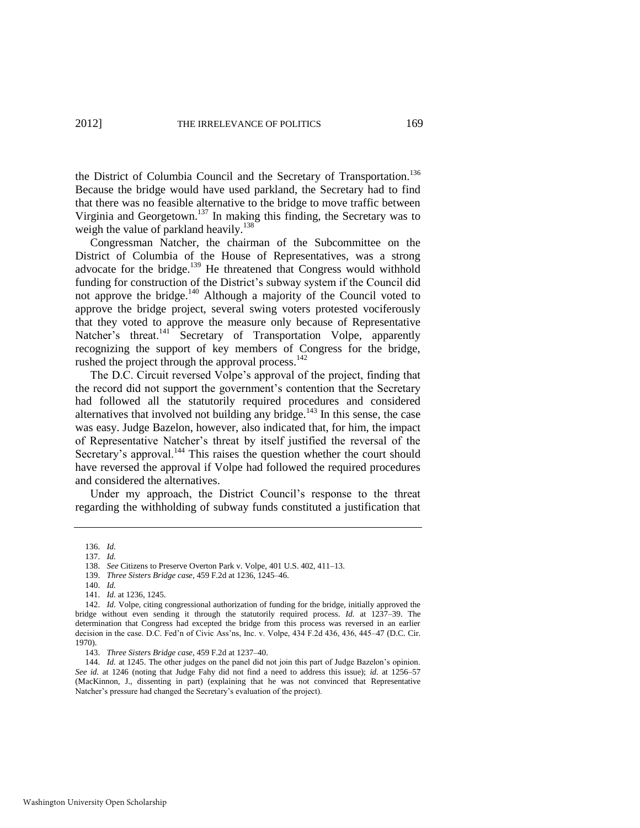the District of Columbia Council and the Secretary of Transportation.<sup>136</sup> Because the bridge would have used parkland, the Secretary had to find that there was no feasible alternative to the bridge to move traffic between Virginia and Georgetown.<sup>137</sup> In making this finding, the Secretary was to weigh the value of parkland heavily.<sup>138</sup>

Congressman Natcher, the chairman of the Subcommittee on the District of Columbia of the House of Representatives, was a strong advocate for the bridge.<sup>139</sup> He threatened that Congress would withhold funding for construction of the District's subway system if the Council did not approve the bridge. $140$  Although a majority of the Council voted to approve the bridge project, several swing voters protested vociferously that they voted to approve the measure only because of Representative Natcher's threat.<sup>141</sup> Secretary of Transportation Volpe, apparently recognizing the support of key members of Congress for the bridge, rushed the project through the approval process. $142$ 

The D.C. Circuit reversed Volpe's approval of the project, finding that the record did not support the government's contention that the Secretary had followed all the statutorily required procedures and considered alternatives that involved not building any bridge. $143$  In this sense, the case was easy. Judge Bazelon, however, also indicated that, for him, the impact of Representative Natcher's threat by itself justified the reversal of the Secretary's approval.<sup>144</sup> This raises the question whether the court should have reversed the approval if Volpe had followed the required procedures and considered the alternatives.

Under my approach, the District Council's response to the threat regarding the withholding of subway funds constituted a justification that

<sup>136.</sup> *Id.* 137. *Id.*

<sup>138.</sup> *See* Citizens to Preserve Overton Park v. Volpe, 401 U.S. 402, 411–13.

<sup>139.</sup> *Three Sisters Bridge case*, 459 F.2d at 1236, 1245–46.

<sup>140.</sup> *Id.*

<sup>141.</sup> *Id.* at 1236, 1245.

<sup>142.</sup> *Id.* Volpe, citing congressional authorization of funding for the bridge, initially approved the bridge without even sending it through the statutorily required process. *Id.* at 1237–39. The determination that Congress had excepted the bridge from this process was reversed in an earlier decision in the case. D.C. Fed'n of Civic Ass'ns, Inc. v. Volpe, 434 F.2d 436, 436, 445–47 (D.C. Cir. 1970).

<sup>143.</sup> *Three Sisters Bridge case*, 459 F.2d at 1237–40.

<sup>144.</sup> *Id.* at 1245. The other judges on the panel did not join this part of Judge Bazelon's opinion. *See id.* at 1246 (noting that Judge Fahy did not find a need to address this issue); *id.* at 1256–57 (MacKinnon, J., dissenting in part) (explaining that he was not convinced that Representative Natcher's pressure had changed the Secretary's evaluation of the project).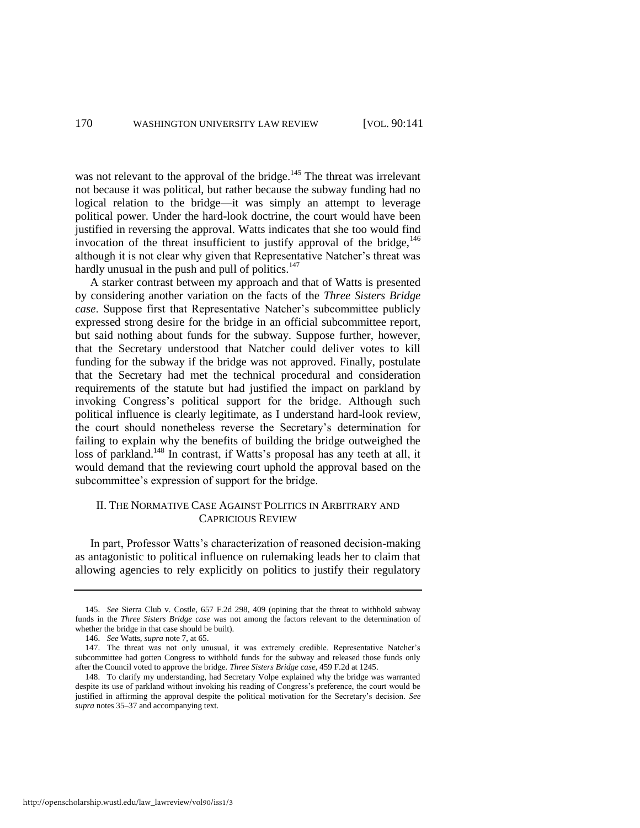was not relevant to the approval of the bridge.<sup>145</sup> The threat was irrelevant not because it was political, but rather because the subway funding had no logical relation to the bridge—it was simply an attempt to leverage political power. Under the hard-look doctrine, the court would have been justified in reversing the approval. Watts indicates that she too would find invocation of the threat insufficient to justify approval of the bridge,  $146$ although it is not clear why given that Representative Natcher's threat was hardly unusual in the push and pull of politics. $147$ 

A starker contrast between my approach and that of Watts is presented by considering another variation on the facts of the *Three Sisters Bridge case*. Suppose first that Representative Natcher's subcommittee publicly expressed strong desire for the bridge in an official subcommittee report, but said nothing about funds for the subway. Suppose further, however, that the Secretary understood that Natcher could deliver votes to kill funding for the subway if the bridge was not approved. Finally, postulate that the Secretary had met the technical procedural and consideration requirements of the statute but had justified the impact on parkland by invoking Congress's political support for the bridge. Although such political influence is clearly legitimate, as I understand hard-look review, the court should nonetheless reverse the Secretary's determination for failing to explain why the benefits of building the bridge outweighed the loss of parkland.<sup>148</sup> In contrast, if Watts's proposal has any teeth at all, it would demand that the reviewing court uphold the approval based on the subcommittee's expression of support for the bridge.

#### II. THE NORMATIVE CASE AGAINST POLITICS IN ARBITRARY AND CAPRICIOUS REVIEW

In part, Professor Watts's characterization of reasoned decision-making as antagonistic to political influence on rulemaking leads her to claim that allowing agencies to rely explicitly on politics to justify their regulatory

<sup>145.</sup> *See* Sierra Club v. Costle, 657 F.2d 298, 409 (opining that the threat to withhold subway funds in the *Three Sisters Bridge case* was not among the factors relevant to the determination of whether the bridge in that case should be built).

<sup>146.</sup> *See* Watts, *supra* not[e 7,](#page-2-1) at 65.

<sup>147.</sup> The threat was not only unusual, it was extremely credible. Representative Natcher's subcommittee had gotten Congress to withhold funds for the subway and released those funds only after the Council voted to approve the bridge. *Three Sisters Bridge case*, 459 F.2d at 1245.

<sup>148.</sup> To clarify my understanding, had Secretary Volpe explained why the bridge was warranted despite its use of parkland without invoking his reading of Congress's preference, the court would be justified in affirming the approval despite the political motivation for the Secretary's decision. *See supra* note[s 35](#page-10-0)[–37](#page-10-1) and accompanying text.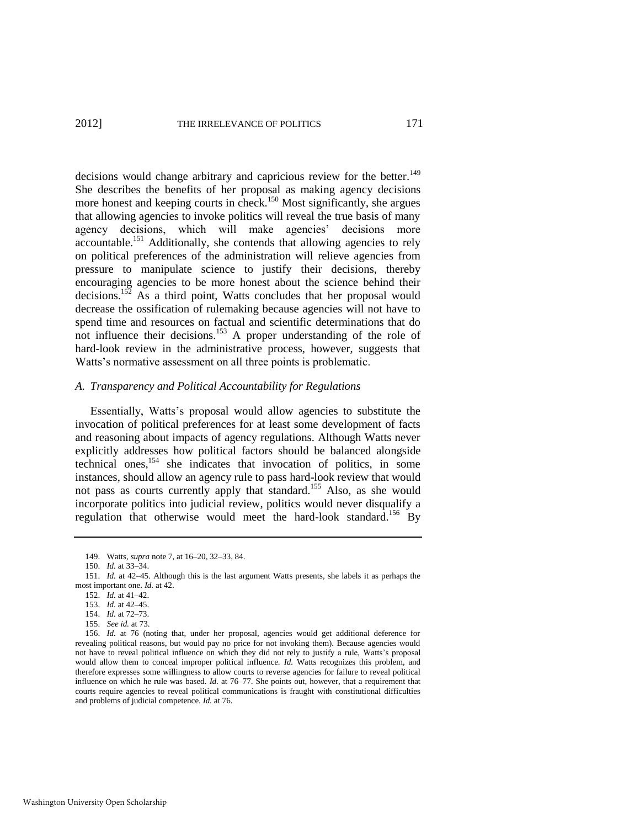decisions would change arbitrary and capricious review for the better.<sup>149</sup> She describes the benefits of her proposal as making agency decisions more honest and keeping courts in check.<sup>150</sup> Most significantly, she argues that allowing agencies to invoke politics will reveal the true basis of many agency decisions, which will make agencies' decisions more accountable.<sup>151</sup> Additionally, she contends that allowing agencies to rely on political preferences of the administration will relieve agencies from pressure to manipulate science to justify their decisions, thereby encouraging agencies to be more honest about the science behind their decisions.<sup>152</sup> As a third point, Watts concludes that her proposal would decrease the ossification of rulemaking because agencies will not have to spend time and resources on factual and scientific determinations that do not influence their decisions.<sup>153</sup> A proper understanding of the role of hard-look review in the administrative process, however, suggests that Watts's normative assessment on all three points is problematic.

#### *A. Transparency and Political Accountability for Regulations*

<span id="page-31-0"></span>Essentially, Watts's proposal would allow agencies to substitute the invocation of political preferences for at least some development of facts and reasoning about impacts of agency regulations. Although Watts never explicitly addresses how political factors should be balanced alongside technical ones,<sup>154</sup> she indicates that invocation of politics, in some instances, should allow an agency rule to pass hard-look review that would not pass as courts currently apply that standard.<sup>155</sup> Also, as she would incorporate politics into judicial review, politics would never disqualify a regulation that otherwise would meet the hard-look standard.<sup>156</sup> By

<sup>149.</sup> Watts, *supra* not[e 7,](#page-2-1) at 16–20, 32–33, 84.

<sup>150.</sup> *Id.* at 33–34.

<sup>151.</sup> *Id.* at 42–45. Although this is the last argument Watts presents, she labels it as perhaps the most important one. *Id.* at 42.

<sup>152.</sup> *Id.* at 41–42.

<sup>153.</sup> *Id.* at 42–45.

<sup>154.</sup> *Id.* at 72–73.

<sup>155.</sup> *See id.* at 73.

<sup>156.</sup> *Id.* at 76 (noting that, under her proposal, agencies would get additional deference for revealing political reasons, but would pay no price for not invoking them). Because agencies would not have to reveal political influence on which they did not rely to justify a rule, Watts's proposal would allow them to conceal improper political influence. *Id.* Watts recognizes this problem, and therefore expresses some willingness to allow courts to reverse agencies for failure to reveal political influence on which he rule was based. *Id.* at 76–77. She points out, however, that a requirement that courts require agencies to reveal political communications is fraught with constitutional difficulties and problems of judicial competence. *Id.* at 76.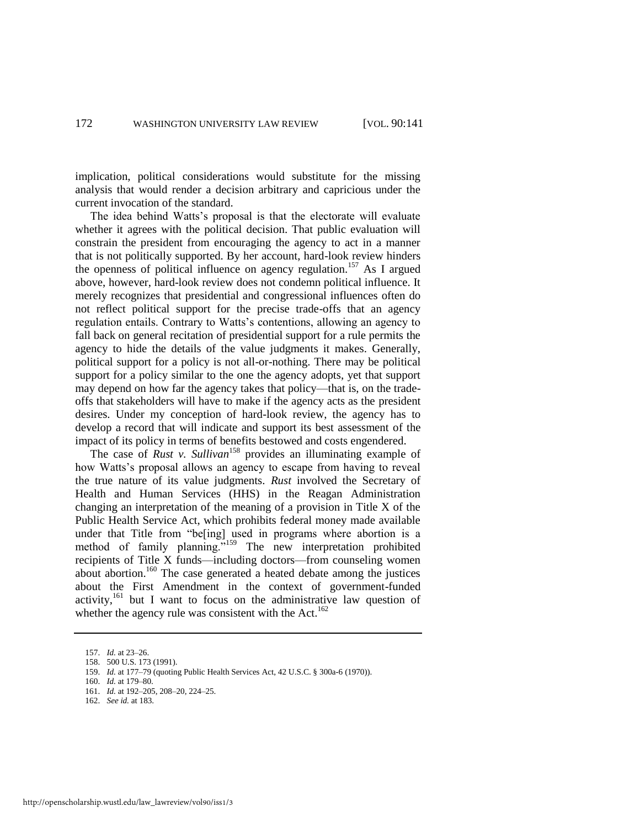implication, political considerations would substitute for the missing analysis that would render a decision arbitrary and capricious under the current invocation of the standard.

The idea behind Watts's proposal is that the electorate will evaluate whether it agrees with the political decision. That public evaluation will constrain the president from encouraging the agency to act in a manner that is not politically supported. By her account, hard-look review hinders the openness of political influence on agency regulation.<sup>157</sup> As I argued above, however, hard-look review does not condemn political influence. It merely recognizes that presidential and congressional influences often do not reflect political support for the precise trade-offs that an agency regulation entails. Contrary to Watts's contentions, allowing an agency to fall back on general recitation of presidential support for a rule permits the agency to hide the details of the value judgments it makes. Generally, political support for a policy is not all-or-nothing. There may be political support for a policy similar to the one the agency adopts, yet that support may depend on how far the agency takes that policy—that is, on the tradeoffs that stakeholders will have to make if the agency acts as the president desires. Under my conception of hard-look review, the agency has to develop a record that will indicate and support its best assessment of the impact of its policy in terms of benefits bestowed and costs engendered.

The case of *Rust v. Sullivan*<sup>158</sup> provides an illuminating example of how Watts's proposal allows an agency to escape from having to reveal the true nature of its value judgments. *Rust* involved the Secretary of Health and Human Services (HHS) in the Reagan Administration changing an interpretation of the meaning of a provision in Title X of the Public Health Service Act, which prohibits federal money made available under that Title from "be[ing] used in programs where abortion is a method of family planning."<sup>159</sup> The new interpretation prohibited recipients of Title X funds—including doctors—from counseling women about abortion.<sup>160</sup> The case generated a heated debate among the justices about the First Amendment in the context of government-funded activity,<sup>161</sup> but I want to focus on the administrative law question of whether the agency rule was consistent with the Act.<sup>162</sup>

<sup>157.</sup> *Id.* at 23–26.

<sup>158. 500</sup> U.S. 173 (1991).

<sup>159.</sup> *Id.* at 177–79 (quoting Public Health Services Act, 42 U.S.C. § 300a-6 (1970)).

<sup>160.</sup> *Id.* at 179–80.

<sup>161.</sup> *Id.* at 192–205, 208–20, 224–25.

<sup>162.</sup> *See id.* at 183.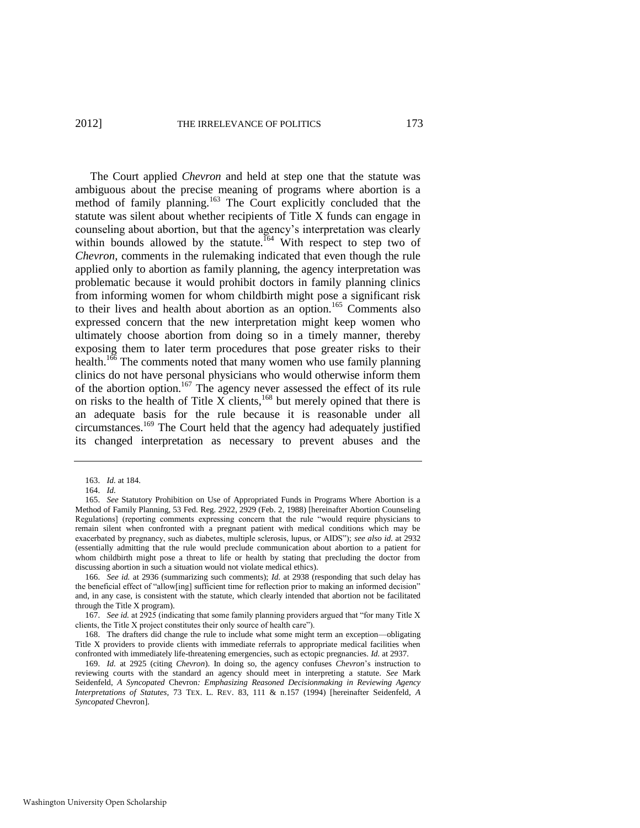<span id="page-33-0"></span>The Court applied *Chevron* and held at step one that the statute was ambiguous about the precise meaning of programs where abortion is a method of family planning.<sup>163</sup> The Court explicitly concluded that the statute was silent about whether recipients of Title X funds can engage in counseling about abortion, but that the agency's interpretation was clearly within bounds allowed by the statute.<sup>164</sup> With respect to step two of *Chevron*, comments in the rulemaking indicated that even though the rule applied only to abortion as family planning, the agency interpretation was problematic because it would prohibit doctors in family planning clinics from informing women for whom childbirth might pose a significant risk to their lives and health about abortion as an option.<sup>165</sup> Comments also expressed concern that the new interpretation might keep women who ultimately choose abortion from doing so in a timely manner, thereby exposing them to later term procedures that pose greater risks to their health.<sup>166</sup> The comments noted that many women who use family planning clinics do not have personal physicians who would otherwise inform them of the abortion option.<sup>167</sup> The agency never assessed the effect of its rule on risks to the health of Title X clients, $168$  but merely opined that there is an adequate basis for the rule because it is reasonable under all circumstances.<sup>169</sup> The Court held that the agency had adequately justified its changed interpretation as necessary to prevent abuses and the

166. *See id.* at 2936 (summarizing such comments); *Id.* at 2938 (responding that such delay has the beneficial effect of "allow[ing] sufficient time for reflection prior to making an informed decision" and, in any case, is consistent with the statute, which clearly intended that abortion not be facilitated through the Title X program).

167. *See id.* at 2925 (indicating that some family planning providers argued that "for many Title X clients, the Title X project constitutes their only source of health care").

168. The drafters did change the rule to include what some might term an exception—obligating Title X providers to provide clients with immediate referrals to appropriate medical facilities when confronted with immediately life-threatening emergencies, such as ectopic pregnancies. *Id.* at 2937.

169. *Id.* at 2925 (citing *Chevron*). In doing so, the agency confuses *Chevron*'s instruction to reviewing courts with the standard an agency should meet in interpreting a statute. *See* Mark Seidenfeld, *A Syncopated* Chevron*: Emphasizing Reasoned Decisionmaking in Reviewing Agency Interpretations of Statutes,* 73 TEX. L. REV. 83, 111 & n.157 (1994) [hereinafter Seidenfeld, *A Syncopated* Chevron].

<span id="page-33-2"></span><span id="page-33-1"></span><sup>163.</sup> *Id.* at 184.

<sup>164.</sup> *Id.* 

<sup>165.</sup> *See* Statutory Prohibition on Use of Appropriated Funds in Programs Where Abortion is a Method of Family Planning, 53 Fed. Reg. 2922, 2929 (Feb. 2, 1988) [hereinafter Abortion Counseling Regulations] (reporting comments expressing concern that the rule "would require physicians to remain silent when confronted with a pregnant patient with medical conditions which may be exacerbated by pregnancy, such as diabetes, multiple sclerosis, lupus, or AIDS"); *see also id.* at 2932 (essentially admitting that the rule would preclude communication about abortion to a patient for whom childbirth might pose a threat to life or health by stating that precluding the doctor from discussing abortion in such a situation would not violate medical ethics).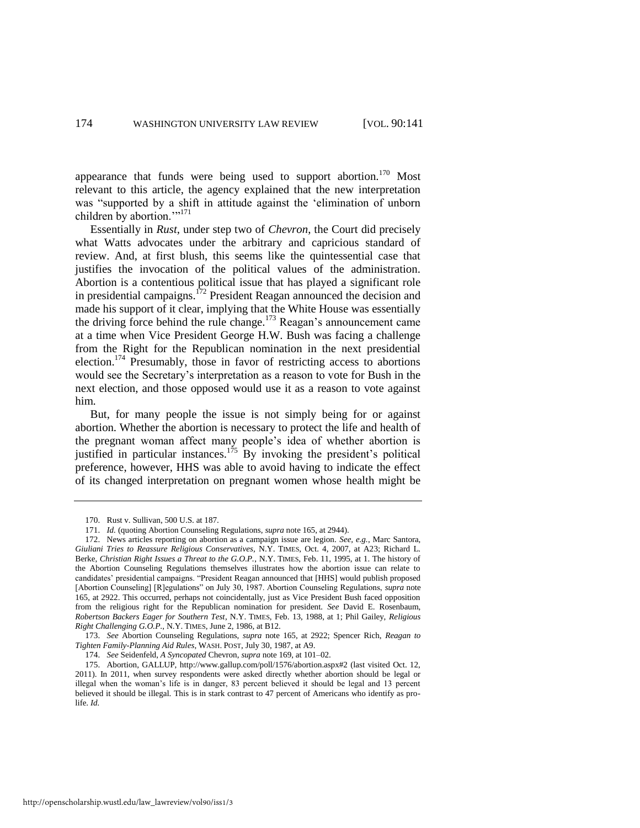appearance that funds were being used to support abortion.<sup>170</sup> Most relevant to this article, the agency explained that the new interpretation was "supported by a shift in attitude against the 'elimination of unborn children by abortion. $m<sup>171</sup>$ 

Essentially in *Rust*, under step two of *Chevron*, the Court did precisely what Watts advocates under the arbitrary and capricious standard of review. And, at first blush, this seems like the quintessential case that justifies the invocation of the political values of the administration. Abortion is a contentious political issue that has played a significant role in presidential campaigns.<sup>172</sup> President Reagan announced the decision and made his support of it clear, implying that the White House was essentially the driving force behind the rule change.<sup>173</sup> Reagan's announcement came at a time when Vice President George H.W. Bush was facing a challenge from the Right for the Republican nomination in the next presidential election.<sup>174</sup> Presumably, those in favor of restricting access to abortions would see the Secretary's interpretation as a reason to vote for Bush in the next election, and those opposed would use it as a reason to vote against him.

But, for many people the issue is not simply being for or against abortion. Whether the abortion is necessary to protect the life and health of the pregnant woman affect many people's idea of whether abortion is justified in particular instances.<sup>175</sup> By invoking the president's political preference, however, HHS was able to avoid having to indicate the effect of its changed interpretation on pregnant women whose health might be

http://openscholarship.wustl.edu/law\_lawreview/vol90/iss1/3

<sup>170.</sup> Rust v. Sullivan, 500 U.S. at 187.

<sup>171.</sup> *Id.* (quoting Abortion Counseling Regulations, *supra* not[e 165,](#page-33-0) at 2944).

<sup>172.</sup> News articles reporting on abortion as a campaign issue are legion. *See, e.g.*, Marc Santora, *Giuliani Tries to Reassure Religious Conservatives*, N.Y. TIMES, Oct. 4, 2007, at A23; Richard L. Berke, *Christian Right Issues a Threat to the G.O.P.*, N.Y. TIMES, Feb. 11, 1995, at 1. The history of the Abortion Counseling Regulations themselves illustrates how the abortion issue can relate to candidates' presidential campaigns. "President Reagan announced that [HHS] would publish proposed [Abortion Counseling] [R]egulations" on July 30, 1987. Abortion Counseling Regulations, *supra* note [165,](#page-33-0) at 2922. This occurred, perhaps not coincidentally, just as Vice President Bush faced opposition from the religious right for the Republican nomination for president. *See* David E. Rosenbaum, *Robertson Backers Eager for Southern Test*, N.Y. TIMES, Feb. 13, 1988, at 1; Phil Gailey, *Religious Right Challenging G.O.P*., N.Y. TIMES, June 2, 1986, at B12.

<sup>173.</sup> *See* Abortion Counseling Regulations, *supra* note [165,](#page-33-0) at 2922; Spencer Rich, *Reagan to Tighten Family-Planning Aid Rules*, WASH. POST, July 30, 1987, at A9.

<sup>174.</sup> *See* Seidenfeld, *A Syncopated* Chevron, *supra* note [169,](#page-33-1) at 101–02.

<sup>175.</sup> Abortion, GALLUP, http://www.gallup.com/poll/1576/abortion.aspx#2 (last visited Oct. 12, 2011). In 2011, when survey respondents were asked directly whether abortion should be legal or illegal when the woman's life is in danger, 83 percent believed it should be legal and 13 percent believed it should be illegal. This is in stark contrast to 47 percent of Americans who identify as prolife. *Id.*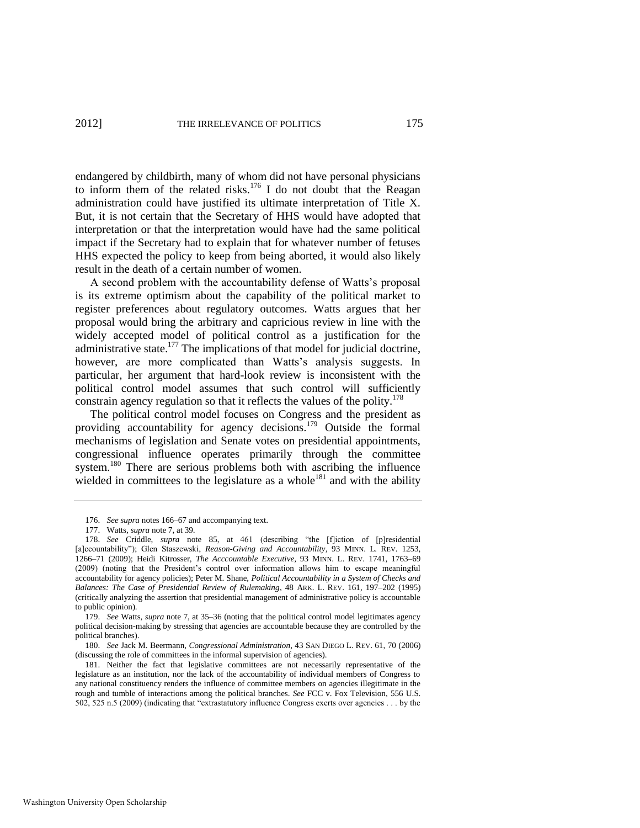endangered by childbirth, many of whom did not have personal physicians to inform them of the related risks.<sup>176</sup> I do not doubt that the Reagan administration could have justified its ultimate interpretation of Title X. But, it is not certain that the Secretary of HHS would have adopted that interpretation or that the interpretation would have had the same political impact if the Secretary had to explain that for whatever number of fetuses HHS expected the policy to keep from being aborted, it would also likely result in the death of a certain number of women.

A second problem with the accountability defense of Watts's proposal is its extreme optimism about the capability of the political market to register preferences about regulatory outcomes. Watts argues that her proposal would bring the arbitrary and capricious review in line with the widely accepted model of political control as a justification for the administrative state. $177$  The implications of that model for judicial doctrine, however, are more complicated than Watts's analysis suggests. In particular, her argument that hard-look review is inconsistent with the political control model assumes that such control will sufficiently constrain agency regulation so that it reflects the values of the polity.<sup>178</sup>

<span id="page-35-0"></span>The political control model focuses on Congress and the president as providing accountability for agency decisions.<sup>179</sup> Outside the formal mechanisms of legislation and Senate votes on presidential appointments, congressional influence operates primarily through the committee system.<sup>180</sup> There are serious problems both with ascribing the influence wielded in committees to the legislature as a whole<sup>181</sup> and with the ability

<sup>176.</sup> *See supra* note[s 166–](#page-33-2)67 and accompanying text.

<sup>177.</sup> Watts, *supra* not[e 7,](#page-2-1) at 39.

<sup>178.</sup> See Criddle, *supra* note [85,](#page-19-0) at 461 (describing "the [f]iction of [p]residential [a]ccountability"); Glen Staszewski, *Reason-Giving and Accountability*, 93 MINN. L. REV. 1253, 1266–71 (2009); Heidi Kitrosser, *The Acccountable Executive*, 93 MINN. L. REV. 1741, 1763–69 (2009) (noting that the President's control over information allows him to escape meaningful accountability for agency policies); Peter M. Shane, *Political Accountability in a System of Checks and Balances: The Case of Presidential Review of Rulemaking*, 48 ARK. L. REV. 161, 197–202 (1995) (critically analyzing the assertion that presidential management of administrative policy is accountable to public opinion).

<sup>179.</sup> *See* Watts, *supra* not[e 7,](#page-2-1) at 35–36 (noting that the political control model legitimates agency political decision-making by stressing that agencies are accountable because they are controlled by the political branches).

<sup>180.</sup> *See* Jack M. Beermann, *Congressional Administration*, 43 SAN DIEGO L. REV. 61, 70 (2006) (discussing the role of committees in the informal supervision of agencies).

<sup>181.</sup> Neither the fact that legislative committees are not necessarily representative of the legislature as an institution, nor the lack of the accountability of individual members of Congress to any national constituency renders the influence of committee members on agencies illegitimate in the rough and tumble of interactions among the political branches. *See* FCC v. Fox Television, 556 U.S. 502, 525 n.5 (2009) (indicating that "extrastatutory influence Congress exerts over agencies  $\dots$  by the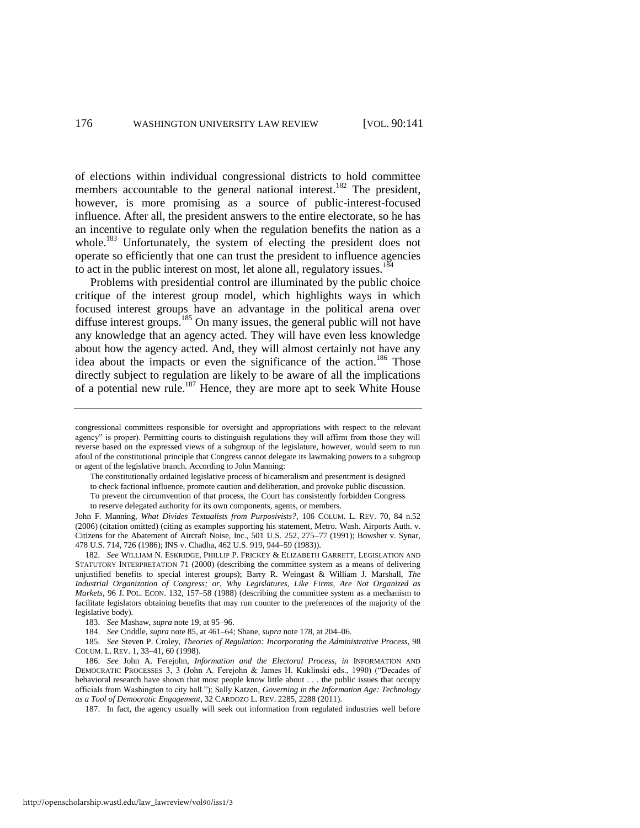of elections within individual congressional districts to hold committee members accountable to the general national interest.<sup>182</sup> The president, however, is more promising as a source of public-interest-focused influence. After all, the president answers to the entire electorate, so he has an incentive to regulate only when the regulation benefits the nation as a whole.<sup>183</sup> Unfortunately, the system of electing the president does not operate so efficiently that one can trust the president to influence agencies to act in the public interest on most, let alone all, regulatory issues.<sup>184</sup>

Problems with presidential control are illuminated by the public choice critique of the interest group model, which highlights ways in which focused interest groups have an advantage in the political arena over diffuse interest groups.<sup>185</sup> On many issues, the general public will not have any knowledge that an agency acted. They will have even less knowledge about how the agency acted. And, they will almost certainly not have any idea about the impacts or even the significance of the action.<sup>186</sup> Those directly subject to regulation are likely to be aware of all the implications of a potential new rule.<sup>187</sup> Hence, they are more apt to seek White House

The constitutionally ordained legislative process of bicameralism and presentment is designed

to check factional influence, promote caution and deliberation, and provoke public discussion.

To prevent the circumvention of that process, the Court has consistently forbidden Congress to reserve delegated authority for its own components, agents, or members.

John F. Manning, *What Divides Textualists from Purposivists?*, 106 COLUM. L. REV. 70, 84 n.52 (2006) (citation omitted) (citing as examples supporting his statement, Metro. Wash. Airports Auth. v. Citizens for the Abatement of Aircraft Noise, Inc., 501 U.S. 252, 275–77 (1991); Bowsher v. Synar, 478 U.S. 714, 726 (1986); INS v. Chadha, 462 U.S. 919, 944–59 (1983)).

182. *See* WILLIAM N. ESKRIDGE, PHILLIP P. FRICKEY & ELIZABETH GARRETT, LEGISLATION AND STATUTORY INTERPRETATION 71 (2000) (describing the committee system as a means of delivering unjustified benefits to special interest groups); Barry R. Weingast & William J. Marshall, *The Industrial Organization of Congress; or, Why Legislatures, Like Firms, Are Not Organized as Markets*, 96 J. POL. ECON. 132, 157–58 (1988) (describing the committee system as a mechanism to facilitate legislators obtaining benefits that may run counter to the preferences of the majority of the legislative body).

183. *See* Mashaw, *supra* not[e 19,](#page-6-0) at 95–96.

185. *See* Steven P. Croley, *Theories of Regulation: Incorporating the Administrative Process*, 98 COLUM. L. REV. 1, 33–41, 60 (1998).

186. *See* John A. Ferejohn, *Information and the Electoral Process*, *in* INFORMATION AND DEMOCRATIC PROCESSES 3, 3 (John A. Ferejohn & James H. Kuklinski eds., 1990) ("Decades of behavioral research have shown that most people know little about . . . the public issues that occupy officials from Washington to city hall."); Sally Katzen, *Governing in the Information Age: Technology as a Tool of Democratic Engagement*, 32 CARDOZO L. REV. 2285, 2288 (2011).

187. In fact, the agency usually will seek out information from regulated industries well before

congressional committees responsible for oversight and appropriations with respect to the relevant agency" is proper). Permitting courts to distinguish regulations they will affirm from those they will reverse based on the expressed views of a subgroup of the legislature, however, would seem to run afoul of the constitutional principle that Congress cannot delegate its lawmaking powers to a subgroup or agent of the legislative branch. According to John Manning:

<sup>184.</sup> *See* Criddle, *supra* not[e 85,](#page-19-0) at 461–64; Shane, *supra* not[e 178,](#page-35-0) at 204–06.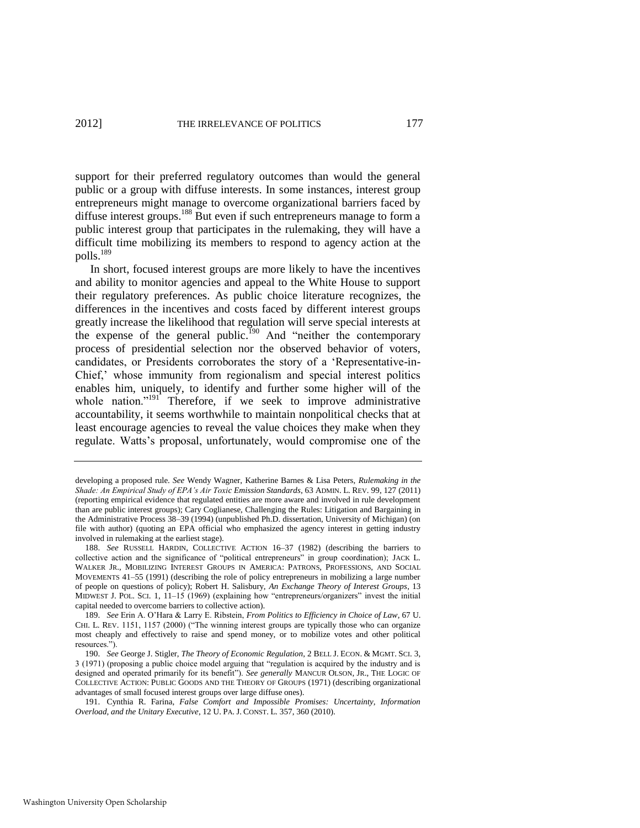support for their preferred regulatory outcomes than would the general public or a group with diffuse interests. In some instances, interest group entrepreneurs might manage to overcome organizational barriers faced by diffuse interest groups.<sup>188</sup> But even if such entrepreneurs manage to form a public interest group that participates in the rulemaking, they will have a difficult time mobilizing its members to respond to agency action at the polls.<sup>189</sup>

In short, focused interest groups are more likely to have the incentives and ability to monitor agencies and appeal to the White House to support their regulatory preferences. As public choice literature recognizes, the differences in the incentives and costs faced by different interest groups greatly increase the likelihood that regulation will serve special interests at the expense of the general public.<sup>190</sup> And "neither the contemporary process of presidential selection nor the observed behavior of voters, candidates, or Presidents corroborates the story of a 'Representative-in-Chief,' whose immunity from regionalism and special interest politics enables him, uniquely, to identify and further some higher will of the whole nation." $191$  Therefore, if we seek to improve administrative accountability, it seems worthwhile to maintain nonpolitical checks that at least encourage agencies to reveal the value choices they make when they regulate. Watts's proposal, unfortunately, would compromise one of the

developing a proposed rule. *See* Wendy Wagner, Katherine Barnes & Lisa Peters, *Rulemaking in the Shade: An Empirical Study of EPA's Air Toxic Emission Standards*, 63 ADMIN. L. REV. 99, 127 (2011) (reporting empirical evidence that regulated entities are more aware and involved in rule development than are public interest groups); Cary Coglianese, Challenging the Rules: Litigation and Bargaining in the Administrative Process 38–39 (1994) (unpublished Ph.D. dissertation, University of Michigan) (on file with author) (quoting an EPA official who emphasized the agency interest in getting industry involved in rulemaking at the earliest stage).

<sup>188.</sup> *See* RUSSELL HARDIN, COLLECTIVE ACTION 16–37 (1982) (describing the barriers to collective action and the significance of "political entrepreneurs" in group coordination); JACK L. WALKER JR., MOBILIZING INTEREST GROUPS IN AMERICA: PATRONS, PROFESSIONS, AND SOCIAL MOVEMENTS 41–55 (1991) (describing the role of policy entrepreneurs in mobilizing a large number of people on questions of policy); Robert H. Salisbury, *An Exchange Theory of Interest Groups*, 13 MIDWEST J. POL. SCI. 1,  $11-15$  (1969) (explaining how "entrepreneurs/organizers" invest the initial capital needed to overcome barriers to collective action).

<sup>189.</sup> *See* Erin A. O'Hara & Larry E. Ribstein, *From Politics to Efficiency in Choice of Law*, 67 U. CHI. L. REV. 1151, 1157 (2000) ("The winning interest groups are typically those who can organize most cheaply and effectively to raise and spend money, or to mobilize votes and other political resources.").

<sup>190.</sup> *See* George J. Stigler, *The Theory of Economic Regulation*, 2 BELL J. ECON. & MGMT. SCI. 3, 3 (1971) (proposing a public choice model arguing that "regulation is acquired by the industry and is designed and operated primarily for its benefit"). See generally MANCUR OLSON, JR., THE LOGIC OF COLLECTIVE ACTION: PUBLIC GOODS AND THE THEORY OF GROUPS (1971) (describing organizational advantages of small focused interest groups over large diffuse ones).

<sup>191.</sup> Cynthia R. Farina, *False Comfort and Impossible Promises: Uncertainty, Information Overload, and the Unitary Executive*, 12 U. PA. J. CONST. L. 357, 360 (2010).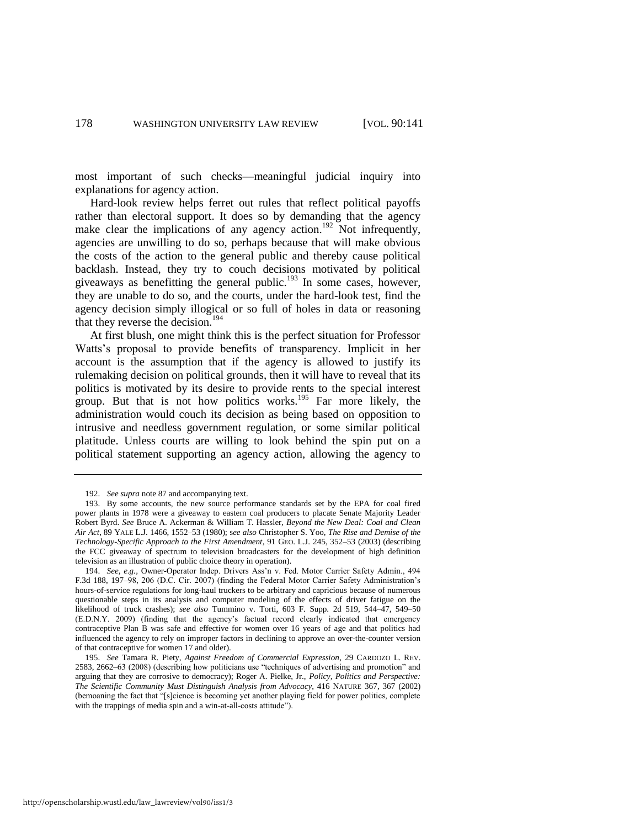most important of such checks—meaningful judicial inquiry into explanations for agency action.

Hard-look review helps ferret out rules that reflect political payoffs rather than electoral support. It does so by demanding that the agency make clear the implications of any agency action.<sup>192</sup> Not infrequently, agencies are unwilling to do so, perhaps because that will make obvious the costs of the action to the general public and thereby cause political backlash. Instead, they try to couch decisions motivated by political giveaways as benefitting the general public.<sup>193</sup> In some cases, however, they are unable to do so, and the courts, under the hard-look test, find the agency decision simply illogical or so full of holes in data or reasoning that they reverse the decision.<sup>194</sup>

At first blush, one might think this is the perfect situation for Professor Watts's proposal to provide benefits of transparency. Implicit in her account is the assumption that if the agency is allowed to justify its rulemaking decision on political grounds, then it will have to reveal that its politics is motivated by its desire to provide rents to the special interest group. But that is not how politics works.<sup>195</sup> Far more likely, the administration would couch its decision as being based on opposition to intrusive and needless government regulation, or some similar political platitude. Unless courts are willing to look behind the spin put on a political statement supporting an agency action, allowing the agency to

<sup>192.</sup> *See supra* not[e 87 a](#page-20-0)nd accompanying text.

<sup>193.</sup> By some accounts, the new source performance standards set by the EPA for coal fired power plants in 1978 were a giveaway to eastern coal producers to placate Senate Majority Leader Robert Byrd. *See* Bruce A. Ackerman & William T. Hassler, *Beyond the New Deal: Coal and Clean Air Act*, 89 YALE L.J. 1466, 1552–53 (1980); s*ee also* Christopher S. Yoo, *The Rise and Demise of the Technology-Specific Approach to the First Amendment*, 91 GEO. L.J. 245, 352–53 (2003) (describing the FCC giveaway of spectrum to television broadcasters for the development of high definition television as an illustration of public choice theory in operation).

<sup>194.</sup> *See, e.g.*, Owner-Operator Indep. Drivers Ass'n v. Fed. Motor Carrier Safety Admin., 494 F.3d 188, 197–98, 206 (D.C. Cir. 2007) (finding the Federal Motor Carrier Safety Administration's hours-of-service regulations for long-haul truckers to be arbitrary and capricious because of numerous questionable steps in its analysis and computer modeling of the effects of driver fatigue on the likelihood of truck crashes); *see also* Tummino v. Torti, 603 F. Supp. 2d 519, 544–47, 549–50 (E.D.N.Y. 2009) (finding that the agency's factual record clearly indicated that emergency contraceptive Plan B was safe and effective for women over 16 years of age and that politics had influenced the agency to rely on improper factors in declining to approve an over-the-counter version of that contraceptive for women 17 and older).

<sup>195.</sup> *See* Tamara R. Piety, *Against Freedom of Commercial Expression*, 29 CARDOZO L. REV. 2583, 2662-63 (2008) (describing how politicians use "techniques of advertising and promotion" and arguing that they are corrosive to democracy); Roger A. Pielke, Jr., *Policy, Politics and Perspective: The Scientific Community Must Distinguish Analysis from Advocacy*, 416 NATURE 367, 367 (2002) (bemoaning the fact that "[s]cience is becoming yet another playing field for power politics, complete with the trappings of media spin and a win-at-all-costs attitude").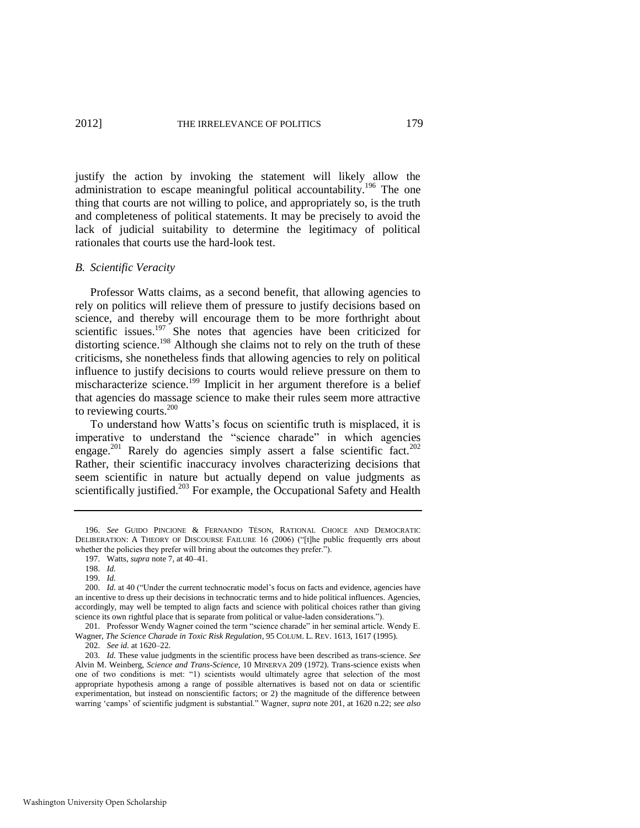<span id="page-39-1"></span>justify the action by invoking the statement will likely allow the administration to escape meaningful political accountability.<sup>196</sup> The one thing that courts are not willing to police, and appropriately so, is the truth and completeness of political statements. It may be precisely to avoid the lack of judicial suitability to determine the legitimacy of political rationales that courts use the hard-look test.

#### *B. Scientific Veracity*

Professor Watts claims, as a second benefit, that allowing agencies to rely on politics will relieve them of pressure to justify decisions based on science, and thereby will encourage them to be more forthright about scientific issues. $197$  She notes that agencies have been criticized for distorting science.<sup>198</sup> Although she claims not to rely on the truth of these criticisms, she nonetheless finds that allowing agencies to rely on political influence to justify decisions to courts would relieve pressure on them to mischaracterize science.<sup>199</sup> Implicit in her argument therefore is a belief that agencies do massage science to make their rules seem more attractive to reviewing courts.<sup>200</sup>

<span id="page-39-0"></span>To understand how Watts's focus on scientific truth is misplaced, it is imperative to understand the "science charade" in which agencies engage.<sup>201</sup> Rarely do agencies simply assert a false scientific fact.<sup>202</sup> Rather, their scientific inaccuracy involves characterizing decisions that seem scientific in nature but actually depend on value judgments as scientifically justified.<sup>203</sup> For example, the Occupational Safety and Health

<sup>196.</sup> *See* GUIDO PINCIONE & FERNANDO TÉSON, RATIONAL CHOICE AND DEMOCRATIC DELIBERATION: A THEORY OF DISCOURSE FAILURE 16 (2006) ("[t]he public frequently errs about whether the policies they prefer will bring about the outcomes they prefer.").

<sup>197.</sup> Watts, *supra* not[e 7,](#page-2-1) at 40–41.

<sup>198.</sup> *Id.*

<sup>199.</sup> *Id.*

<sup>200.</sup> *Id.* at 40 ("Under the current technocratic model's focus on facts and evidence, agencies have an incentive to dress up their decisions in technocratic terms and to hide political influences. Agencies, accordingly, may well be tempted to align facts and science with political choices rather than giving science its own rightful place that is separate from political or value-laden considerations.").

<sup>201.</sup> Professor Wendy Wagner coined the term "science charade" in her seminal article. Wendy E. Wagner, *The Science Charade in Toxic Risk Regulation*, 95 COLUM. L. REV. 1613, 1617 (1995).

<sup>202.</sup> *See id.* at 1620–22.

<sup>203.</sup> *Id.* These value judgments in the scientific process have been described as trans-science. *See*  Alvin M. Weinberg, *Science and Trans-Science*, 10 MINERVA 209 (1972). Trans-science exists when one of two conditions is met: "1) scientists would ultimately agree that selection of the most appropriate hypothesis among a range of possible alternatives is based not on data or scientific experimentation, but instead on nonscientific factors; or 2) the magnitude of the difference between warring 'camps' of scientific judgment is substantial." Wagner, *supra* not[e 201,](#page-39-0) at 1620 n.22; *see also*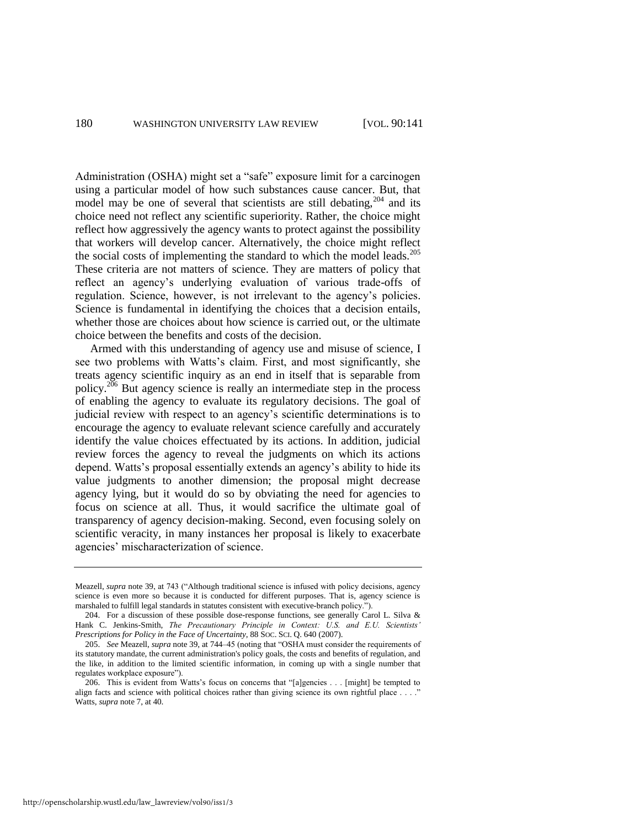Administration (OSHA) might set a "safe" exposure limit for a carcinogen using a particular model of how such substances cause cancer. But, that model may be one of several that scientists are still debating,  $204$  and its choice need not reflect any scientific superiority. Rather, the choice might reflect how aggressively the agency wants to protect against the possibility that workers will develop cancer. Alternatively, the choice might reflect the social costs of implementing the standard to which the model leads.<sup>205</sup> These criteria are not matters of science. They are matters of policy that reflect an agency's underlying evaluation of various trade-offs of regulation. Science, however, is not irrelevant to the agency's policies. Science is fundamental in identifying the choices that a decision entails, whether those are choices about how science is carried out, or the ultimate choice between the benefits and costs of the decision.

Armed with this understanding of agency use and misuse of science, I see two problems with Watts's claim. First, and most significantly, she treats agency scientific inquiry as an end in itself that is separable from policy.<sup>206</sup> But agency science is really an intermediate step in the process of enabling the agency to evaluate its regulatory decisions. The goal of judicial review with respect to an agency's scientific determinations is to encourage the agency to evaluate relevant science carefully and accurately identify the value choices effectuated by its actions. In addition, judicial review forces the agency to reveal the judgments on which its actions depend. Watts's proposal essentially extends an agency's ability to hide its value judgments to another dimension; the proposal might decrease agency lying, but it would do so by obviating the need for agencies to focus on science at all. Thus, it would sacrifice the ultimate goal of transparency of agency decision-making. Second, even focusing solely on scientific veracity, in many instances her proposal is likely to exacerbate agencies' mischaracterization of science.

Meazell, *supra* not[e 39,](#page-11-2) at 743 ("Although traditional science is infused with policy decisions, agency science is even more so because it is conducted for different purposes. That is, agency science is marshaled to fulfill legal standards in statutes consistent with executive-branch policy.").

<sup>204.</sup> For a discussion of these possible dose-response functions, see generally Carol L. Silva & Hank C. Jenkins-Smith, *The Precautionary Principle in Context: U.S. and E.U. Scientists' Prescriptions for Policy in the Face of Uncertainty*, 88 SOC. SCI. Q. 640 (2007).

<sup>205.</sup> *See* Meazell, *supra* not[e 39,](#page-11-2) at 744–45 (noting that "OSHA must consider the requirements of its statutory mandate, the current administration's policy goals, the costs and benefits of regulation, and the like, in addition to the limited scientific information, in coming up with a single number that regulates workplace exposure").

<sup>206.</sup> This is evident from Watts's focus on concerns that "[a]gencies  $\dots$  [might] be tempted to align facts and science with political choices rather than giving science its own rightful place . . . ." Watts, *supra* not[e 7,](#page-2-1) at 40.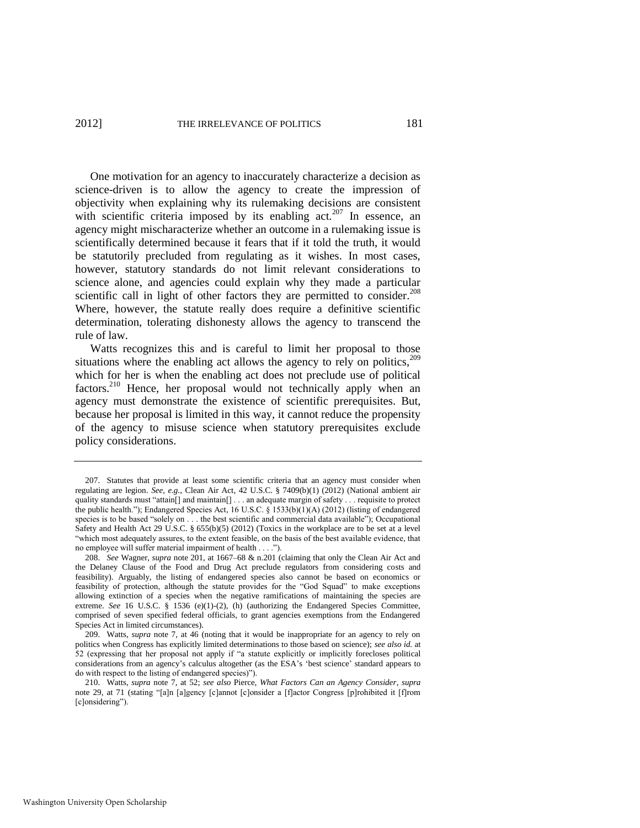<span id="page-41-0"></span>One motivation for an agency to inaccurately characterize a decision as science-driven is to allow the agency to create the impression of objectivity when explaining why its rulemaking decisions are consistent with scientific criteria imposed by its enabling  $act.^{207}$  In essence, an agency might mischaracterize whether an outcome in a rulemaking issue is scientifically determined because it fears that if it told the truth, it would be statutorily precluded from regulating as it wishes. In most cases, however, statutory standards do not limit relevant considerations to science alone, and agencies could explain why they made a particular scientific call in light of other factors they are permitted to consider.<sup>208</sup> Where, however, the statute really does require a definitive scientific determination, tolerating dishonesty allows the agency to transcend the rule of law.

Watts recognizes this and is careful to limit her proposal to those situations where the enabling act allows the agency to rely on politics, $209$ which for her is when the enabling act does not preclude use of political factors.<sup>210</sup> Hence, her proposal would not technically apply when an agency must demonstrate the existence of scientific prerequisites. But, because her proposal is limited in this way, it cannot reduce the propensity of the agency to misuse science when statutory prerequisites exclude policy considerations.

<sup>207.</sup> Statutes that provide at least some scientific criteria that an agency must consider when regulating are legion. *See, e.g.*, Clean Air Act, 42 U.S.C. § 7409(b)(1) (2012) (National ambient air quality standards must "attain[] and maintain[] . . . an adequate margin of safety . . . requisite to protect the public health.‖); Endangered Species Act, 16 U.S.C. § 1533(b)(1)(A) (2012) (listing of endangered species is to be based "solely on . . . the best scientific and commercial data available"); Occupational Safety and Health Act 29 U.S.C. § 655(b)(5) (2012) (Toxics in the workplace are to be set at a level ―which most adequately assures, to the extent feasible, on the basis of the best available evidence, that no employee will suffer material impairment of health . . . .").

<sup>208.</sup> *See* Wagner, *supra* not[e 201,](#page-39-0) at 1667–68 & n.201 (claiming that only the Clean Air Act and the Delaney Clause of the Food and Drug Act preclude regulators from considering costs and feasibility). Arguably, the listing of endangered species also cannot be based on economics or feasibility of protection, although the statute provides for the "God Squad" to make exceptions allowing extinction of a species when the negative ramifications of maintaining the species are extreme. *See* 16 U.S.C. § 1536 (e)(1)-(2), (h) (authorizing the Endangered Species Committee, comprised of seven specified federal officials, to grant agencies exemptions from the Endangered Species Act in limited circumstances).

<sup>209.</sup> Watts, *supra* note [7,](#page-2-1) at 46 (noting that it would be inappropriate for an agency to rely on politics when Congress has explicitly limited determinations to those based on science); *see also id.* at 52 (expressing that her proposal not apply if "a statute explicitly or implicitly forecloses political considerations from an agency's calculus altogether (as the ESA's ‗best science' standard appears to do with respect to the listing of endangered species)").

<sup>210.</sup> Watts, *supra* note [7,](#page-2-1) at 52; *see also* Pierce, *What Factors Can an Agency Consider*, *supra* note [29,](#page-8-0) at 71 (stating "[a]n [a]gency [c]annot [c]onsider a [f]actor Congress [p]rohibited it [f]rom [c]onsidering").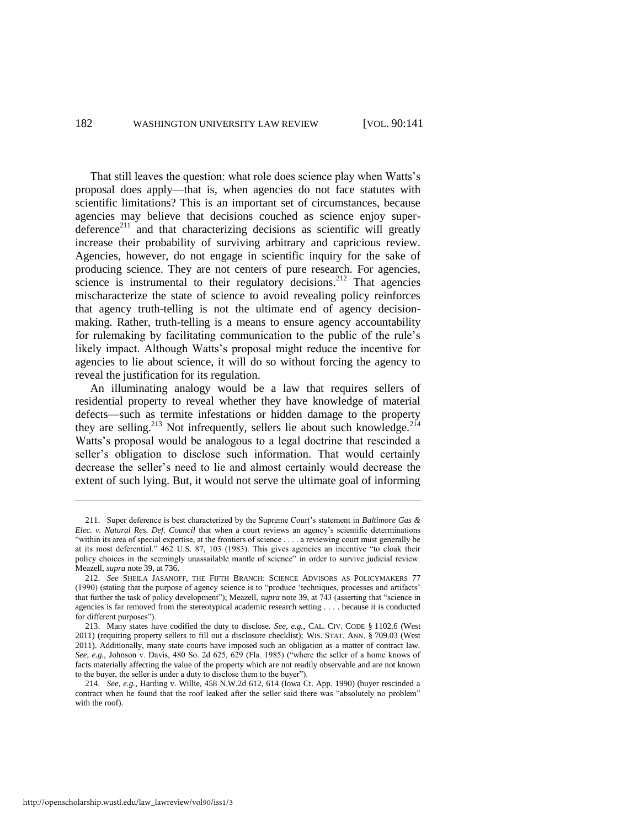<span id="page-42-0"></span>That still leaves the question: what role does science play when Watts's proposal does apply—that is, when agencies do not face statutes with scientific limitations? This is an important set of circumstances, because agencies may believe that decisions couched as science enjoy superdeference<sup>211</sup> and that characterizing decisions as scientific will greatly increase their probability of surviving arbitrary and capricious review. Agencies, however, do not engage in scientific inquiry for the sake of producing science. They are not centers of pure research. For agencies, science is instrumental to their regulatory decisions.<sup>212</sup> That agencies mischaracterize the state of science to avoid revealing policy reinforces that agency truth-telling is not the ultimate end of agency decisionmaking. Rather, truth-telling is a means to ensure agency accountability for rulemaking by facilitating communication to the public of the rule's likely impact. Although Watts's proposal might reduce the incentive for agencies to lie about science, it will do so without forcing the agency to reveal the justification for its regulation.

An illuminating analogy would be a law that requires sellers of residential property to reveal whether they have knowledge of material defects—such as termite infestations or hidden damage to the property they are selling.<sup>213</sup> Not infrequently, sellers lie about such knowledge.<sup>214</sup> Watts's proposal would be analogous to a legal doctrine that rescinded a seller's obligation to disclose such information. That would certainly decrease the seller's need to lie and almost certainly would decrease the extent of such lying. But, it would not serve the ultimate goal of informing

<sup>211.</sup> Super deference is best characterized by the Supreme Court's statement in *Baltimore Gas & Elec. v. Natural Res. Def. Council* that when a court reviews an agency's scientific determinations ―within its area of special expertise, at the frontiers of science . . . . a reviewing court must generally be at its most deferential." 462 U.S. 87, 103 (1983). This gives agencies an incentive "to cloak their policy choices in the seemingly unassailable mantle of science" in order to survive judicial review. Meazell, *supra* note [39,](#page-11-2) at 736.

<sup>212.</sup> *See* SHEILA JASANOFF, THE FIFTH BRANCH: SCIENCE ADVISORS AS POLICYMAKERS 77 (1990) (stating that the purpose of agency science is to "produce 'techniques, processes and artifacts' that further the task of policy development"); Meazell, *supra* not[e 39,](#page-11-2) at 743 (asserting that "science in agencies is far removed from the stereotypical academic research setting . . . . because it is conducted for different purposes").

<sup>213.</sup> Many states have codified the duty to disclose. *See, e.g.*, CAL. CIV. CODE § 1102.6 (West 2011) (requiring property sellers to fill out a disclosure checklist); WIS. STAT. ANN. § 709.03 (West 2011). Additionally, many state courts have imposed such an obligation as a matter of contract law. *See, e.g.*, Johnson v. Davis, 480 So. 2d 625, 629 (Fla. 1985) ("where the seller of a home knows of facts materially affecting the value of the property which are not readily observable and are not known to the buyer, the seller is under a duty to disclose them to the buyer").

<sup>214.</sup> *See, e.g.*, Harding v. Willie, 458 N.W.2d 612, 614 (Iowa Ct. App. 1990) (buyer rescinded a contract when he found that the roof leaked after the seller said there was "absolutely no problem" with the roof).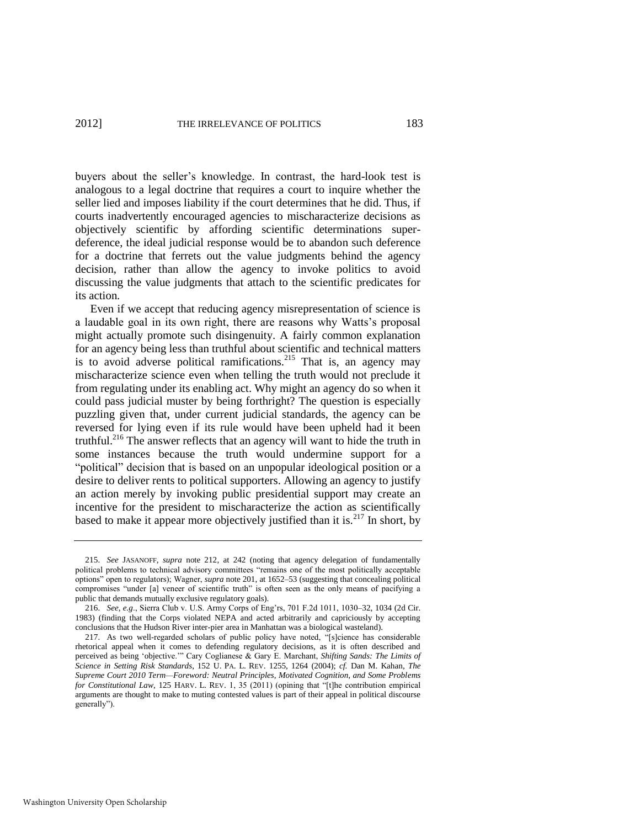buyers about the seller's knowledge. In contrast, the hard-look test is analogous to a legal doctrine that requires a court to inquire whether the seller lied and imposes liability if the court determines that he did. Thus, if courts inadvertently encouraged agencies to mischaracterize decisions as objectively scientific by affording scientific determinations superdeference, the ideal judicial response would be to abandon such deference for a doctrine that ferrets out the value judgments behind the agency decision, rather than allow the agency to invoke politics to avoid discussing the value judgments that attach to the scientific predicates for its action.

Even if we accept that reducing agency misrepresentation of science is a laudable goal in its own right, there are reasons why Watts's proposal might actually promote such disingenuity. A fairly common explanation for an agency being less than truthful about scientific and technical matters is to avoid adverse political ramifications.<sup>215</sup> That is, an agency may mischaracterize science even when telling the truth would not preclude it from regulating under its enabling act. Why might an agency do so when it could pass judicial muster by being forthright? The question is especially puzzling given that, under current judicial standards, the agency can be reversed for lying even if its rule would have been upheld had it been truthful.<sup>216</sup> The answer reflects that an agency will want to hide the truth in some instances because the truth would undermine support for a "political" decision that is based on an unpopular ideological position or a desire to deliver rents to political supporters. Allowing an agency to justify an action merely by invoking public presidential support may create an incentive for the president to mischaracterize the action as scientifically based to make it appear more objectively justified than it is.<sup>217</sup> In short, by

<span id="page-43-0"></span><sup>215.</sup> *See* JASANOFF, *supra* note [212,](#page-42-0) at 242 (noting that agency delegation of fundamentally political problems to technical advisory committees "remains one of the most politically acceptable options‖ open to regulators); Wagner, *supra* not[e 201,](#page-39-0) at 1652–53 (suggesting that concealing political compromises "under [a] veneer of scientific truth" is often seen as the only means of pacifying a public that demands mutually exclusive regulatory goals).

<sup>216.</sup> *See, e.g*., Sierra Club v. U.S. Army Corps of Eng'rs, 701 F.2d 1011, 1030–32, 1034 (2d Cir. 1983) (finding that the Corps violated NEPA and acted arbitrarily and capriciously by accepting conclusions that the Hudson River inter-pier area in Manhattan was a biological wasteland).

<sup>217.</sup> As two well-regarded scholars of public policy have noted, "[s]cience has considerable rhetorical appeal when it comes to defending regulatory decisions, as it is often described and perceived as being 'objective.'" Cary Coglianese & Gary E. Marchant, *Shifting Sands: The Limits of Science in Setting Risk Standards*, 152 U. PA. L. REV. 1255, 1264 (2004); *cf.* Dan M. Kahan, *The Supreme Court 2010 Term—Foreword: Neutral Principles, Motivated Cognition, and Some Problems for Constitutional Law*, 125 HARV. L. REV. 1, 35 (2011) (opining that "[t]he contribution empirical arguments are thought to make to muting contested values is part of their appeal in political discourse generally").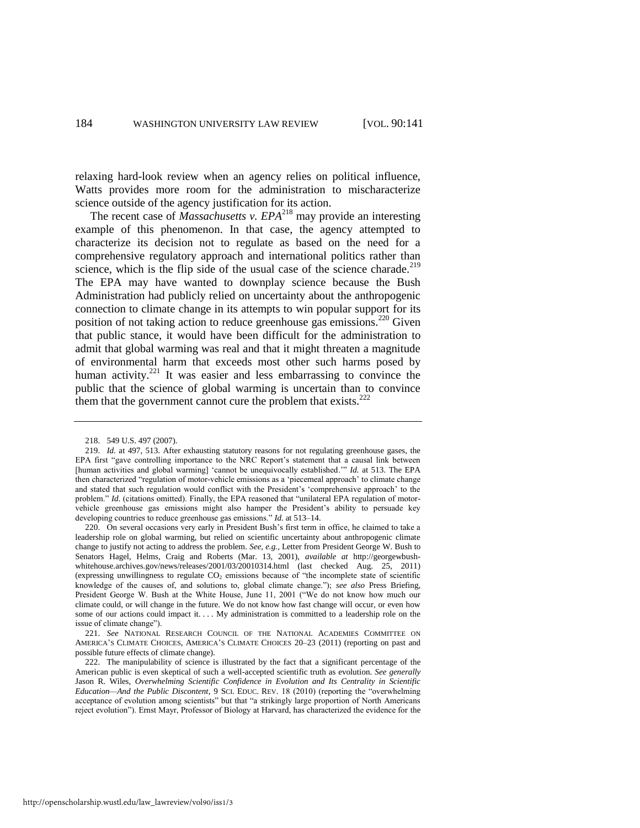relaxing hard-look review when an agency relies on political influence, Watts provides more room for the administration to mischaracterize science outside of the agency justification for its action.

The recent case of *Massachusetts v. EPA*<sup>218</sup> may provide an interesting example of this phenomenon. In that case, the agency attempted to characterize its decision not to regulate as based on the need for a comprehensive regulatory approach and international politics rather than science, which is the flip side of the usual case of the science charade.<sup>219</sup> The EPA may have wanted to downplay science because the Bush Administration had publicly relied on uncertainty about the anthropogenic connection to climate change in its attempts to win popular support for its position of not taking action to reduce greenhouse gas emissions.<sup>220</sup> Given that public stance, it would have been difficult for the administration to admit that global warming was real and that it might threaten a magnitude of environmental harm that exceeds most other such harms posed by human activity.<sup>221</sup> It was easier and less embarrassing to convince the public that the science of global warming is uncertain than to convince them that the government cannot cure the problem that exists. $222$ 

220. On several occasions very early in President Bush's first term in office, he claimed to take a leadership role on global warming, but relied on scientific uncertainty about anthropogenic climate change to justify not acting to address the problem. *See, e.g.,* Letter from President George W. Bush to Senators Hagel, Helms, Craig and Roberts (Mar. 13, 2001), *available at* http://georgewbushwhitehouse.archives.gov/news/releases/2001/03/20010314.html (last checked Aug. 25, 2011) (expressing unwillingness to regulate  $CO<sub>2</sub>$  emissions because of "the incomplete state of scientific knowledge of the causes of, and solutions to, global climate change.‖); *see also* Press Briefing, President George W. Bush at the White House, June 11, 2001 ("We do not know how much our climate could, or will change in the future. We do not know how fast change will occur, or even how some of our actions could impact it. . . . My administration is committed to a leadership role on the issue of climate change").

221. *See* NATIONAL RESEARCH COUNCIL OF THE NATIONAL ACADEMIES COMMITTEE ON AMERICA'S CLIMATE CHOICES, AMERICA'S CLIMATE CHOICES 20–23 (2011) (reporting on past and possible future effects of climate change).

<sup>218. 549</sup> U.S. 497 (2007).

<sup>219.</sup> *Id.* at 497, 513. After exhausting statutory reasons for not regulating greenhouse gases, the EPA first "gave controlling importance to the NRC Report's statement that a causal link between [human activities and global warming] 'cannot be unequivocally established.'" *Id.* at 513. The EPA then characterized "regulation of motor-vehicle emissions as a 'piecemeal approach' to climate change and stated that such regulation would conflict with the President's ‗comprehensive approach' to the problem." *Id.* (citations omitted). Finally, the EPA reasoned that "unilateral EPA regulation of motorvehicle greenhouse gas emissions might also hamper the President's ability to persuade key developing countries to reduce greenhouse gas emissions." *Id.* at 513–14.

<sup>222.</sup> The manipulability of science is illustrated by the fact that a significant percentage of the American public is even skeptical of such a well-accepted scientific truth as evolution. *See generally* Jason R. Wiles, *Overwhelming Scientific Confidence in Evolution and Its Centrality in Scientific Education—And the Public Discontent*, 9 SCI. EDUC. REV. 18 (2010) (reporting the "overwhelming acceptance of evolution among scientists" but that "a strikingly large proportion of North Americans reject evolution‖). Ernst Mayr, Professor of Biology at Harvard, has characterized the evidence for the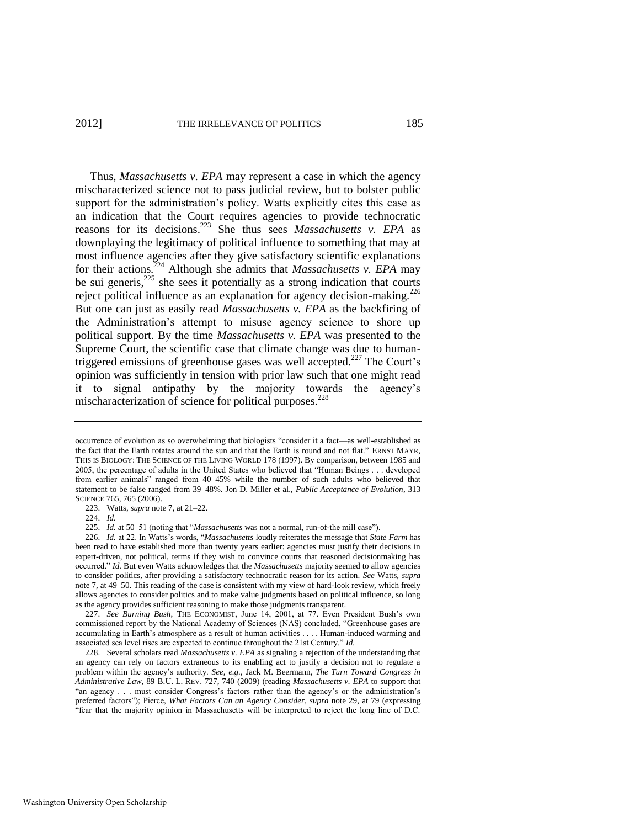<span id="page-45-0"></span>Thus, *Massachusetts v. EPA* may represent a case in which the agency mischaracterized science not to pass judicial review, but to bolster public support for the administration's policy. Watts explicitly cites this case as an indication that the Court requires agencies to provide technocratic reasons for its decisions.<sup>223</sup> She thus sees *Massachusetts v. EPA* as downplaying the legitimacy of political influence to something that may at most influence agencies after they give satisfactory scientific explanations for their actions.<sup>224</sup> Although she admits that *Massachusetts v. EPA* may be sui generis, $225$  she sees it potentially as a strong indication that courts reject political influence as an explanation for agency decision-making.<sup>226</sup> But one can just as easily read *Massachusetts v. EPA* as the backfiring of the Administration's attempt to misuse agency science to shore up political support. By the time *Massachusetts v. EPA* was presented to the Supreme Court, the scientific case that climate change was due to humantriggered emissions of greenhouse gases was well accepted.<sup>227</sup> The Court's opinion was sufficiently in tension with prior law such that one might read it to signal antipathy by the majority towards the agency's mischaracterization of science for political purposes.<sup>228</sup>

<span id="page-45-1"></span>occurrence of evolution as so overwhelming that biologists "consider it a fact—as well-established as the fact that the Earth rotates around the sun and that the Earth is round and not flat." ERNST MAYR, THIS IS BIOLOGY: THE SCIENCE OF THE LIVING WORLD 178 (1997). By comparison, between 1985 and 2005, the percentage of adults in the United States who believed that "Human Beings . . . developed from earlier animals" ranged from 40–45% while the number of such adults who believed that statement to be false ranged from 39–48%. Jon D. Miller et al., *Public Acceptance of Evolution*, 313 SCIENCE 765, 765 (2006).

<sup>223.</sup> Watts, *supra* not[e 7,](#page-2-1) at 21–22.

<sup>224.</sup> *Id.*

<sup>225.</sup> *Id.* at 50–51 (noting that "*Massachusetts* was not a normal, run-of-the mill case").

<sup>226.</sup> *Id.* at 22. In Watts's words, "Massachusetts loudly reiterates the message that *State Farm* has been read to have established more than twenty years earlier: agencies must justify their decisions in expert-driven, not political, terms if they wish to convince courts that reasoned decisionmaking has occurred.‖ *Id.* But even Watts acknowledges that the *Massachusetts* majority seemed to allow agencies to consider politics, after providing a satisfactory technocratic reason for its action. *See* Watts, *supra* note [7,](#page-2-1) at 49–50. This reading of the case is consistent with my view of hard-look review, which freely allows agencies to consider politics and to make value judgments based on political influence, so long as the agency provides sufficient reasoning to make those judgments transparent.

<sup>227.</sup> *See Burning Bush*, THE ECONOMIST, June 14, 2001, at 77. Even President Bush's own commissioned report by the National Academy of Sciences (NAS) concluded, "Greenhouse gases are accumulating in Earth's atmosphere as a result of human activities . . . . Human-induced warming and associated sea level rises are expected to continue throughout the 21st Century." *Id.* 

<sup>228.</sup> Several scholars read *Massachusetts v. EPA* as signaling a rejection of the understanding that an agency can rely on factors extraneous to its enabling act to justify a decision not to regulate a problem within the agency's authority. *See, e.g.*, Jack M. Beermann, *The Turn Toward Congress in Administrative Law*, 89 B.U. L. REV. 727, 740 (2009) (reading *Massachusetts v. EPA* to support that "an agency . . . must consider Congress's factors rather than the agency's or the administration's preferred factors‖); Pierce, *What Factors Can an Agency Consider*, *supra* not[e 29,](#page-8-0) at 79 (expressing ―fear that the majority opinion in Massachusetts will be interpreted to reject the long line of D.C.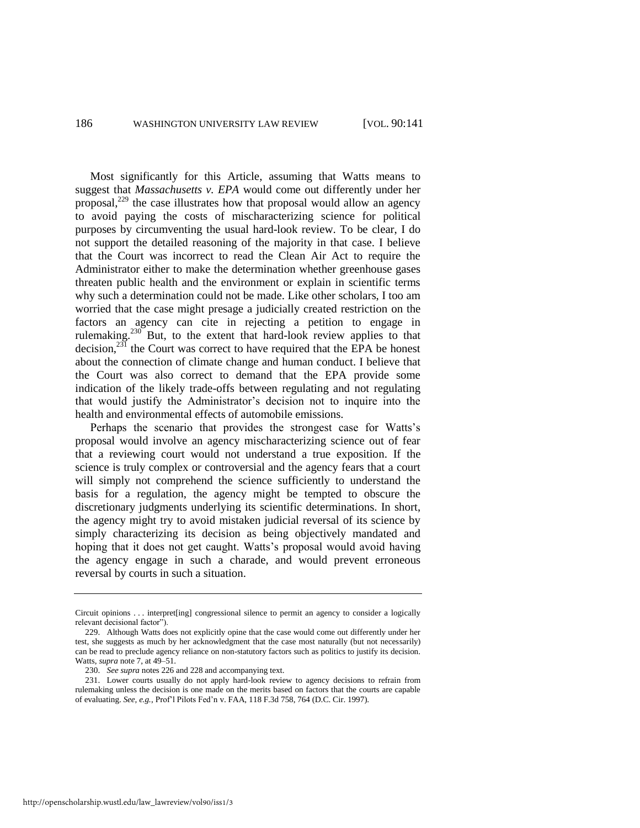Most significantly for this Article, assuming that Watts means to suggest that *Massachusetts v. EPA* would come out differently under her proposal,<sup>229</sup> the case illustrates how that proposal would allow an agency to avoid paying the costs of mischaracterizing science for political purposes by circumventing the usual hard-look review. To be clear, I do not support the detailed reasoning of the majority in that case. I believe that the Court was incorrect to read the Clean Air Act to require the Administrator either to make the determination whether greenhouse gases threaten public health and the environment or explain in scientific terms why such a determination could not be made. Like other scholars, I too am worried that the case might presage a judicially created restriction on the factors an agency can cite in rejecting a petition to engage in rulemaking.<sup>230</sup> But, to the extent that hard-look review applies to that decision,<sup>231</sup> the Court was correct to have required that the EPA be honest about the connection of climate change and human conduct. I believe that the Court was also correct to demand that the EPA provide some indication of the likely trade-offs between regulating and not regulating that would justify the Administrator's decision not to inquire into the health and environmental effects of automobile emissions.

Perhaps the scenario that provides the strongest case for Watts's proposal would involve an agency mischaracterizing science out of fear that a reviewing court would not understand a true exposition. If the science is truly complex or controversial and the agency fears that a court will simply not comprehend the science sufficiently to understand the basis for a regulation, the agency might be tempted to obscure the discretionary judgments underlying its scientific determinations. In short, the agency might try to avoid mistaken judicial reversal of its science by simply characterizing its decision as being objectively mandated and hoping that it does not get caught. Watts's proposal would avoid having the agency engage in such a charade, and would prevent erroneous reversal by courts in such a situation.

Circuit opinions . . . interpret[ing] congressional silence to permit an agency to consider a logically relevant decisional factor").

<sup>229.</sup> Although Watts does not explicitly opine that the case would come out differently under her test, she suggests as much by her acknowledgment that the case most naturally (but not necessarily) can be read to preclude agency reliance on non-statutory factors such as politics to justify its decision. Watts, *supra* not[e 7,](#page-2-1) at 49–51.

<sup>230.</sup> *See supra* note[s 226 a](#page-45-0)n[d 228](#page-45-1) and accompanying text.

<sup>231.</sup> Lower courts usually do not apply hard-look review to agency decisions to refrain from rulemaking unless the decision is one made on the merits based on factors that the courts are capable of evaluating. *See, e.g.*, Prof'l Pilots Fed'n v. FAA, 118 F.3d 758, 764 (D.C. Cir. 1997).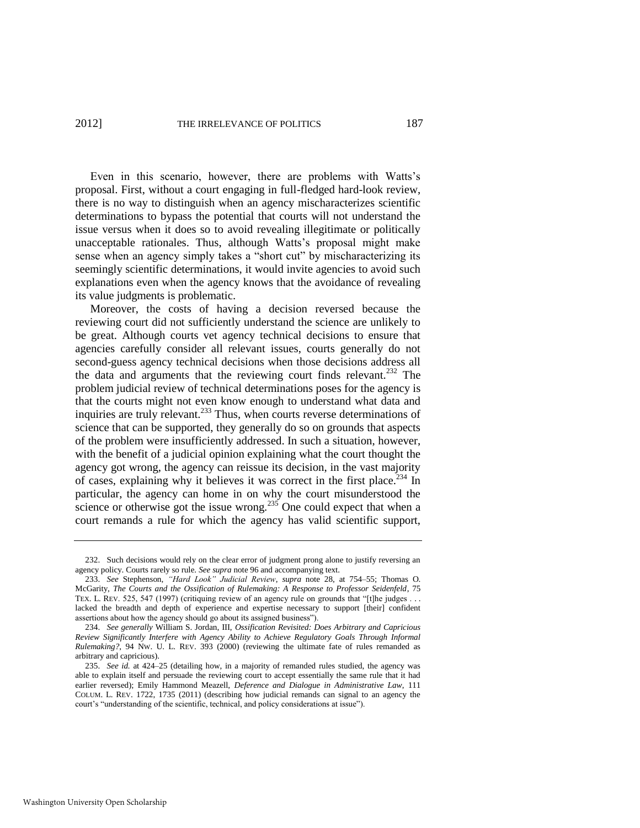Even in this scenario, however, there are problems with Watts's proposal. First, without a court engaging in full-fledged hard-look review, there is no way to distinguish when an agency mischaracterizes scientific determinations to bypass the potential that courts will not understand the issue versus when it does so to avoid revealing illegitimate or politically unacceptable rationales. Thus, although Watts's proposal might make sense when an agency simply takes a "short cut" by mischaracterizing its seemingly scientific determinations, it would invite agencies to avoid such explanations even when the agency knows that the avoidance of revealing its value judgments is problematic.

Moreover, the costs of having a decision reversed because the reviewing court did not sufficiently understand the science are unlikely to be great. Although courts vet agency technical decisions to ensure that agencies carefully consider all relevant issues, courts generally do not second-guess agency technical decisions when those decisions address all the data and arguments that the reviewing court finds relevant.<sup>232</sup> The problem judicial review of technical determinations poses for the agency is that the courts might not even know enough to understand what data and inquiries are truly relevant. $233$  Thus, when courts reverse determinations of science that can be supported, they generally do so on grounds that aspects of the problem were insufficiently addressed. In such a situation, however, with the benefit of a judicial opinion explaining what the court thought the agency got wrong, the agency can reissue its decision, in the vast majority of cases, explaining why it believes it was correct in the first place.<sup>234</sup> In particular, the agency can home in on why the court misunderstood the science or otherwise got the issue wrong.<sup>235</sup> One could expect that when a court remands a rule for which the agency has valid scientific support,

<sup>232.</sup> Such decisions would rely on the clear error of judgment prong alone to justify reversing an agency policy. Courts rarely so rule. *See supra* not[e 96 a](#page-22-0)nd accompanying text.

<sup>233.</sup> *See* Stephenson, "Hard Look" Judicial Review, supra note [28,](#page-7-0) at 754–55; Thomas O. McGarity, *The Courts and the Ossification of Rulemaking: A Response to Professor Seidenfeld*, 75 TEX. L. REV. 525, 547 (1997) (critiquing review of an agency rule on grounds that "[t]he judges . . . lacked the breadth and depth of experience and expertise necessary to support [their] confident assertions about how the agency should go about its assigned business").

<sup>234.</sup> *See generally* William S. Jordan, III, *Ossification Revisited: Does Arbitrary and Capricious Review Significantly Interfere with Agency Ability to Achieve Regulatory Goals Through Informal Rulemaking?*, 94 NW. U. L. REV. 393 (2000) (reviewing the ultimate fate of rules remanded as arbitrary and capricious).

<sup>235.</sup> *See id.* at 424–25 (detailing how, in a majority of remanded rules studied, the agency was able to explain itself and persuade the reviewing court to accept essentially the same rule that it had earlier reversed); Emily Hammond Meazell, *Deference and Dialogue in Administrative Law*, 111 COLUM. L. REV. 1722, 1735 (2011) (describing how judicial remands can signal to an agency the court's "understanding of the scientific, technical, and policy considerations at issue").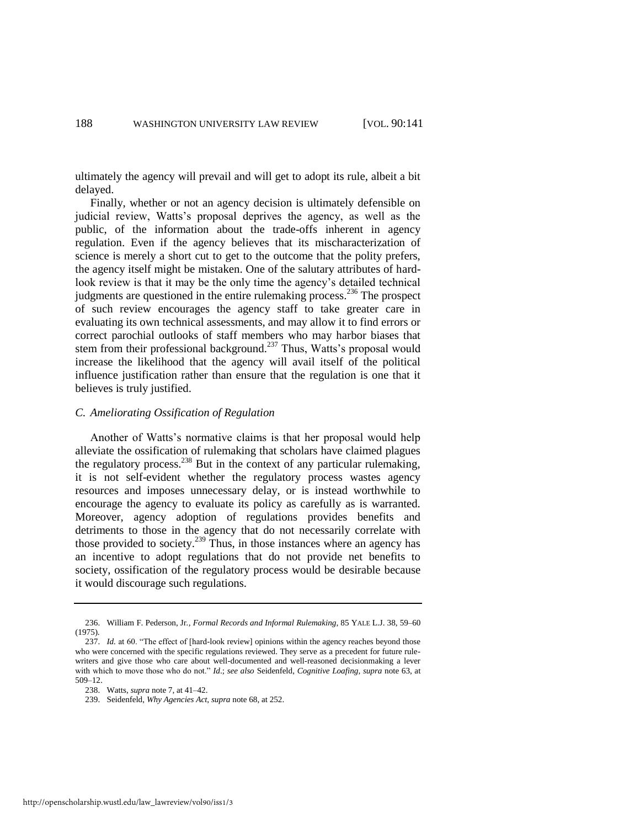ultimately the agency will prevail and will get to adopt its rule, albeit a bit delayed.

Finally, whether or not an agency decision is ultimately defensible on judicial review, Watts's proposal deprives the agency, as well as the public, of the information about the trade-offs inherent in agency regulation. Even if the agency believes that its mischaracterization of science is merely a short cut to get to the outcome that the polity prefers, the agency itself might be mistaken. One of the salutary attributes of hardlook review is that it may be the only time the agency's detailed technical judgments are questioned in the entire rulemaking process.<sup>236</sup> The prospect of such review encourages the agency staff to take greater care in evaluating its own technical assessments, and may allow it to find errors or correct parochial outlooks of staff members who may harbor biases that stem from their professional background.<sup>237</sup> Thus, Watts's proposal would increase the likelihood that the agency will avail itself of the political influence justification rather than ensure that the regulation is one that it believes is truly justified.

#### *C. Ameliorating Ossification of Regulation*

Another of Watts's normative claims is that her proposal would help alleviate the ossification of rulemaking that scholars have claimed plagues the regulatory process.<sup>238</sup> But in the context of any particular rulemaking, it is not self-evident whether the regulatory process wastes agency resources and imposes unnecessary delay, or is instead worthwhile to encourage the agency to evaluate its policy as carefully as is warranted. Moreover, agency adoption of regulations provides benefits and detriments to those in the agency that do not necessarily correlate with those provided to society.<sup>239</sup> Thus, in those instances where an agency has an incentive to adopt regulations that do not provide net benefits to society, ossification of the regulatory process would be desirable because it would discourage such regulations.

<sup>236.</sup> William F. Pederson, Jr*., Formal Records and Informal Rulemaking*, 85 YALE L.J. 38, 59–60 (1975).

<sup>237.</sup> *Id.* at 60. "The effect of [hard-look review] opinions within the agency reaches beyond those who were concerned with the specific regulations reviewed. They serve as a precedent for future rulewriters and give those who care about well-documented and well-reasoned decisionmaking a lever with which to move those who do not." *Id.*; *see also* Seidenfeld, *Cognitive Loafing*, *supra* note [63,](#page-15-2) at 509–12.

<sup>238.</sup> Watts, *supra* not[e 7,](#page-2-1) at 41–42.

<sup>239.</sup> Seidenfeld, *Why Agencies Act*, *supra* not[e 68,](#page-16-0) at 252.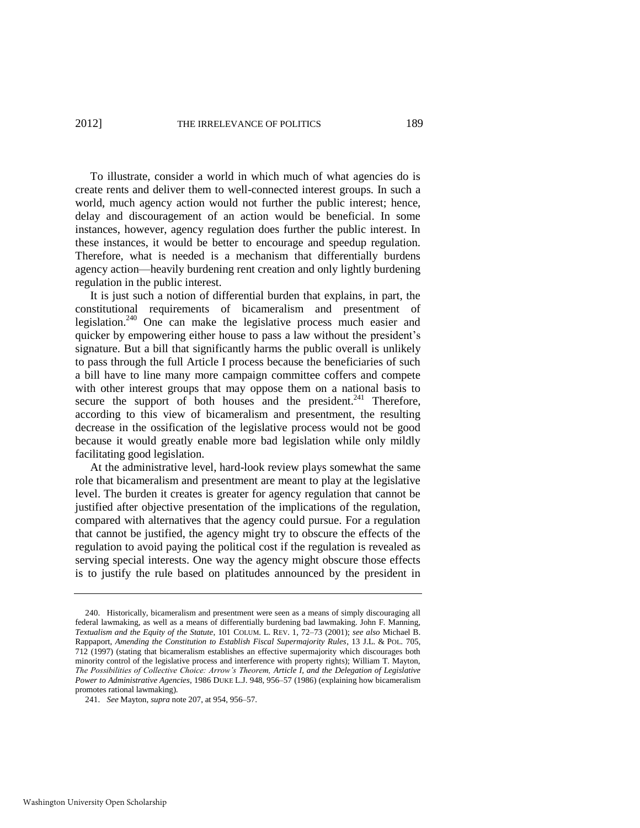To illustrate, consider a world in which much of what agencies do is create rents and deliver them to well-connected interest groups. In such a world, much agency action would not further the public interest; hence, delay and discouragement of an action would be beneficial. In some instances, however, agency regulation does further the public interest. In these instances, it would be better to encourage and speedup regulation. Therefore, what is needed is a mechanism that differentially burdens agency action—heavily burdening rent creation and only lightly burdening regulation in the public interest.

It is just such a notion of differential burden that explains, in part, the constitutional requirements of bicameralism and presentment of legislation.<sup>240</sup> One can make the legislative process much easier and quicker by empowering either house to pass a law without the president's signature. But a bill that significantly harms the public overall is unlikely to pass through the full Article I process because the beneficiaries of such a bill have to line many more campaign committee coffers and compete with other interest groups that may oppose them on a national basis to secure the support of both houses and the president. $241$  Therefore, according to this view of bicameralism and presentment, the resulting decrease in the ossification of the legislative process would not be good because it would greatly enable more bad legislation while only mildly facilitating good legislation.

At the administrative level, hard-look review plays somewhat the same role that bicameralism and presentment are meant to play at the legislative level. The burden it creates is greater for agency regulation that cannot be justified after objective presentation of the implications of the regulation, compared with alternatives that the agency could pursue. For a regulation that cannot be justified, the agency might try to obscure the effects of the regulation to avoid paying the political cost if the regulation is revealed as serving special interests. One way the agency might obscure those effects is to justify the rule based on platitudes announced by the president in

<sup>240.</sup> Historically, bicameralism and presentment were seen as a means of simply discouraging all federal lawmaking, as well as a means of differentially burdening bad lawmaking. John F. Manning, *Textualism and the Equity of the Statute*, 101 COLUM. L. REV. 1, 72–73 (2001); *see also* Michael B. Rappaport, *Amending the Constitution to Establish Fiscal Supermajority Rules*, 13 J.L. & POL. 705, 712 (1997) (stating that bicameralism establishes an effective supermajority which discourages both minority control of the legislative process and interference with property rights); William T. Mayton, *The Possibilities of Collective Choice: Arrow's Theorem, Article I, and the Delegation of Legislative Power to Administrative Agencies*, 1986 DUKE L.J. 948, 956–57 (1986) (explaining how bicameralism promotes rational lawmaking).

<sup>241.</sup> *See* Mayton, *supra* not[e 207,](#page-41-0) at 954, 956–57.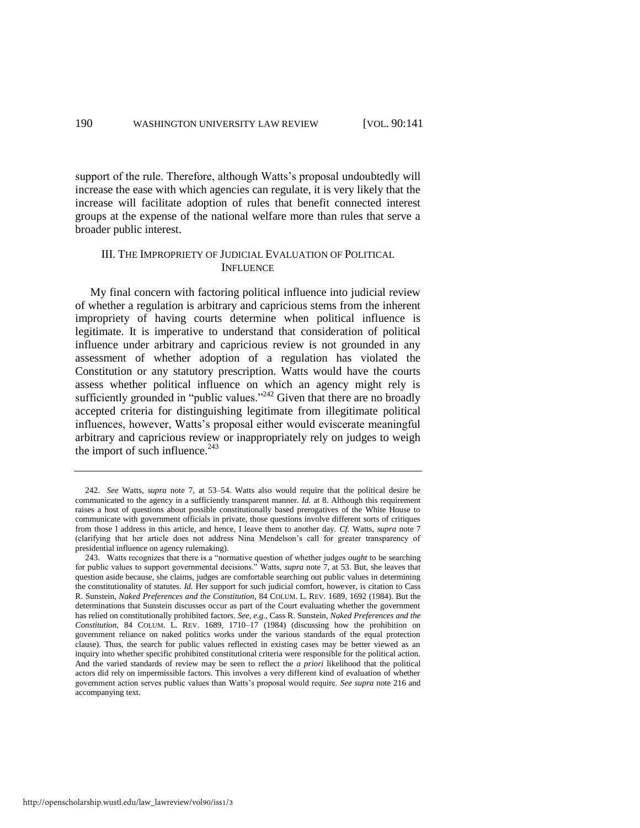support of the rule. Therefore, although Watts's proposal undoubtedly will increase the ease with which agencies can regulate, it is very likely that the increase will facilitate adoption of rules that benefit connected interest groups at the expense of the national welfare more than rules that serve a broader public interest.

#### III. THE IMPROPRIETY OF JUDICIAL EVALUATION OF POLITICAL INFLUENCE

My final concern with factoring political influence into judicial review of whether a regulation is arbitrary and capricious stems from the inherent impropriety of having courts determine when political influence is legitimate. It is imperative to understand that consideration of political influence under arbitrary and capricious review is not grounded in any assessment of whether adoption of a regulation has violated the Constitution or any statutory prescription. Watts would have the courts assess whether political influence on which an agency might rely is sufficiently grounded in "public values."<sup>242</sup> Given that there are no broadly accepted criteria for distinguishing legitimate from illegitimate political influences, however, Watts's proposal either would eviscerate meaningful arbitrary and capricious review or inappropriately rely on judges to weigh the import of such influence. $243$ 

<sup>242.</sup> *See* Watts, *supra* note [7,](#page-2-1) at 53–54. Watts also would require that the political desire be communicated to the agency in a sufficiently transparent manner. *Id.* at 8. Although this requirement raises a host of questions about possible constitutionally based prerogatives of the White House to communicate with government officials in private, those questions involve different sorts of critiques from those I address in this article, and hence, I leave them to another day. *Cf.* Watts, *supra* note [7](#page-2-1) (clarifying that her article does not address Nina Mendelson's call for greater transparency of presidential influence on agency rulemaking).

<sup>243.</sup> Watts recognizes that there is a "normative question of whether judges *ought* to be searching for public values to support governmental decisions." Watts, *supra* note [7,](#page-2-1) at 53. But, she leaves that question aside because, she claims, judges are comfortable searching out public values in determining the constitutionality of statutes. *Id.* Her support for such judicial comfort, however, is citation to Cass R. Sunstein, *Naked Preferences and the Constitution*, 84 COLUM. L. REV. 1689, 1692 (1984). But the determinations that Sunstein discusses occur as part of the Court evaluating whether the government has relied on constitutionally prohibited factors. *See, e.g.*, Cass R. Sunstein, *Naked Preferences and the Constitution*, 84 COLUM. L. REV. 1689, 1710–17 (1984) (discussing how the prohibition on government reliance on naked politics works under the various standards of the equal protection clause). Thus, the search for public values reflected in existing cases may be better viewed as an inquiry into whether specific prohibited constitutional criteria were responsible for the political action. And the varied standards of review may be seen to reflect the *a priori* likelihood that the political actors did rely on impermissible factors. This involves a very different kind of evaluation of whether government action serves public values than Watts's proposal would require. *See supra* not[e 216](#page-43-0) and accompanying text.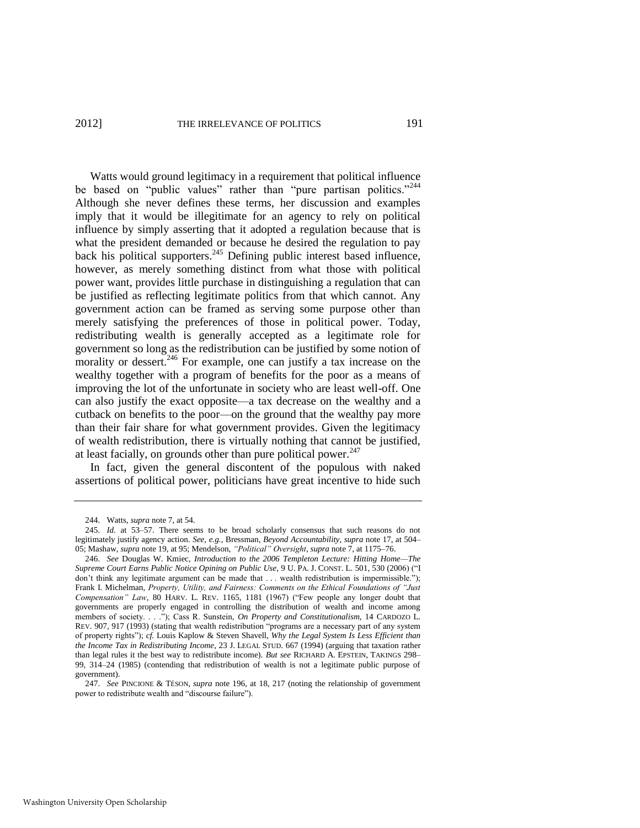Watts would ground legitimacy in a requirement that political influence be based on "public values" rather than "pure partisan politics."<sup>244</sup> Although she never defines these terms, her discussion and examples imply that it would be illegitimate for an agency to rely on political influence by simply asserting that it adopted a regulation because that is what the president demanded or because he desired the regulation to pay back his political supporters. $245$  Defining public interest based influence, however, as merely something distinct from what those with political power want, provides little purchase in distinguishing a regulation that can be justified as reflecting legitimate politics from that which cannot. Any government action can be framed as serving some purpose other than merely satisfying the preferences of those in political power. Today, redistributing wealth is generally accepted as a legitimate role for government so long as the redistribution can be justified by some notion of morality or dessert.<sup>246</sup> For example, one can justify a tax increase on the wealthy together with a program of benefits for the poor as a means of improving the lot of the unfortunate in society who are least well-off. One can also justify the exact opposite—a tax decrease on the wealthy and a cutback on benefits to the poor—on the ground that the wealthy pay more than their fair share for what government provides. Given the legitimacy of wealth redistribution, there is virtually nothing that cannot be justified, at least facially, on grounds other than pure political power. $247$ 

In fact, given the general discontent of the populous with naked assertions of political power, politicians have great incentive to hide such

<sup>244.</sup> Watts, *supra* not[e 7,](#page-2-1) at 54.

<sup>245.</sup> *Id.* at 53–57. There seems to be broad scholarly consensus that such reasons do not legitimately justify agency action. *See, e.g.*, Bressman, *Beyond Accountability*, *supra* note [17,](#page-5-0) at 504– 05; Mashaw, *supra* not[e 19,](#page-6-0) at 95; Mendelson, *"Political" Oversight*, *supra* not[e 7,](#page-2-1) at 1175–76.

<sup>246.</sup> *See* Douglas W. Kmiec, *Introduction to the 2006 Templeton Lecture: Hitting Home—The Supreme Court Earns Public Notice Opining on Public Use*, 9 U. PA. J. CONST. L. 501, 530 (2006) ("I don't think any legitimate argument can be made that . . . wealth redistribution is impermissible."); Frank I. Michelman, Property, Utility, and Fairness: Comments on the Ethical Foundations of "Just *Compensation* " Law, 80 HARV. L. REV. 1165, 1181 (1967) ("Few people any longer doubt that governments are properly engaged in controlling the distribution of wealth and income among members of society. . . ."); Cass R. Sunstein, *On Property and Constitutionalism*, 14 CARDOZO L. REV. 907, 917 (1993) (stating that wealth redistribution "programs are a necessary part of any system of property rights‖); *cf.* Louis Kaplow & Steven Shavell, *Why the Legal System Is Less Efficient than the Income Tax in Redistributing Income*, 23 J. LEGAL STUD. 667 (1994) (arguing that taxation rather than legal rules it the best way to redistribute income). *But see* RICHARD A. EPSTEIN, TAKINGS 298– 99, 314–24 (1985) (contending that redistribution of wealth is not a legitimate public purpose of government).

<sup>247.</sup> *See* PINCIONE & TÉSON, *supra* note [196,](#page-39-1) at 18, 217 (noting the relationship of government power to redistribute wealth and "discourse failure").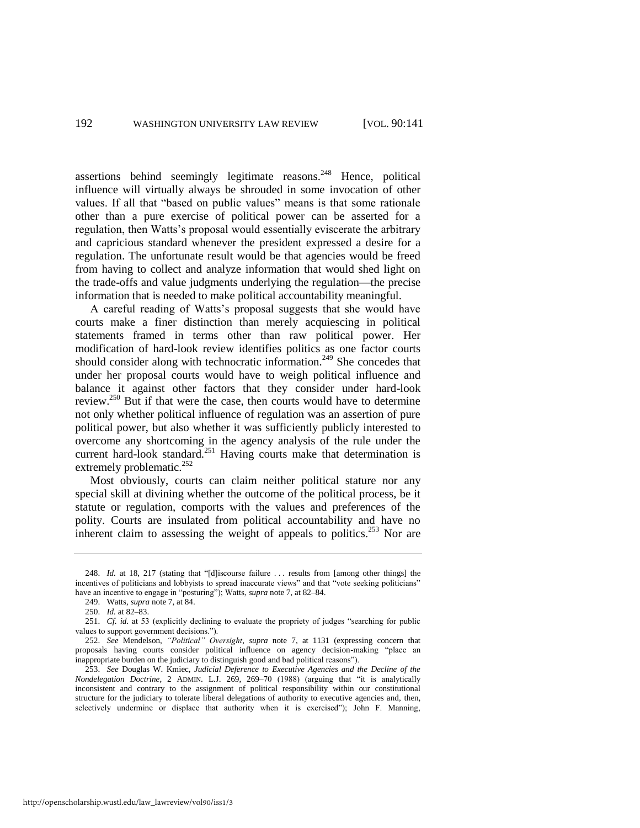assertions behind seemingly legitimate reasons.<sup>248</sup> Hence, political influence will virtually always be shrouded in some invocation of other values. If all that "based on public values" means is that some rationale other than a pure exercise of political power can be asserted for a regulation, then Watts's proposal would essentially eviscerate the arbitrary and capricious standard whenever the president expressed a desire for a regulation. The unfortunate result would be that agencies would be freed from having to collect and analyze information that would shed light on the trade-offs and value judgments underlying the regulation—the precise information that is needed to make political accountability meaningful.

A careful reading of Watts's proposal suggests that she would have courts make a finer distinction than merely acquiescing in political statements framed in terms other than raw political power. Her modification of hard-look review identifies politics as one factor courts should consider along with technocratic information.<sup>249</sup> She concedes that under her proposal courts would have to weigh political influence and balance it against other factors that they consider under hard-look review.<sup>250</sup> But if that were the case, then courts would have to determine not only whether political influence of regulation was an assertion of pure political power, but also whether it was sufficiently publicly interested to overcome any shortcoming in the agency analysis of the rule under the current hard-look standard.<sup>251</sup> Having courts make that determination is extremely problematic.<sup>252</sup>

Most obviously, courts can claim neither political stature nor any special skill at divining whether the outcome of the political process, be it statute or regulation, comports with the values and preferences of the polity. Courts are insulated from political accountability and have no inherent claim to assessing the weight of appeals to politics.<sup>253</sup> Nor are

<sup>248.</sup> *Id.* at 18, 217 (stating that "[d]iscourse failure ... results from [among other things] the incentives of politicians and lobbyists to spread inaccurate views" and that "vote seeking politicians" have an incentive to engage in "posturing"); Watts, *supra* not[e 7,](#page-2-1) at 82–84.

<sup>249.</sup> Watts, *supra* not[e 7,](#page-2-1) at 84.

<sup>250.</sup> *Id.* at 82–83.

<sup>251.</sup> *Cf. id.* at 53 (explicitly declining to evaluate the propriety of judges "searching for public values to support government decisions.").

<sup>252.</sup> *See* Mendelson, "Political" Oversight, *supra* note [7,](#page-2-1) at 1131 (expressing concern that proposals having courts consider political influence on agency decision-making "place an inappropriate burden on the judiciary to distinguish good and bad political reasons").

<sup>253.</sup> *See* Douglas W. Kmiec, *Judicial Deference to Executive Agencies and the Decline of the Nondelegation Doctrine*, 2 ADMIN. L.J. 269, 269-70 (1988) (arguing that "it is analytically inconsistent and contrary to the assignment of political responsibility within our constitutional structure for the judiciary to tolerate liberal delegations of authority to executive agencies and, then, selectively undermine or displace that authority when it is exercised"); John F. Manning,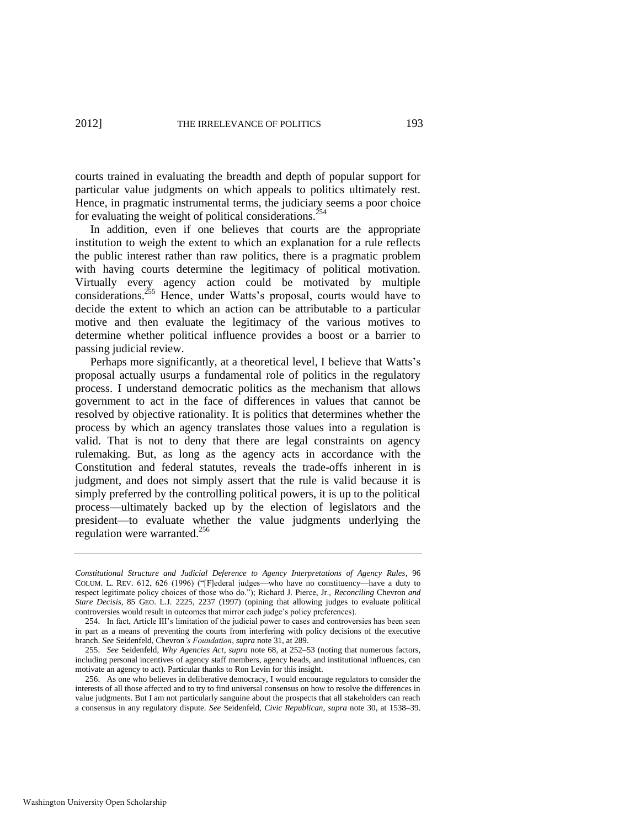courts trained in evaluating the breadth and depth of popular support for particular value judgments on which appeals to politics ultimately rest. Hence, in pragmatic instrumental terms, the judiciary seems a poor choice for evaluating the weight of political considerations.<sup>254</sup>

In addition, even if one believes that courts are the appropriate institution to weigh the extent to which an explanation for a rule reflects the public interest rather than raw politics, there is a pragmatic problem with having courts determine the legitimacy of political motivation. Virtually every agency action could be motivated by multiple considerations.<sup>255</sup> Hence, under Watts's proposal, courts would have to decide the extent to which an action can be attributable to a particular motive and then evaluate the legitimacy of the various motives to determine whether political influence provides a boost or a barrier to passing judicial review.

Perhaps more significantly, at a theoretical level, I believe that Watts's proposal actually usurps a fundamental role of politics in the regulatory process. I understand democratic politics as the mechanism that allows government to act in the face of differences in values that cannot be resolved by objective rationality. It is politics that determines whether the process by which an agency translates those values into a regulation is valid. That is not to deny that there are legal constraints on agency rulemaking. But, as long as the agency acts in accordance with the Constitution and federal statutes, reveals the trade-offs inherent in is judgment, and does not simply assert that the rule is valid because it is simply preferred by the controlling political powers, it is up to the political process—ultimately backed up by the election of legislators and the president—to evaluate whether the value judgments underlying the regulation were warranted.<sup>256</sup>

*Constitutional Structure and Judicial Deference to Agency Interpretations of Agency Rules*, 96 COLUM. L. REV.  $612$ ,  $626$  (1996) ("[F]ederal judges—who have no constituency—have a duty to respect legitimate policy choices of those who do.‖); Richard J. Pierce, Jr., *Reconciling* Chevron *and Stare Decisis*, 85 GEO. L.J. 2225, 2237 (1997) (opining that allowing judges to evaluate political controversies would result in outcomes that mirror each judge's policy preferences).

<sup>254.</sup> In fact, Article III's limitation of the judicial power to cases and controversies has been seen in part as a means of preventing the courts from interfering with policy decisions of the executive branch. *See* Seidenfeld, Chevron*'s Foundation*, *supra* not[e 31,](#page-9-1) at 289.

<sup>255.</sup> *See* Seidenfeld, *Why Agencies Act*, *supra* note [68,](#page-16-0) at 252–53 (noting that numerous factors, including personal incentives of agency staff members, agency heads, and institutional influences, can motivate an agency to act). Particular thanks to Ron Levin for this insight.

<sup>256.</sup> As one who believes in deliberative democracy, I would encourage regulators to consider the interests of all those affected and to try to find universal consensus on how to resolve the differences in value judgments. But I am not particularly sanguine about the prospects that all stakeholders can reach a consensus in any regulatory dispute. *See* Seidenfeld, *Civic Republican*, *supra* note [30,](#page-9-0) at 1538–39.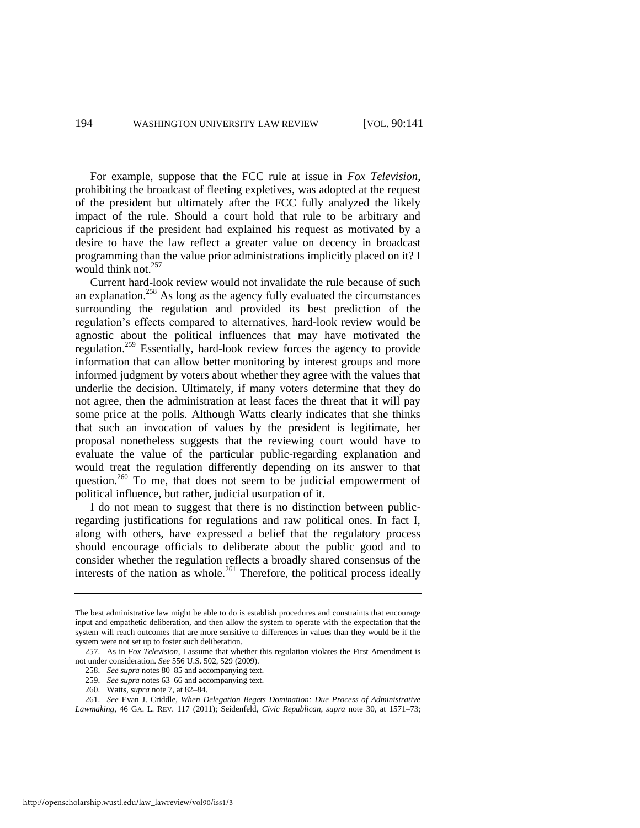For example, suppose that the FCC rule at issue in *Fox Television*, prohibiting the broadcast of fleeting expletives, was adopted at the request of the president but ultimately after the FCC fully analyzed the likely impact of the rule. Should a court hold that rule to be arbitrary and capricious if the president had explained his request as motivated by a desire to have the law reflect a greater value on decency in broadcast programming than the value prior administrations implicitly placed on it? I would think not.<sup>257</sup>

Current hard-look review would not invalidate the rule because of such an explanation.<sup>258</sup> As long as the agency fully evaluated the circumstances surrounding the regulation and provided its best prediction of the regulation's effects compared to alternatives, hard-look review would be agnostic about the political influences that may have motivated the regulation.<sup>259</sup> Essentially, hard-look review forces the agency to provide information that can allow better monitoring by interest groups and more informed judgment by voters about whether they agree with the values that underlie the decision. Ultimately, if many voters determine that they do not agree, then the administration at least faces the threat that it will pay some price at the polls. Although Watts clearly indicates that she thinks that such an invocation of values by the president is legitimate, her proposal nonetheless suggests that the reviewing court would have to evaluate the value of the particular public-regarding explanation and would treat the regulation differently depending on its answer to that question.<sup>260</sup> To me, that does not seem to be judicial empowerment of political influence, but rather, judicial usurpation of it.

I do not mean to suggest that there is no distinction between publicregarding justifications for regulations and raw political ones. In fact I, along with others, have expressed a belief that the regulatory process should encourage officials to deliberate about the public good and to consider whether the regulation reflects a broadly shared consensus of the interests of the nation as whole.<sup>261</sup> Therefore, the political process ideally

260. Watts, *supra* not[e 7,](#page-2-1) at 82–84.

The best administrative law might be able to do is establish procedures and constraints that encourage input and empathetic deliberation, and then allow the system to operate with the expectation that the system will reach outcomes that are more sensitive to differences in values than they would be if the system were not set up to foster such deliberation.

<sup>257.</sup> As in *Fox Television*, I assume that whether this regulation violates the First Amendment is not under consideration. *See* 556 U.S. 502, 529 (2009).

<sup>258.</sup> *See supra* note[s 80](#page-19-1)[–85 a](#page-19-0)nd accompanying text.

<sup>259.</sup> *See supra* note[s 63](#page-15-2)[–66 a](#page-15-0)nd accompanying text.

<sup>261.</sup> *See* Evan J. Criddle, *When Delegation Begets Domination: Due Process of Administrative Lawmaking*, 46 GA. L. REV. 117 (2011); Seidenfeld, *Civic Republican*, *supra* note [30,](#page-9-0) at 1571–73;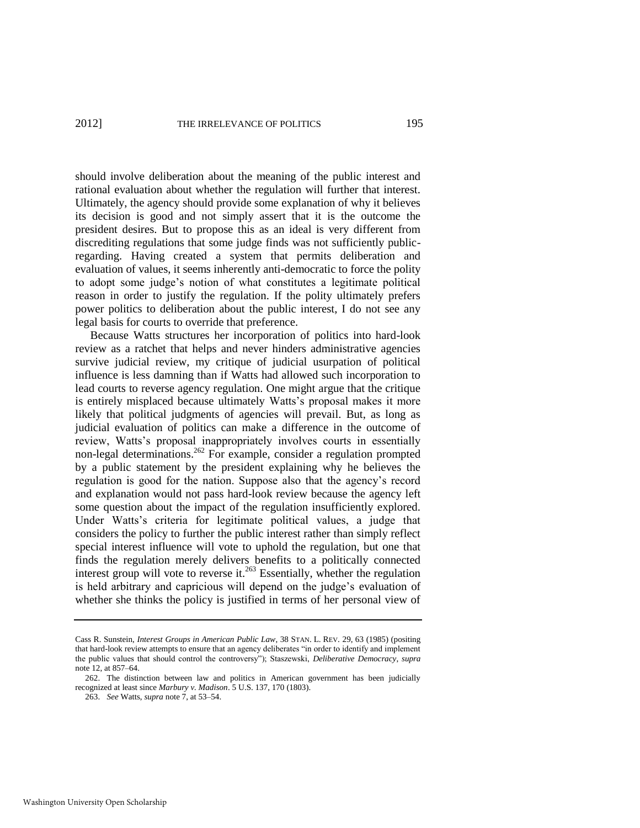should involve deliberation about the meaning of the public interest and rational evaluation about whether the regulation will further that interest. Ultimately, the agency should provide some explanation of why it believes its decision is good and not simply assert that it is the outcome the president desires. But to propose this as an ideal is very different from discrediting regulations that some judge finds was not sufficiently publicregarding. Having created a system that permits deliberation and evaluation of values, it seems inherently anti-democratic to force the polity to adopt some judge's notion of what constitutes a legitimate political reason in order to justify the regulation. If the polity ultimately prefers power politics to deliberation about the public interest, I do not see any legal basis for courts to override that preference.

Because Watts structures her incorporation of politics into hard-look review as a ratchet that helps and never hinders administrative agencies survive judicial review, my critique of judicial usurpation of political influence is less damning than if Watts had allowed such incorporation to lead courts to reverse agency regulation. One might argue that the critique is entirely misplaced because ultimately Watts's proposal makes it more likely that political judgments of agencies will prevail. But, as long as judicial evaluation of politics can make a difference in the outcome of review, Watts's proposal inappropriately involves courts in essentially non-legal determinations.<sup>262</sup> For example, consider a regulation prompted by a public statement by the president explaining why he believes the regulation is good for the nation. Suppose also that the agency's record and explanation would not pass hard-look review because the agency left some question about the impact of the regulation insufficiently explored. Under Watts's criteria for legitimate political values, a judge that considers the policy to further the public interest rather than simply reflect special interest influence will vote to uphold the regulation, but one that finds the regulation merely delivers benefits to a politically connected interest group will vote to reverse it.<sup>263</sup> Essentially, whether the regulation is held arbitrary and capricious will depend on the judge's evaluation of whether she thinks the policy is justified in terms of her personal view of

Cass R. Sunstein, *Interest Groups in American Public Law*, 38 STAN. L. REV. 29, 63 (1985) (positing that hard-look review attempts to ensure that an agency deliberates "in order to identify and implement the public values that should control the controversy‖); Staszewski, *Deliberative Democracy*, *supra* note [12,](#page-3-1) at 857–64.

<sup>262.</sup> The distinction between law and politics in American government has been judicially recognized at least since *Marbury v. Madison*. 5 U.S. 137, 170 (1803).

<sup>263.</sup> *See* Watts, *supra* not[e 7,](#page-2-1) at 53–54.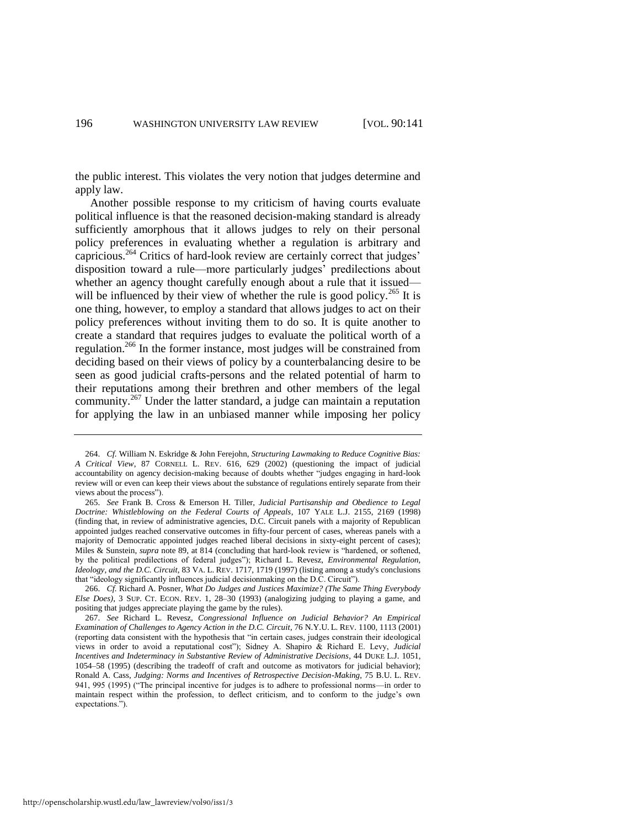the public interest. This violates the very notion that judges determine and apply law.

Another possible response to my criticism of having courts evaluate political influence is that the reasoned decision-making standard is already sufficiently amorphous that it allows judges to rely on their personal policy preferences in evaluating whether a regulation is arbitrary and capricious.<sup>264</sup> Critics of hard-look review are certainly correct that judges' disposition toward a rule—more particularly judges' predilections about whether an agency thought carefully enough about a rule that it issued will be influenced by their view of whether the rule is good policy.<sup>265</sup> It is one thing, however, to employ a standard that allows judges to act on their policy preferences without inviting them to do so. It is quite another to create a standard that requires judges to evaluate the political worth of a regulation.<sup>266</sup> In the former instance, most judges will be constrained from deciding based on their views of policy by a counterbalancing desire to be seen as good judicial crafts-persons and the related potential of harm to their reputations among their brethren and other members of the legal community.<sup>267</sup> Under the latter standard, a judge can maintain a reputation for applying the law in an unbiased manner while imposing her policy

<sup>264.</sup> *Cf.* William N. Eskridge & John Ferejohn, *Structuring Lawmaking to Reduce Cognitive Bias: A Critical View*, 87 CORNELL L. REV. 616, 629 (2002) (questioning the impact of judicial accountability on agency decision-making because of doubts whether "judges engaging in hard-look review will or even can keep their views about the substance of regulations entirely separate from their views about the process").

<sup>265.</sup> *See* Frank B. Cross & Emerson H. Tiller, *Judicial Partisanship and Obedience to Legal Doctrine: Whistleblowing on the Federal Courts of Appeals*, 107 YALE L.J. 2155, 2169 (1998) (finding that, in review of administrative agencies, D.C. Circuit panels with a majority of Republican appointed judges reached conservative outcomes in fifty-four percent of cases, whereas panels with a majority of Democratic appointed judges reached liberal decisions in sixty-eight percent of cases); Miles & Sunstein, *supra* not[e 89,](#page-21-0) at 814 (concluding that hard-look review is "hardened, or softened, by the political predilections of federal judges"); Richard L. Revesz, *Environmental Regulation*, *Ideology, and the D.C. Circuit*, 83 VA. L. REV. 1717, 1719 (1997) (listing among a study's conclusions that "ideology significantly influences judicial decisionmaking on the D.C. Circuit").

<sup>266.</sup> *Cf.* Richard A. Posner, *What Do Judges and Justices Maximize? (The Same Thing Everybody Else Does)*, 3 SUP. CT. ECON. REV. 1, 28–30 (1993) (analogizing judging to playing a game, and positing that judges appreciate playing the game by the rules).

<sup>267.</sup> *See* Richard L. Revesz, *Congressional Influence on Judicial Behavior? An Empirical Examination of Challenges to Agency Action in the D.C. Circuit*, 76 N.Y.U. L. REV. 1100, 1113 (2001) (reporting data consistent with the hypothesis that "in certain cases, judges constrain their ideological views in order to avoid a reputational cost"); Sidney A. Shapiro & Richard E. Levy, *Judicial Incentives and Indeterminacy in Substantive Review of Administrative Decisions*, 44 DUKE L.J. 1051, 1054–58 (1995) (describing the tradeoff of craft and outcome as motivators for judicial behavior); Ronald A. Cass, *Judging: Norms and Incentives of Retrospective Decision-Making*, 75 B.U. L. REV. 941, 995 (1995) ("The principal incentive for judges is to adhere to professional norms—in order to maintain respect within the profession, to deflect criticism, and to conform to the judge's own expectations.").